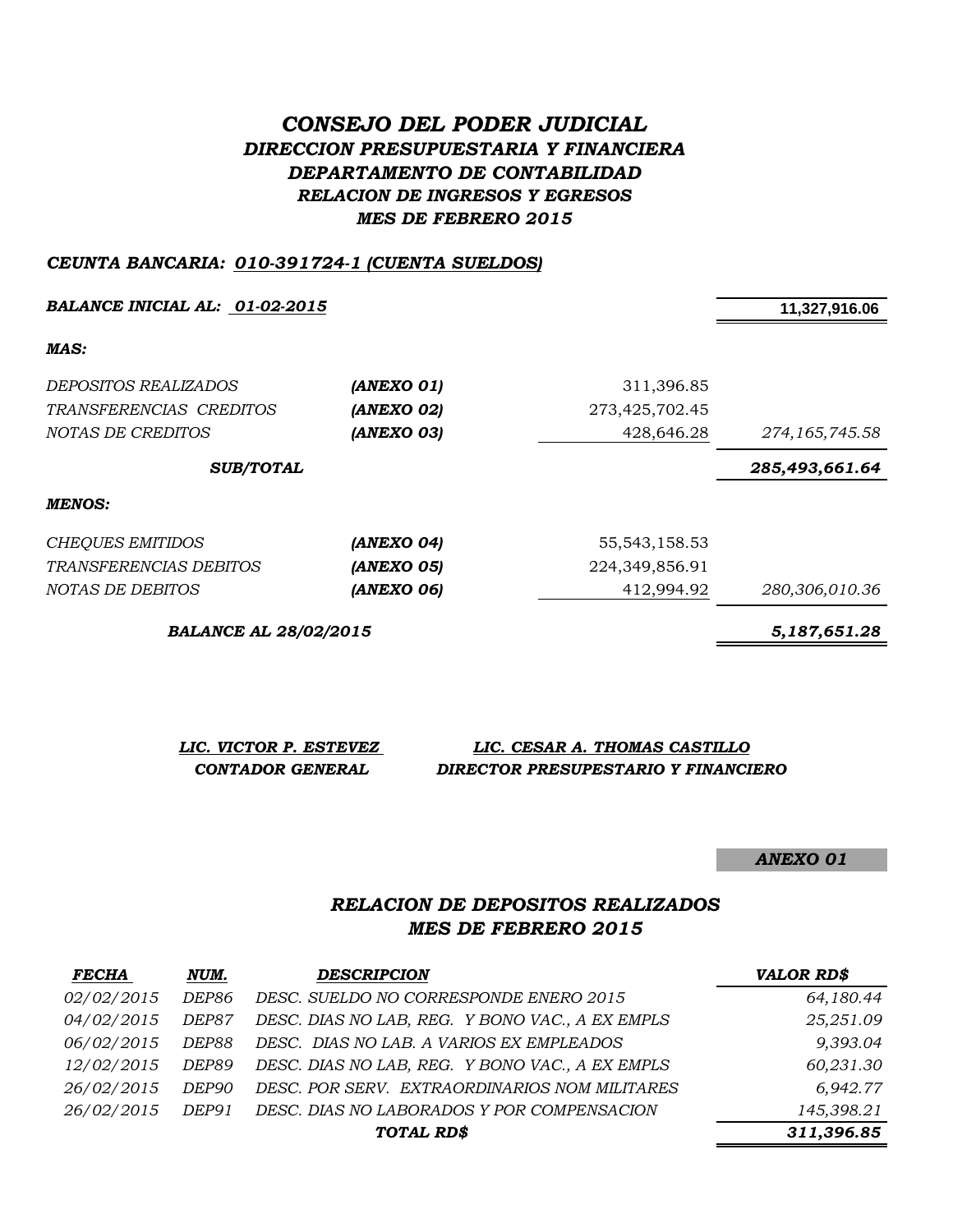# *CONSEJO DEL PODER JUDICIAL DIRECCION PRESUPUESTARIA Y FINANCIERA DEPARTAMENTO DE CONTABILIDAD RELACION DE INGRESOS Y EGRESOS MES DE FEBRERO 2015*

#### *CEUNTA BANCARIA: 010-391724-1 (CUENTA SUELDOS)*

**BALANCE INICIAL AL:** 01-02-2015<br>**11,327,916.06** 

*MAS:*

| DEPOSITOS REALIZADOS    | (ANEXO 01) | 311,396.85       |                  |
|-------------------------|------------|------------------|------------------|
| TRANSFERENCIAS CREDITOS | (ANEXO 02) | 273,425,702.45   |                  |
| NOTAS DE CREDITOS       | (ANEXO 03) | 428,646.28       | 274, 165, 745.58 |
| <b>SUB/TOTAL</b>        |            |                  | 285,493,661.64   |
| <b>MENOS:</b>           |            |                  |                  |
| <b>CHEQUES EMITIDOS</b> | (ANEXO 04) | 55, 543, 158. 53 |                  |
|                         |            |                  |                  |

*TRANSFERENCIAS DEBITOS (ANEXO 05)* 224,349,856.91 *NOTAS DE DEBITOS (ANEXO 06)* 412,994.92 *280,306,010.36*

*BALANCE AL 28/02/2015 5,187,651.28*

| LIC. VICTOR P. ESTEVEZ | LIC. CESAR A. THOMAS CASTILLO       |
|------------------------|-------------------------------------|
| CONTADOR GENERAL       | DIRECTOR PRESUPESTARIO Y FINANCIERO |

*ANEXO 01*

## *RELACION DE DEPOSITOS REALIZADOS MES DE FEBRERO 2015*

| <b>FECHA</b>      | NUM.         | <b>DESCRIPCION</b>                              | <b>VALOR RD\$</b> |
|-------------------|--------------|-------------------------------------------------|-------------------|
| 02/02/2015        | DEP86        | DESC. SUELDO NO CORRESPONDE ENERO 2015          | 64,180.44         |
| 04/02/2015        | <i>DEP87</i> | DESC. DIAS NO LAB, REG. Y BONO VAC., A EX EMPLS | 25,251.09         |
| 06/02/2015        | DEP88        | DESC. DIAS NO LAB. A VARIOS EX EMPLEADOS        | 9,393.04          |
| <i>12/02/2015</i> | DEP89        | DESC. DIAS NO LAB, REG. Y BONO VAC., A EX EMPLS | 60,231.30         |
| 26/02/2015        | DEP90        | DESC. POR SERV. EXTRAORDINARIOS NOM MILITARES   | 6,942.77          |
| 26/02/2015        | DEP91        | DESC. DIAS NO LABORADOS Y POR COMPENSACION      | 145,398.21        |
|                   |              | TOTAL RD\$                                      | 311,396.85        |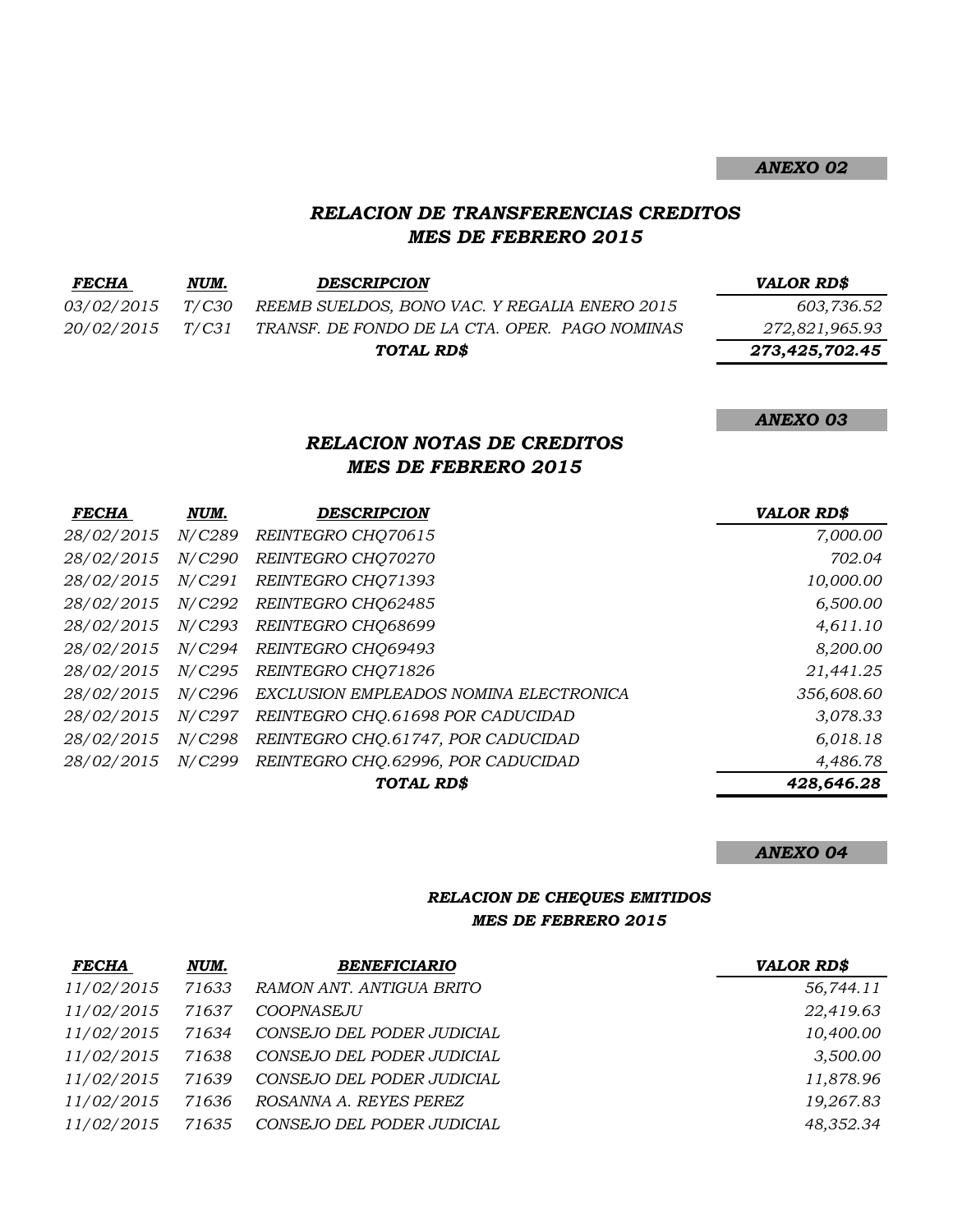#### *RELACION DE TRANSFERENCIAS CREDITOS MES DE FEBRERO 2015*

| <i>FECHA</i>      | NUM.  | <b>DESCRIPCION</b>                             | <b>VALOR RD\$</b> |
|-------------------|-------|------------------------------------------------|-------------------|
| <i>03/02/2015</i> | T/C30 | REEMB SUELDOS, BONO VAC. Y REGALIA ENERO 2015  | 603,736.52        |
| <i>20/02/2015</i> | T/C31 | TRANSF. DE FONDO DE LA CTA. OPER. PAGO NOMINAS | 272,821,965.93    |
|                   |       | TOTAL RD\$                                     | 273,425,702.45    |

*ANEXO 03*

*ANEXO 02*

# *RELACION NOTAS DE CREDITOS MES DE FEBRERO 2015*

| <b>FECHA</b> | NUM.           | <b>DESCRIPCION</b>                     | <b>VALOR RD\$</b> |
|--------------|----------------|----------------------------------------|-------------------|
| 28/02/2015   | N/C289         | REINTEGRO CHQ70615                     | 7,000.00          |
| 28/02/2015   | <i>N</i> /C290 | REINTEGRO CHQ70270                     | 702.04            |
| 28/02/2015   | N/C291         | REINTEGRO CHO71393                     | 10,000.00         |
| 28/02/2015   | N/C292         | REINTEGRO CHO62485                     | 6,500.00          |
| 28/02/2015   | N/C293         | REINTEGRO CHO68699                     | 4,611.10          |
| 28/02/2015   | <i>N</i> /C294 | REINTEGRO CHO69493                     | 8,200.00          |
| 28/02/2015   | N/C295         | REINTEGRO CHO71826                     | 21,441.25         |
| 28/02/2015   | N/C296         | EXCLUSION EMPLEADOS NOMINA ELECTRONICA | 356,608.60        |
| 28/02/2015   | <i>N</i> /C297 | REINTEGRO CHQ.61698 POR CADUCIDAD      | 3,078.33          |
| 28/02/2015   | N/C298         | REINTEGRO CHO.61747, POR CADUCIDAD     | 6,018.18          |
| 28/02/2015   | N/C299         | REINTEGRO CHQ.62996, POR CADUCIDAD     | 4,486.78          |
|              |                | TOTAL RD\$                             | 428,646.28        |

*ANEXO 04*

#### *RELACION DE CHEQUES EMITIDOS MES DE FEBRERO 2015*

| <b>FECHA</b>      | NUM.  | <b>BENEFICIARIO</b>        | <b>VALOR RD\$</b> |
|-------------------|-------|----------------------------|-------------------|
| 11/02/2015        | 71633 | RAMON ANT. ANTIGUA BRITO   | 56,744.11         |
| 11/02/2015        | 71637 | <b>COOPNASEJU</b>          | 22,419.63         |
| <i>11/02/2015</i> | 71634 | CONSEJO DEL PODER JUDICIAL | 10,400.00         |
| <i>11/02/2015</i> | 71638 | CONSEJO DEL PODER JUDICIAL | 3,500.00          |
| 11/02/2015        | 71639 | CONSEJO DEL PODER JUDICIAL | 11,878.96         |
| 11/02/2015        | 71636 | ROSANNA A. REYES PEREZ     | 19,267.83         |
| <i>11/02/2015</i> | 71635 | CONSEJO DEL PODER JUDICIAL | 48,352.34         |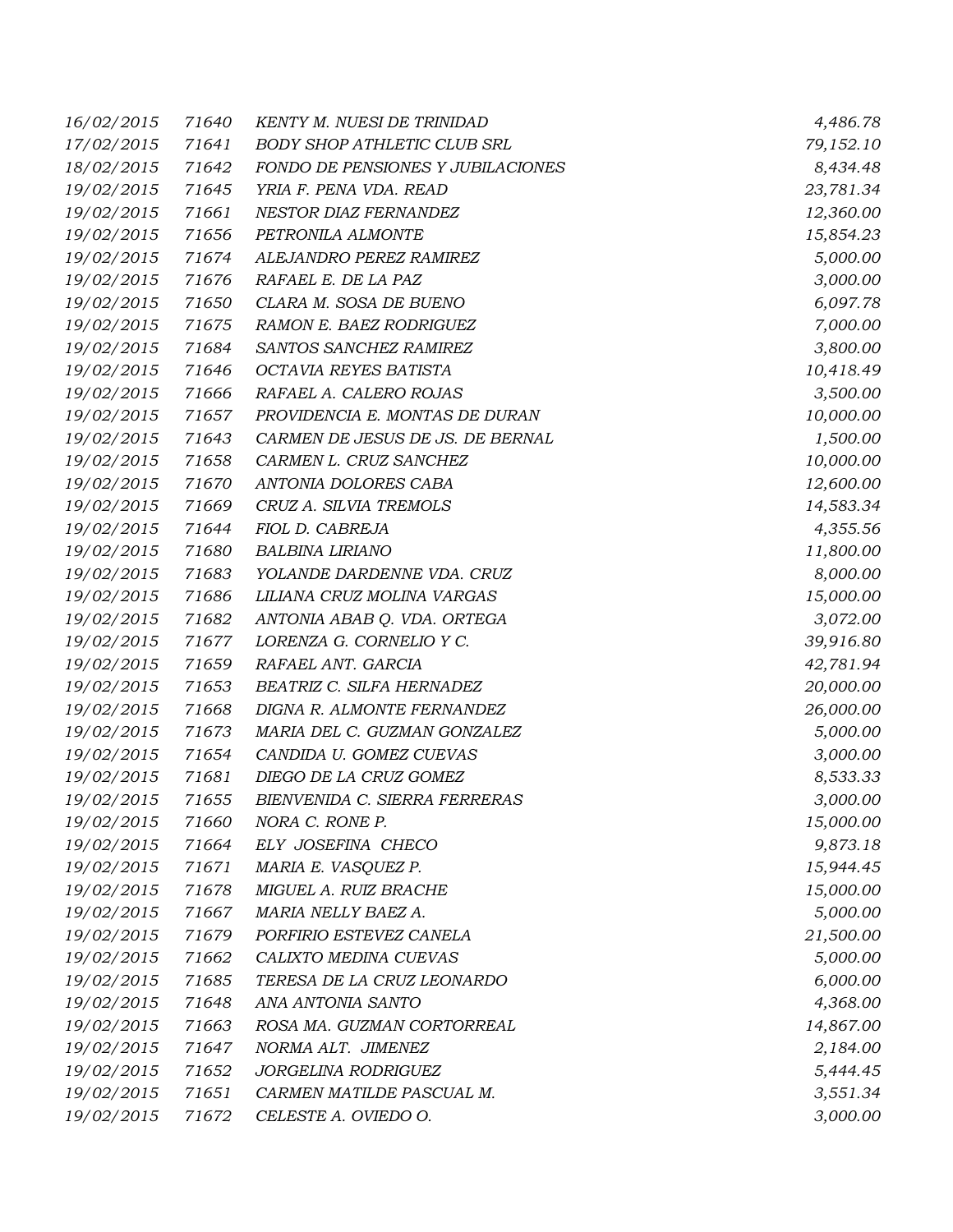| 16/02/2015 | 71640 | <b>KENTY M. NUESI DE TRINIDAD</b>  | 4,486.78  |
|------------|-------|------------------------------------|-----------|
| 17/02/2015 | 71641 | <b>BODY SHOP ATHLETIC CLUB SRL</b> | 79,152.10 |
| 18/02/2015 | 71642 | FONDO DE PENSIONES Y JUBILACIONES  | 8,434.48  |
| 19/02/2015 | 71645 | YRIA F. PENA VDA. READ             | 23,781.34 |
| 19/02/2015 | 71661 | NESTOR DIAZ FERNANDEZ              | 12,360.00 |
| 19/02/2015 | 71656 | PETRONILA ALMONTE                  | 15,854.23 |
| 19/02/2015 | 71674 | ALEJANDRO PEREZ RAMIREZ            | 5,000.00  |
| 19/02/2015 | 71676 | RAFAEL E. DE LA PAZ                | 3,000.00  |
| 19/02/2015 | 71650 | CLARA M. SOSA DE BUENO             | 6,097.78  |
| 19/02/2015 | 71675 | RAMON E. BAEZ RODRIGUEZ            | 7,000.00  |
| 19/02/2015 | 71684 | SANTOS SANCHEZ RAMIREZ             | 3,800.00  |
| 19/02/2015 | 71646 | OCTAVIA REYES BATISTA              | 10,418.49 |
| 19/02/2015 | 71666 | RAFAEL A. CALERO ROJAS             | 3,500.00  |
| 19/02/2015 | 71657 | PROVIDENCIA E. MONTAS DE DURAN     | 10,000.00 |
| 19/02/2015 | 71643 | CARMEN DE JESUS DE JS. DE BERNAL   | 1,500.00  |
| 19/02/2015 | 71658 | CARMEN L. CRUZ SANCHEZ             | 10,000.00 |
| 19/02/2015 | 71670 | ANTONIA DOLORES CABA               | 12,600.00 |
| 19/02/2015 | 71669 | CRUZ A. SILVIA TREMOLS             | 14,583.34 |
| 19/02/2015 | 71644 | FIOL D. CABREJA                    | 4,355.56  |
| 19/02/2015 | 71680 | <b>BALBINA LIRIANO</b>             | 11,800.00 |
| 19/02/2015 | 71683 | YOLANDE DARDENNE VDA. CRUZ         | 8,000.00  |
| 19/02/2015 | 71686 | LILIANA CRUZ MOLINA VARGAS         | 15,000.00 |
| 19/02/2015 | 71682 | ANTONIA ABAB Q. VDA. ORTEGA        | 3,072.00  |
| 19/02/2015 | 71677 | LORENZA G. CORNELIO Y C.           | 39,916.80 |
| 19/02/2015 | 71659 | RAFAEL ANT. GARCIA                 | 42,781.94 |
| 19/02/2015 | 71653 | BEATRIZ C. SILFA HERNADEZ          | 20,000.00 |
| 19/02/2015 | 71668 | DIGNA R. ALMONTE FERNANDEZ         | 26,000.00 |
| 19/02/2015 | 71673 | MARIA DEL C. GUZMAN GONZALEZ       | 5,000.00  |
| 19/02/2015 | 71654 | CANDIDA U. GOMEZ CUEVAS            | 3,000.00  |
| 19/02/2015 | 71681 | DIEGO DE LA CRUZ GOMEZ             | 8,533.33  |
| 19/02/2015 | 71655 | BIENVENIDA C. SIERRA FERRERAS      | 3,000.00  |
| 19/02/2015 | 71660 | NORA C. RONE P.                    | 15,000.00 |
| 19/02/2015 | 71664 | ELY JOSEFINA CHECO                 | 9,873.18  |
| 19/02/2015 | 71671 | MARIA E. VASQUEZ P.                | 15,944.45 |
| 19/02/2015 | 71678 | MIGUEL A. RUIZ BRACHE              | 15,000.00 |
| 19/02/2015 | 71667 | MARIA NELLY BAEZ A.                | 5,000.00  |
| 19/02/2015 | 71679 | PORFIRIO ESTEVEZ CANELA            | 21,500.00 |
| 19/02/2015 | 71662 | CALIXTO MEDINA CUEVAS              | 5,000.00  |
| 19/02/2015 | 71685 | TERESA DE LA CRUZ LEONARDO         | 6,000.00  |
| 19/02/2015 | 71648 | ANA ANTONIA SANTO                  | 4,368.00  |
| 19/02/2015 | 71663 | ROSA MA. GUZMAN CORTORREAL         | 14,867.00 |
| 19/02/2015 | 71647 | NORMA ALT. JIMENEZ                 | 2,184.00  |
| 19/02/2015 | 71652 | JORGELINA RODRIGUEZ                | 5,444.45  |
| 19/02/2015 | 71651 | CARMEN MATILDE PASCUAL M.          | 3,551.34  |
| 19/02/2015 | 71672 | CELESTE A. OVIEDO O.               | 3,000.00  |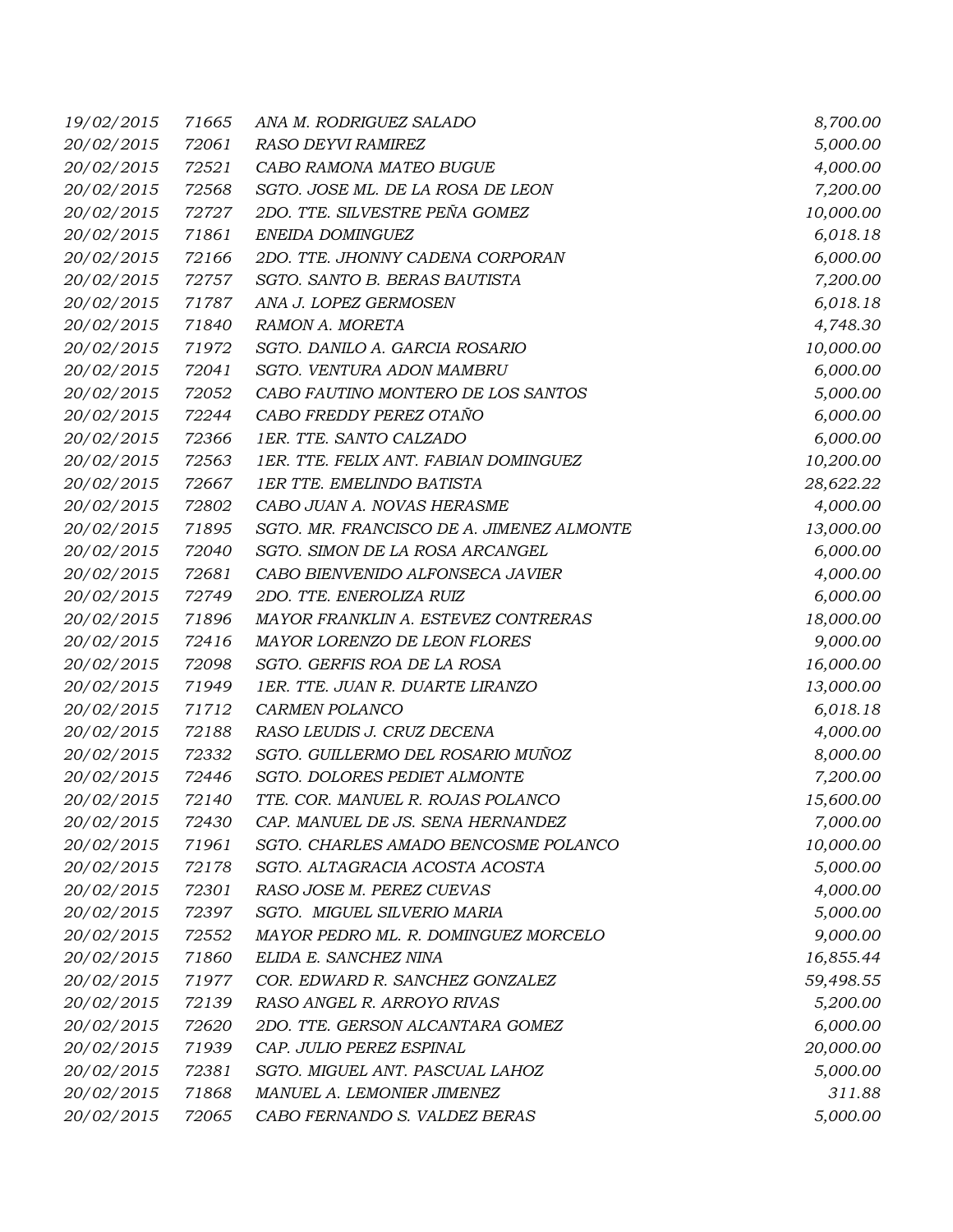| 19/02/2015 | 71665 | ANA M. RODRIGUEZ SALADO                   | 8,700.00  |
|------------|-------|-------------------------------------------|-----------|
| 20/02/2015 | 72061 | RASO DEYVI RAMIREZ                        | 5,000.00  |
| 20/02/2015 | 72521 | CABO RAMONA MATEO BUGUE                   | 4,000.00  |
| 20/02/2015 | 72568 | SGTO. JOSE ML. DE LA ROSA DE LEON         | 7,200.00  |
| 20/02/2015 | 72727 | 2DO. TTE. SILVESTRE PEÑA GOMEZ            | 10,000.00 |
| 20/02/2015 | 71861 | ENEIDA DOMINGUEZ                          | 6,018.18  |
| 20/02/2015 | 72166 | 2DO. TTE. JHONNY CADENA CORPORAN          | 6,000.00  |
| 20/02/2015 | 72757 | SGTO. SANTO B. BERAS BAUTISTA             | 7,200.00  |
| 20/02/2015 | 71787 | ANA J. LOPEZ GERMOSEN                     | 6,018.18  |
| 20/02/2015 | 71840 | RAMON A. MORETA                           | 4,748.30  |
| 20/02/2015 | 71972 | SGTO. DANILO A. GARCIA ROSARIO            | 10,000.00 |
| 20/02/2015 | 72041 | SGTO. VENTURA ADON MAMBRU                 | 6,000.00  |
| 20/02/2015 | 72052 | CABO FAUTINO MONTERO DE LOS SANTOS        | 5,000.00  |
| 20/02/2015 | 72244 | CABO FREDDY PEREZ OTAÑO                   | 6,000.00  |
| 20/02/2015 | 72366 | 1ER. TTE. SANTO CALZADO                   | 6,000.00  |
| 20/02/2015 | 72563 | 1ER. TTE. FELIX ANT. FABIAN DOMINGUEZ     | 10,200.00 |
| 20/02/2015 | 72667 | 1ER TTE. EMELINDO BATISTA                 | 28,622.22 |
| 20/02/2015 | 72802 | CABO JUAN A. NOVAS HERASME                | 4,000.00  |
| 20/02/2015 | 71895 | SGTO. MR. FRANCISCO DE A. JIMENEZ ALMONTE | 13,000.00 |
| 20/02/2015 | 72040 | SGTO. SIMON DE LA ROSA ARCANGEL           | 6,000.00  |
| 20/02/2015 | 72681 | CABO BIENVENIDO ALFONSECA JAVIER          | 4,000.00  |
| 20/02/2015 | 72749 | 2DO. TTE. ENEROLIZA RUIZ                  | 6,000.00  |
| 20/02/2015 | 71896 | MAYOR FRANKLIN A. ESTEVEZ CONTRERAS       | 18,000.00 |
| 20/02/2015 | 72416 | MAYOR LORENZO DE LEON FLORES              | 9,000.00  |
| 20/02/2015 | 72098 | SGTO. GERFIS ROA DE LA ROSA               | 16,000.00 |
| 20/02/2015 | 71949 | 1ER. TTE. JUAN R. DUARTE LIRANZO          | 13,000.00 |
| 20/02/2015 | 71712 | <b>CARMEN POLANCO</b>                     | 6,018.18  |
| 20/02/2015 | 72188 | RASO LEUDIS J. CRUZ DECENA                | 4,000.00  |
| 20/02/2015 | 72332 | SGTO. GUILLERMO DEL ROSARIO MUÑOZ         | 8,000.00  |
| 20/02/2015 | 72446 | SGTO. DOLORES PEDIET ALMONTE              | 7,200.00  |
| 20/02/2015 | 72140 | TTE. COR. MANUEL R. ROJAS POLANCO         | 15,600.00 |
| 20/02/2015 | 72430 | CAP. MANUEL DE JS. SENA HERNANDEZ         | 7,000.00  |
| 20/02/2015 | 71961 | SGTO. CHARLES AMADO BENCOSME POLANCO      | 10,000.00 |
| 20/02/2015 | 72178 | SGTO. ALTAGRACIA ACOSTA ACOSTA            | 5,000.00  |
| 20/02/2015 | 72301 | RASO JOSE M. PEREZ CUEVAS                 | 4,000.00  |
| 20/02/2015 | 72397 | SGTO. MIGUEL SILVERIO MARIA               | 5,000.00  |
| 20/02/2015 | 72552 | MAYOR PEDRO ML. R. DOMINGUEZ MORCELO      | 9,000.00  |
| 20/02/2015 | 71860 | ELIDA E. SANCHEZ NINA                     | 16,855.44 |
| 20/02/2015 | 71977 | COR. EDWARD R. SANCHEZ GONZALEZ           | 59,498.55 |
| 20/02/2015 | 72139 | RASO ANGEL R. ARROYO RIVAS                | 5,200.00  |
| 20/02/2015 | 72620 | 2DO. TTE. GERSON ALCANTARA GOMEZ          | 6,000.00  |
| 20/02/2015 | 71939 | CAP. JULIO PEREZ ESPINAL                  | 20,000.00 |
| 20/02/2015 | 72381 | SGTO. MIGUEL ANT. PASCUAL LAHOZ           | 5,000.00  |
| 20/02/2015 | 71868 | MANUEL A. LEMONIER JIMENEZ                | 311.88    |
| 20/02/2015 | 72065 | CABO FERNANDO S. VALDEZ BERAS             | 5,000.00  |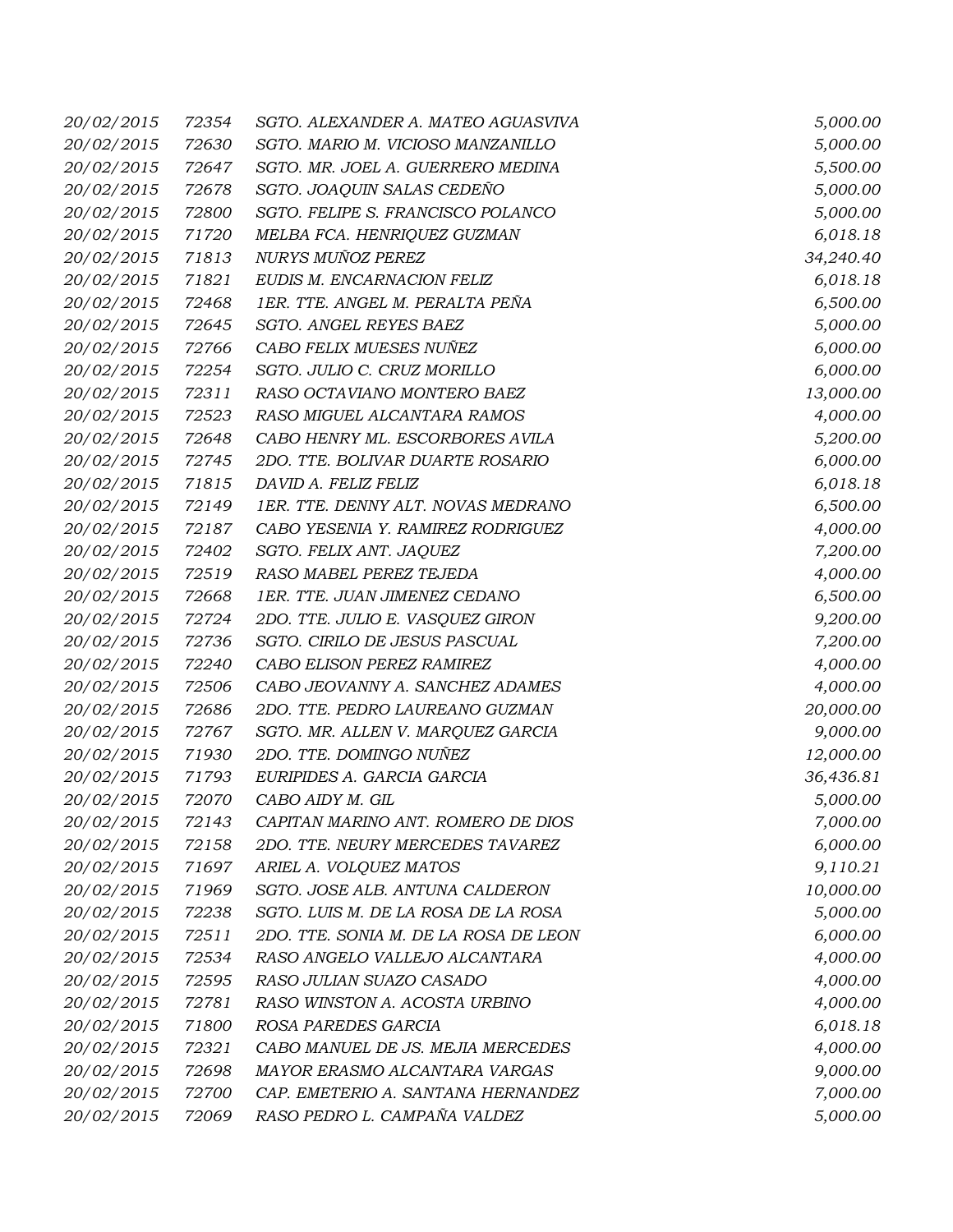| 20/02/2015 | 72354 | SGTO. ALEXANDER A. MATEO AGUASVIVA    | 5,000.00  |
|------------|-------|---------------------------------------|-----------|
| 20/02/2015 | 72630 | SGTO. MARIO M. VICIOSO MANZANILLO     | 5,000.00  |
| 20/02/2015 | 72647 | SGTO. MR. JOEL A. GUERRERO MEDINA     | 5,500.00  |
| 20/02/2015 | 72678 | SGTO. JOAQUIN SALAS CEDEÑO            | 5,000.00  |
| 20/02/2015 | 72800 | SGTO. FELIPE S. FRANCISCO POLANCO     | 5,000.00  |
| 20/02/2015 | 71720 | MELBA FCA. HENRIQUEZ GUZMAN           | 6,018.18  |
| 20/02/2015 | 71813 | NURYS MUÑOZ PEREZ                     | 34,240.40 |
| 20/02/2015 | 71821 | EUDIS M. ENCARNACION FELIZ            | 6,018.18  |
| 20/02/2015 | 72468 | 1ER. TTE. ANGEL M. PERALTA PEÑA       | 6,500.00  |
| 20/02/2015 | 72645 | SGTO. ANGEL REYES BAEZ                | 5,000.00  |
| 20/02/2015 | 72766 | CABO FELIX MUESES NUÑEZ               | 6,000.00  |
| 20/02/2015 | 72254 | SGTO. JULIO C. CRUZ MORILLO           | 6,000.00  |
| 20/02/2015 | 72311 | RASO OCTAVIANO MONTERO BAEZ           | 13,000.00 |
| 20/02/2015 | 72523 | RASO MIGUEL ALCANTARA RAMOS           | 4,000.00  |
| 20/02/2015 | 72648 | CABO HENRY ML. ESCORBORES AVILA       | 5,200.00  |
| 20/02/2015 | 72745 | 2DO. TTE. BOLIVAR DUARTE ROSARIO      | 6,000.00  |
| 20/02/2015 | 71815 | DAVID A. FELIZ FELIZ                  | 6,018.18  |
| 20/02/2015 | 72149 | 1ER. TTE. DENNY ALT. NOVAS MEDRANO    | 6,500.00  |
| 20/02/2015 | 72187 | CABO YESENIA Y. RAMIREZ RODRIGUEZ     | 4,000.00  |
| 20/02/2015 | 72402 | SGTO. FELIX ANT. JAQUEZ               | 7,200.00  |
| 20/02/2015 | 72519 | RASO MABEL PEREZ TEJEDA               | 4,000.00  |
| 20/02/2015 | 72668 | 1ER. TTE. JUAN JIMENEZ CEDANO         | 6,500.00  |
| 20/02/2015 | 72724 | 2DO. TTE. JULIO E. VASQUEZ GIRON      | 9,200.00  |
| 20/02/2015 | 72736 | SGTO. CIRILO DE JESUS PASCUAL         | 7,200.00  |
| 20/02/2015 | 72240 | CABO ELISON PEREZ RAMIREZ             | 4,000.00  |
| 20/02/2015 | 72506 | CABO JEOVANNY A. SANCHEZ ADAMES       | 4,000.00  |
| 20/02/2015 | 72686 | 2DO. TTE. PEDRO LAUREANO GUZMAN       | 20,000.00 |
| 20/02/2015 | 72767 | SGTO. MR. ALLEN V. MARQUEZ GARCIA     | 9,000.00  |
| 20/02/2015 | 71930 | 2DO. TTE. DOMINGO NUÑEZ               | 12,000.00 |
| 20/02/2015 | 71793 | EURIPIDES A. GARCIA GARCIA            | 36,436.81 |
| 20/02/2015 | 72070 | CABO AIDY M. GIL                      | 5,000.00  |
| 20/02/2015 | 72143 | CAPITAN MARINO ANT. ROMERO DE DIOS    | 7,000.00  |
| 20/02/2015 | 72158 | 2DO. TTE. NEURY MERCEDES TAVAREZ      | 6,000.00  |
| 20/02/2015 | 71697 | ARIEL A. VOLQUEZ MATOS                | 9,110.21  |
| 20/02/2015 | 71969 | SGTO. JOSE ALB. ANTUNA CALDERON       | 10,000.00 |
| 20/02/2015 | 72238 | SGTO. LUIS M. DE LA ROSA DE LA ROSA   | 5,000.00  |
| 20/02/2015 | 72511 | 2DO. TTE. SONIA M. DE LA ROSA DE LEON | 6,000.00  |
| 20/02/2015 | 72534 | RASO ANGELO VALLEJO ALCANTARA         | 4,000.00  |
| 20/02/2015 | 72595 | RASO JULIAN SUAZO CASADO              | 4,000.00  |
| 20/02/2015 | 72781 | RASO WINSTON A. ACOSTA URBINO         | 4,000.00  |
| 20/02/2015 | 71800 | ROSA PAREDES GARCIA                   | 6,018.18  |
| 20/02/2015 | 72321 | CABO MANUEL DE JS. MEJIA MERCEDES     | 4,000.00  |
| 20/02/2015 | 72698 | MAYOR ERASMO ALCANTARA VARGAS         | 9,000.00  |
| 20/02/2015 | 72700 | CAP. EMETERIO A. SANTANA HERNANDEZ    | 7,000.00  |
| 20/02/2015 | 72069 | RASO PEDRO L. CAMPAÑA VALDEZ          | 5,000.00  |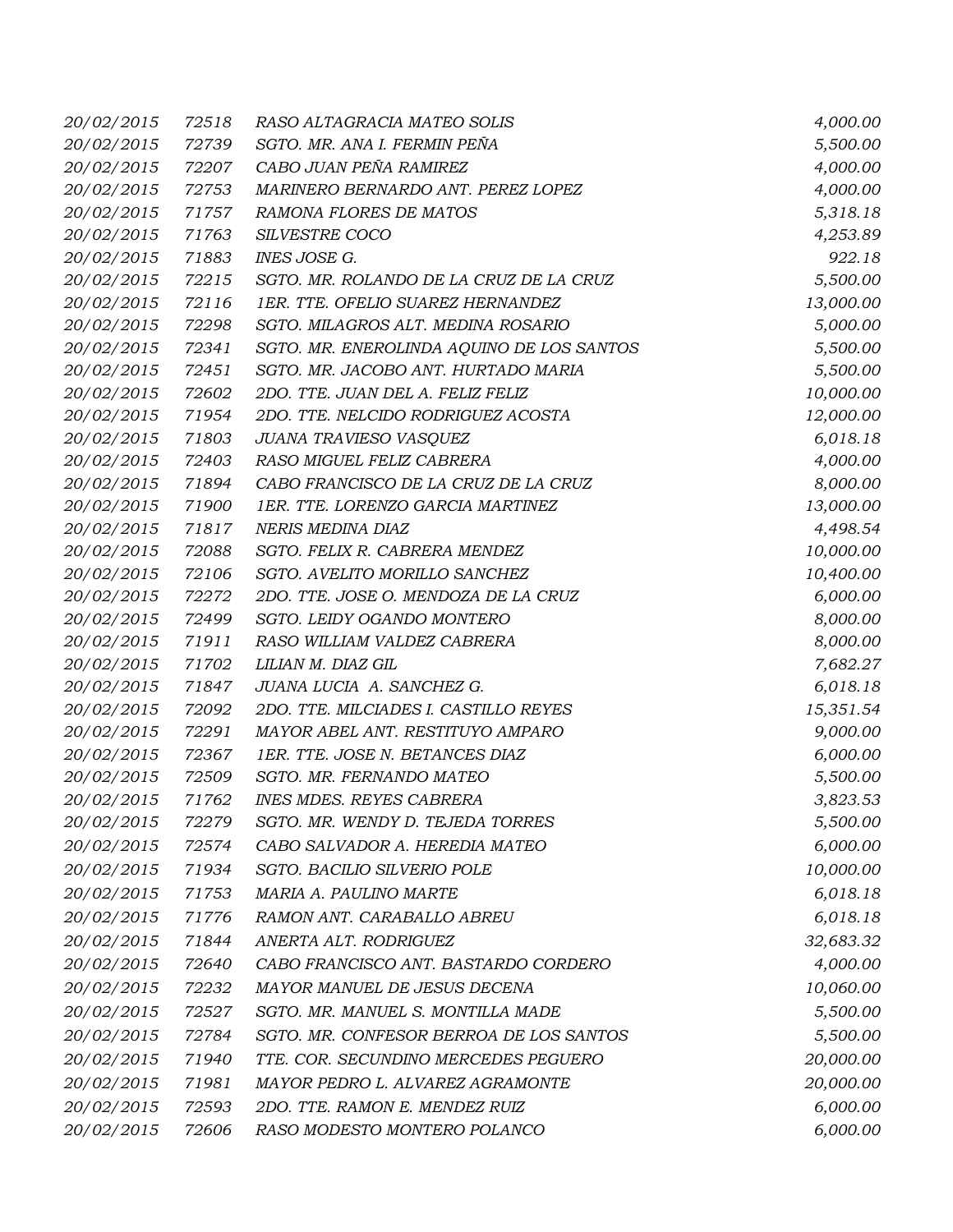| 20/02/2015 | 72518 | RASO ALTAGRACIA MATEO SOLIS               | 4,000.00  |
|------------|-------|-------------------------------------------|-----------|
| 20/02/2015 | 72739 | SGTO. MR. ANA I. FERMIN PEÑA              | 5,500.00  |
| 20/02/2015 | 72207 | CABO JUAN PEÑA RAMIREZ                    | 4,000.00  |
| 20/02/2015 | 72753 | MARINERO BERNARDO ANT. PEREZ LOPEZ        | 4,000.00  |
| 20/02/2015 | 71757 | RAMONA FLORES DE MATOS                    | 5,318.18  |
| 20/02/2015 | 71763 | SILVESTRE COCO                            | 4,253.89  |
| 20/02/2015 | 71883 | <b>INES JOSE G.</b>                       | 922.18    |
| 20/02/2015 | 72215 | SGTO. MR. ROLANDO DE LA CRUZ DE LA CRUZ   | 5,500.00  |
| 20/02/2015 | 72116 | 1ER. TTE. OFELIO SUAREZ HERNANDEZ         | 13,000.00 |
| 20/02/2015 | 72298 | SGTO. MILAGROS ALT. MEDINA ROSARIO        | 5,000.00  |
| 20/02/2015 | 72341 | SGTO. MR. ENEROLINDA AQUINO DE LOS SANTOS | 5,500.00  |
| 20/02/2015 | 72451 | SGTO. MR. JACOBO ANT. HURTADO MARIA       | 5,500.00  |
| 20/02/2015 | 72602 | 2DO. TTE. JUAN DEL A. FELIZ FELIZ         | 10,000.00 |
| 20/02/2015 | 71954 | 2DO. TTE. NELCIDO RODRIGUEZ ACOSTA        | 12,000.00 |
| 20/02/2015 | 71803 | JUANA TRAVIESO VASQUEZ                    | 6,018.18  |
| 20/02/2015 | 72403 | RASO MIGUEL FELIZ CABRERA                 | 4,000.00  |
| 20/02/2015 | 71894 | CABO FRANCISCO DE LA CRUZ DE LA CRUZ      | 8,000.00  |
| 20/02/2015 | 71900 | 1ER. TTE. LORENZO GARCIA MARTINEZ         | 13,000.00 |
| 20/02/2015 | 71817 | NERIS MEDINA DIAZ                         | 4,498.54  |
| 20/02/2015 | 72088 | SGTO. FELIX R. CABRERA MENDEZ             | 10,000.00 |
| 20/02/2015 | 72106 | SGTO. AVELITO MORILLO SANCHEZ             | 10,400.00 |
| 20/02/2015 | 72272 | 2DO. TTE. JOSE O. MENDOZA DE LA CRUZ      | 6,000.00  |
| 20/02/2015 | 72499 | SGTO. LEIDY OGANDO MONTERO                | 8,000.00  |
| 20/02/2015 | 71911 | RASO WILLIAM VALDEZ CABRERA               | 8,000.00  |
| 20/02/2015 | 71702 | LILIAN M. DIAZ GIL                        | 7,682.27  |
| 20/02/2015 | 71847 | JUANA LUCIA A. SANCHEZ G.                 | 6,018.18  |
| 20/02/2015 | 72092 | 2DO. TTE. MILCIADES I. CASTILLO REYES     | 15,351.54 |
| 20/02/2015 | 72291 | MAYOR ABEL ANT. RESTITUYO AMPARO          | 9,000.00  |
| 20/02/2015 | 72367 | 1ER. TTE. JOSE N. BETANCES DIAZ           | 6,000.00  |
| 20/02/2015 | 72509 | SGTO. MR. FERNANDO MATEO                  | 5,500.00  |
| 20/02/2015 | 71762 | <b>INES MDES. REYES CABRERA</b>           | 3,823.53  |
| 20/02/2015 | 72279 | SGTO. MR. WENDY D. TEJEDA TORRES          | 5,500.00  |
| 20/02/2015 | 72574 | CABO SALVADOR A. HEREDIA MATEO            | 6,000.00  |
| 20/02/2015 | 71934 | SGTO. BACILIO SILVERIO POLE               | 10,000.00 |
| 20/02/2015 | 71753 | MARIA A. PAULINO MARTE                    | 6,018.18  |
| 20/02/2015 | 71776 | RAMON ANT. CARABALLO ABREU                | 6,018.18  |
| 20/02/2015 | 71844 | ANERTA ALT. RODRIGUEZ                     | 32,683.32 |
| 20/02/2015 | 72640 | CABO FRANCISCO ANT. BASTARDO CORDERO      | 4,000.00  |
| 20/02/2015 | 72232 | MAYOR MANUEL DE JESUS DECENA              | 10,060.00 |
| 20/02/2015 | 72527 | SGTO. MR. MANUEL S. MONTILLA MADE         | 5,500.00  |
| 20/02/2015 | 72784 | SGTO. MR. CONFESOR BERROA DE LOS SANTOS   | 5,500.00  |
| 20/02/2015 | 71940 | TTE. COR. SECUNDINO MERCEDES PEGUERO      | 20,000.00 |
| 20/02/2015 | 71981 | MAYOR PEDRO L. ALVAREZ AGRAMONTE          | 20,000.00 |
| 20/02/2015 | 72593 | 2DO. TTE. RAMON E. MENDEZ RUIZ            | 6,000.00  |
|            |       |                                           |           |
| 20/02/2015 | 72606 | RASO MODESTO MONTERO POLANCO              | 6,000.00  |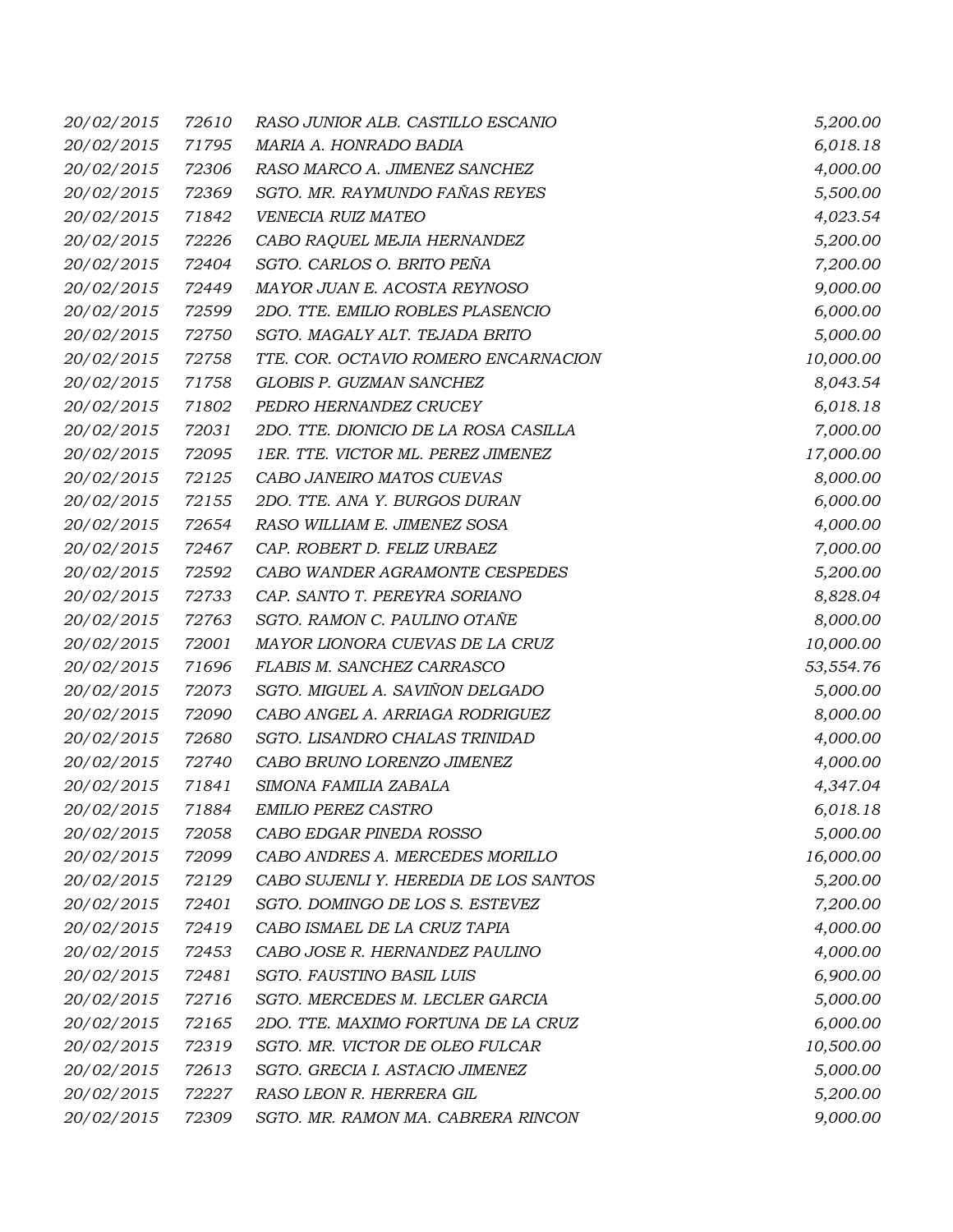| 20/02/2015        | 72610 | RASO JUNIOR ALB. CASTILLO ESCANIO     | 5,200.00  |
|-------------------|-------|---------------------------------------|-----------|
| 20/02/2015        | 71795 | MARIA A. HONRADO BADIA                | 6,018.18  |
| 20/02/2015        | 72306 | RASO MARCO A. JIMENEZ SANCHEZ         | 4,000.00  |
| 20/02/2015        | 72369 | SGTO. MR. RAYMUNDO FAÑAS REYES        | 5,500.00  |
| 20/02/2015        | 71842 | VENECIA RUIZ MATEO                    | 4,023.54  |
| 20/02/2015        | 72226 | CABO RAQUEL MEJIA HERNANDEZ           | 5,200.00  |
| 20/02/2015        | 72404 | SGTO. CARLOS O. BRITO PEÑA            | 7,200.00  |
| 20/02/2015        | 72449 | MAYOR JUAN E. ACOSTA REYNOSO          | 9,000.00  |
| 20/02/2015        | 72599 | 2DO. TTE. EMILIO ROBLES PLASENCIO     | 6,000.00  |
| 20/02/2015        | 72750 | SGTO. MAGALY ALT. TEJADA BRITO        | 5,000.00  |
| 20/02/2015        | 72758 | TTE. COR. OCTAVIO ROMERO ENCARNACION  | 10,000.00 |
| 20/02/2015        | 71758 | GLOBIS P. GUZMAN SANCHEZ              | 8,043.54  |
| 20/02/2015        | 71802 | PEDRO HERNANDEZ CRUCEY                | 6,018.18  |
| 20/02/2015        | 72031 | 2DO. TTE. DIONICIO DE LA ROSA CASILLA | 7,000.00  |
| 20/02/2015        | 72095 | 1ER. TTE. VICTOR ML. PEREZ JIMENEZ    | 17,000.00 |
| 20/02/2015        | 72125 | CABO JANEIRO MATOS CUEVAS             | 8,000.00  |
| 20/02/2015        | 72155 | 2DO. TTE. ANA Y. BURGOS DURAN         | 6,000.00  |
| 20/02/2015        | 72654 | RASO WILLIAM E. JIMENEZ SOSA          | 4,000.00  |
| 20/02/2015        | 72467 | CAP. ROBERT D. FELIZ URBAEZ           | 7,000.00  |
| 20/02/2015        | 72592 | CABO WANDER AGRAMONTE CESPEDES        | 5,200.00  |
| 20/02/2015        | 72733 | CAP. SANTO T. PEREYRA SORIANO         | 8,828.04  |
| 20/02/2015        | 72763 | SGTO. RAMON C. PAULINO OTAÑE          | 8,000.00  |
| 20/02/2015        | 72001 | MAYOR LIONORA CUEVAS DE LA CRUZ       | 10,000.00 |
| 20/02/2015        | 71696 | FLABIS M. SANCHEZ CARRASCO            | 53,554.76 |
| 20/02/2015        | 72073 | SGTO. MIGUEL A. SAVIÑON DELGADO       | 5,000.00  |
| 20/02/2015        | 72090 | CABO ANGEL A. ARRIAGA RODRIGUEZ       | 8,000.00  |
| 20/02/2015        | 72680 | SGTO. LISANDRO CHALAS TRINIDAD        | 4,000.00  |
| 20/02/2015        | 72740 | CABO BRUNO LORENZO JIMENEZ            | 4,000.00  |
| 20/02/2015        | 71841 | SIMONA FAMILIA ZABALA                 | 4,347.04  |
| <i>20/02/2015</i> | 71884 | EMILIO PEREZ CASTRO                   | 6,018.18  |
| 20/02/2015        | 72058 | CABO EDGAR PINEDA ROSSO               | 5,000.00  |
| 20/02/2015        | 72099 | CABO ANDRES A. MERCEDES MORILLO       | 16,000.00 |
| 20/02/2015        | 72129 | CABO SUJENLI Y. HEREDIA DE LOS SANTOS | 5,200.00  |
| 20/02/2015        | 72401 | SGTO. DOMINGO DE LOS S. ESTEVEZ       | 7,200.00  |
| 20/02/2015        | 72419 | CABO ISMAEL DE LA CRUZ TAPIA          | 4,000.00  |
| 20/02/2015        | 72453 | CABO JOSE R. HERNANDEZ PAULINO        | 4,000.00  |
| 20/02/2015        | 72481 | SGTO. FAUSTINO BASIL LUIS             | 6,900.00  |
| 20/02/2015        | 72716 | SGTO. MERCEDES M. LECLER GARCIA       | 5,000.00  |
| 20/02/2015        | 72165 | 2DO. TTE. MAXIMO FORTUNA DE LA CRUZ   | 6,000.00  |
| 20/02/2015        | 72319 | SGTO. MR. VICTOR DE OLEO FULCAR       | 10,500.00 |
| 20/02/2015        | 72613 | SGTO. GRECIA I. ASTACIO JIMENEZ       | 5,000.00  |
| 20/02/2015        | 72227 | RASO LEON R. HERRERA GIL              | 5,200.00  |
| 20/02/2015        | 72309 | SGTO. MR. RAMON MA. CABRERA RINCON    | 9,000.00  |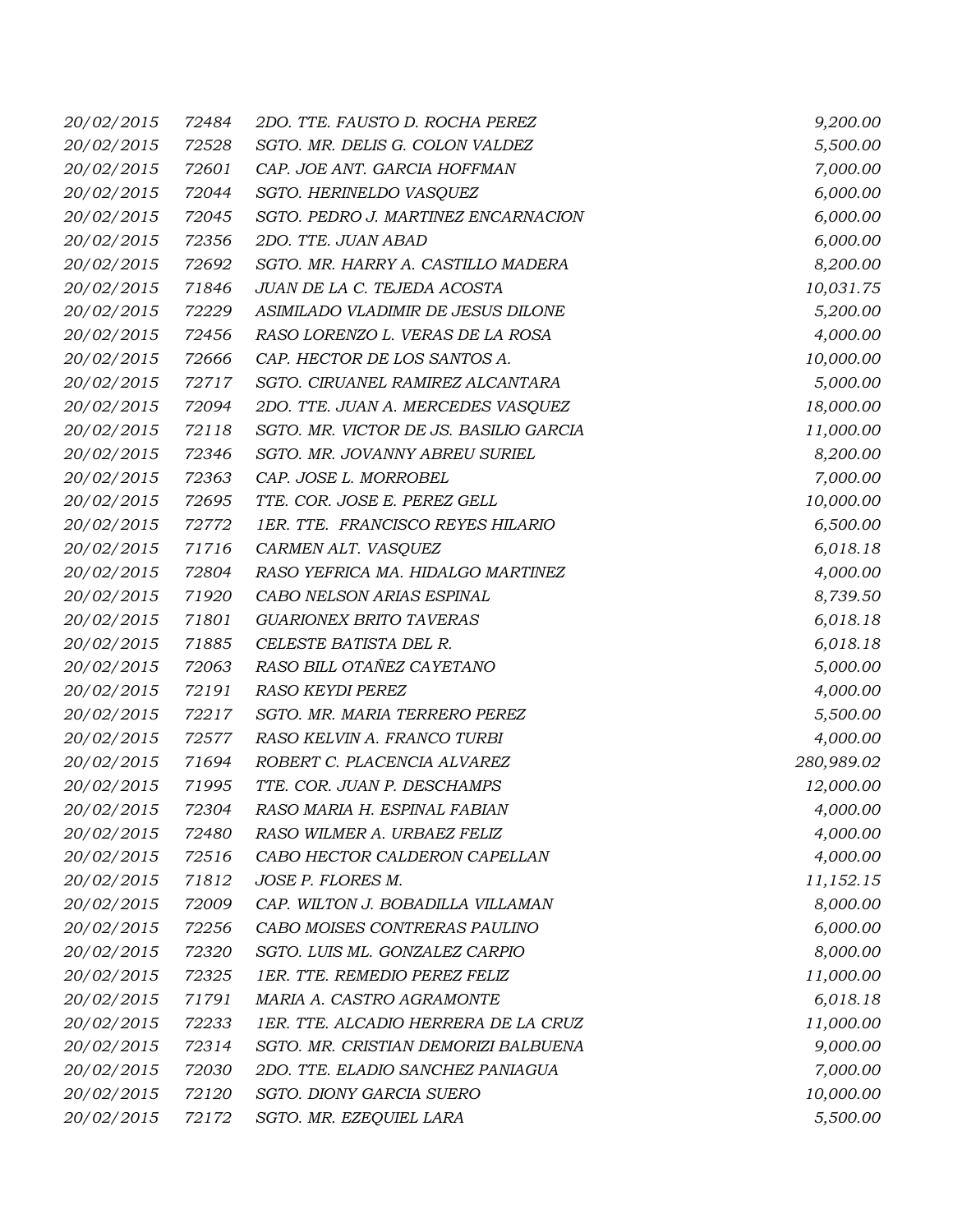| 20/02/2015        | 72484 | 2DO. TTE. FAUSTO D. ROCHA PEREZ        | 9,200.00   |
|-------------------|-------|----------------------------------------|------------|
| 20/02/2015        | 72528 | SGTO. MR. DELIS G. COLON VALDEZ        | 5,500.00   |
| 20/02/2015        | 72601 | CAP. JOE ANT. GARCIA HOFFMAN           | 7,000.00   |
| 20/02/2015        | 72044 | SGTO. HERINELDO VASQUEZ                | 6,000.00   |
| 20/02/2015        | 72045 | SGTO. PEDRO J. MARTINEZ ENCARNACION    | 6,000.00   |
| 20/02/2015        | 72356 | 2DO. TTE. JUAN ABAD                    | 6,000.00   |
| 20/02/2015        | 72692 | SGTO. MR. HARRY A. CASTILLO MADERA     | 8,200.00   |
| 20/02/2015        | 71846 | JUAN DE LA C. TEJEDA ACOSTA            | 10,031.75  |
| 20/02/2015        | 72229 | ASIMILADO VLADIMIR DE JESUS DILONE     | 5,200.00   |
| 20/02/2015        | 72456 | RASO LORENZO L. VERAS DE LA ROSA       | 4,000.00   |
| 20/02/2015        | 72666 | CAP. HECTOR DE LOS SANTOS A.           | 10,000.00  |
| 20/02/2015        | 72717 | SGTO. CIRUANEL RAMIREZ ALCANTARA       | 5,000.00   |
| 20/02/2015        | 72094 | 2DO. TTE. JUAN A. MERCEDES VASQUEZ     | 18,000.00  |
| 20/02/2015        | 72118 | SGTO. MR. VICTOR DE JS. BASILIO GARCIA | 11,000.00  |
| 20/02/2015        | 72346 | SGTO. MR. JOVANNY ABREU SURIEL         | 8,200.00   |
| 20/02/2015        | 72363 | CAP. JOSE L. MORROBEL                  | 7,000.00   |
| 20/02/2015        | 72695 | TTE. COR. JOSE E. PEREZ GELL           | 10,000.00  |
| 20/02/2015        | 72772 | 1ER. TTE. FRANCISCO REYES HILARIO      | 6,500.00   |
| 20/02/2015        | 71716 | CARMEN ALT. VASQUEZ                    | 6,018.18   |
| 20/02/2015        | 72804 | RASO YEFRICA MA. HIDALGO MARTINEZ      | 4,000.00   |
| 20/02/2015        | 71920 | CABO NELSON ARIAS ESPINAL              | 8,739.50   |
| 20/02/2015        | 71801 | <b>GUARIONEX BRITO TAVERAS</b>         | 6,018.18   |
| 20/02/2015        | 71885 | CELESTE BATISTA DEL R.                 | 6,018.18   |
| 20/02/2015        | 72063 | RASO BILL OTAÑEZ CAYETANO              | 5,000.00   |
| 20/02/2015        | 72191 | RASO KEYDI PEREZ                       | 4,000.00   |
| 20/02/2015        | 72217 | SGTO. MR. MARIA TERRERO PEREZ          | 5,500.00   |
| 20/02/2015        | 72577 | RASO KELVIN A. FRANCO TURBI            | 4,000.00   |
| 20/02/2015        | 71694 | ROBERT C. PLACENCIA ALVAREZ            | 280,989.02 |
| 20/02/2015        | 71995 | TTE. COR. JUAN P. DESCHAMPS            | 12,000.00  |
| <i>20/02/2015</i> | 72304 | RASO MARIA H. ESPINAL FABIAN           | 4,000.00   |
| 20/02/2015        | 72480 | RASO WILMER A. URBAEZ FELIZ            | 4,000.00   |
| 20/02/2015        | 72516 | CABO HECTOR CALDERON CAPELLAN          | 4,000.00   |
| 20/02/2015        | 71812 | JOSE P. FLORES M.                      | 11,152.15  |
| 20/02/2015        | 72009 | CAP. WILTON J. BOBADILLA VILLAMAN      | 8,000.00   |
| 20/02/2015        | 72256 | CABO MOISES CONTRERAS PAULINO          | 6,000.00   |
| 20/02/2015        | 72320 | SGTO. LUIS ML. GONZALEZ CARPIO         | 8,000.00   |
| 20/02/2015        | 72325 | 1ER. TTE. REMEDIO PEREZ FELIZ          | 11,000.00  |
| 20/02/2015        | 71791 | MARIA A. CASTRO AGRAMONTE              | 6,018.18   |
| 20/02/2015        | 72233 | 1ER. TTE. ALCADIO HERRERA DE LA CRUZ   | 11,000.00  |
| 20/02/2015        | 72314 | SGTO. MR. CRISTIAN DEMORIZI BALBUENA   | 9,000.00   |
| 20/02/2015        | 72030 | 2DO. TTE. ELADIO SANCHEZ PANIAGUA      | 7,000.00   |
| 20/02/2015        | 72120 | SGTO. DIONY GARCIA SUERO               | 10,000.00  |
| 20/02/2015        | 72172 | SGTO. MR. EZEQUIEL LARA                | 5,500.00   |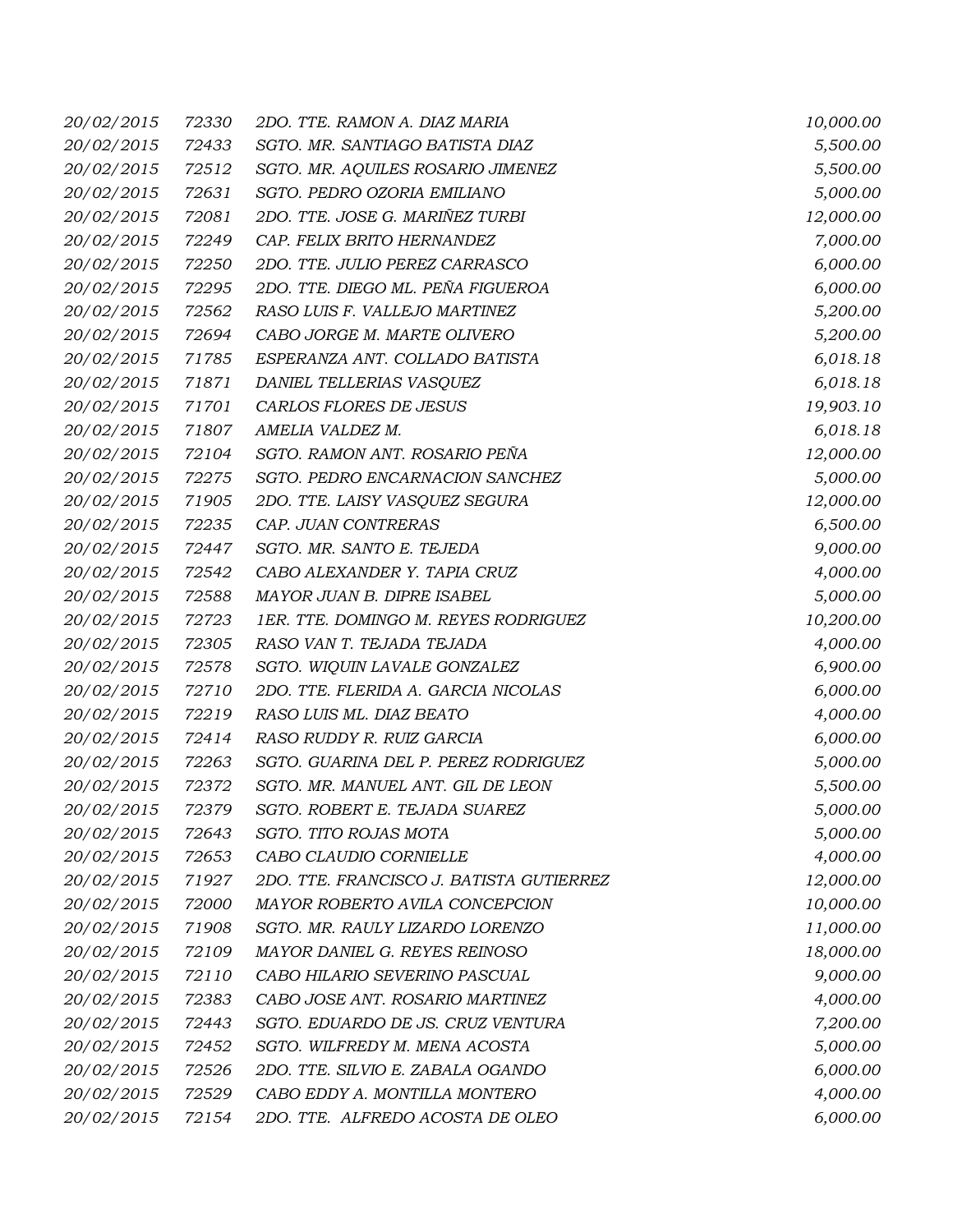| 20/02/2015        | 72330 | 2DO. TTE. RAMON A. DIAZ MARIA            | 10,000.00 |
|-------------------|-------|------------------------------------------|-----------|
| 20/02/2015        | 72433 | SGTO. MR. SANTIAGO BATISTA DIAZ          | 5,500.00  |
| 20/02/2015        | 72512 | SGTO. MR. AQUILES ROSARIO JIMENEZ        | 5,500.00  |
| 20/02/2015        | 72631 | SGTO. PEDRO OZORIA EMILIANO              | 5,000.00  |
| 20/02/2015        | 72081 | 2DO. TTE. JOSE G. MARIÑEZ TURBI          | 12,000.00 |
| 20/02/2015        | 72249 | CAP. FELIX BRITO HERNANDEZ               | 7,000.00  |
| 20/02/2015        | 72250 | 2DO. TTE. JULIO PEREZ CARRASCO           | 6,000.00  |
| 20/02/2015        | 72295 | 2DO. TTE. DIEGO ML. PEÑA FIGUEROA        | 6,000.00  |
| 20/02/2015        | 72562 | RASO LUIS F. VALLEJO MARTINEZ            | 5,200.00  |
| 20/02/2015        | 72694 | CABO JORGE M. MARTE OLIVERO              | 5,200.00  |
| 20/02/2015        | 71785 | ESPERANZA ANT. COLLADO BATISTA           | 6,018.18  |
| 20/02/2015        | 71871 | DANIEL TELLERIAS VASQUEZ                 | 6,018.18  |
| 20/02/2015        | 71701 | CARLOS FLORES DE JESUS                   | 19,903.10 |
| 20/02/2015        | 71807 | AMELIA VALDEZ M.                         | 6,018.18  |
| 20/02/2015        | 72104 | SGTO. RAMON ANT. ROSARIO PEÑA            | 12,000.00 |
| 20/02/2015        | 72275 | SGTO. PEDRO ENCARNACION SANCHEZ          | 5,000.00  |
| 20/02/2015        | 71905 | 2DO. TTE. LAISY VASQUEZ SEGURA           | 12,000.00 |
| 20/02/2015        | 72235 | CAP. JUAN CONTRERAS                      | 6,500.00  |
| 20/02/2015        | 72447 | SGTO. MR. SANTO E. TEJEDA                | 9,000.00  |
| 20/02/2015        | 72542 | CABO ALEXANDER Y. TAPIA CRUZ             | 4,000.00  |
| 20/02/2015        | 72588 | MAYOR JUAN B. DIPRE ISABEL               | 5,000.00  |
| 20/02/2015        | 72723 | 1ER. TTE. DOMINGO M. REYES RODRIGUEZ     | 10,200.00 |
| 20/02/2015        | 72305 | RASO VAN T. TEJADA TEJADA                | 4,000.00  |
| 20/02/2015        | 72578 | SGTO. WIQUIN LAVALE GONZALEZ             | 6,900.00  |
| 20/02/2015        | 72710 | 2DO. TTE. FLERIDA A. GARCIA NICOLAS      | 6,000.00  |
| 20/02/2015        | 72219 | RASO LUIS ML. DIAZ BEATO                 | 4,000.00  |
| 20/02/2015        | 72414 | RASO RUDDY R. RUIZ GARCIA                | 6,000.00  |
| 20/02/2015        | 72263 | SGTO. GUARINA DEL P. PEREZ RODRIGUEZ     | 5,000.00  |
| 20/02/2015        | 72372 | SGTO. MR. MANUEL ANT. GIL DE LEON        | 5,500.00  |
| <i>20/02/2015</i> | 72379 | SGTO. ROBERT E. TEJADA SUAREZ            | 5,000.00  |
| 20/02/2015        | 72643 | SGTO. TITO ROJAS MOTA                    | 5,000.00  |
| 20/02/2015        | 72653 | CABO CLAUDIO CORNIELLE                   | 4,000.00  |
| 20/02/2015        | 71927 | 2DO. TTE. FRANCISCO J. BATISTA GUTIERREZ | 12,000.00 |
| 20/02/2015        | 72000 | MAYOR ROBERTO AVILA CONCEPCION           | 10,000.00 |
| 20/02/2015        | 71908 | SGTO. MR. RAULY LIZARDO LORENZO          | 11,000.00 |
| 20/02/2015        | 72109 | MAYOR DANIEL G. REYES REINOSO            | 18,000.00 |
| 20/02/2015        | 72110 | CABO HILARIO SEVERINO PASCUAL            | 9,000.00  |
| 20/02/2015        | 72383 | CABO JOSE ANT. ROSARIO MARTINEZ          | 4,000.00  |
| 20/02/2015        | 72443 | SGTO. EDUARDO DE JS. CRUZ VENTURA        | 7,200.00  |
| 20/02/2015        | 72452 | SGTO. WILFREDY M. MENA ACOSTA            | 5,000.00  |
| 20/02/2015        | 72526 | 2DO. TTE. SILVIO E. ZABALA OGANDO        | 6,000.00  |
| 20/02/2015        | 72529 | CABO EDDY A. MONTILLA MONTERO            | 4,000.00  |
| 20/02/2015        | 72154 | 2DO. TTE. ALFREDO ACOSTA DE OLEO         | 6,000.00  |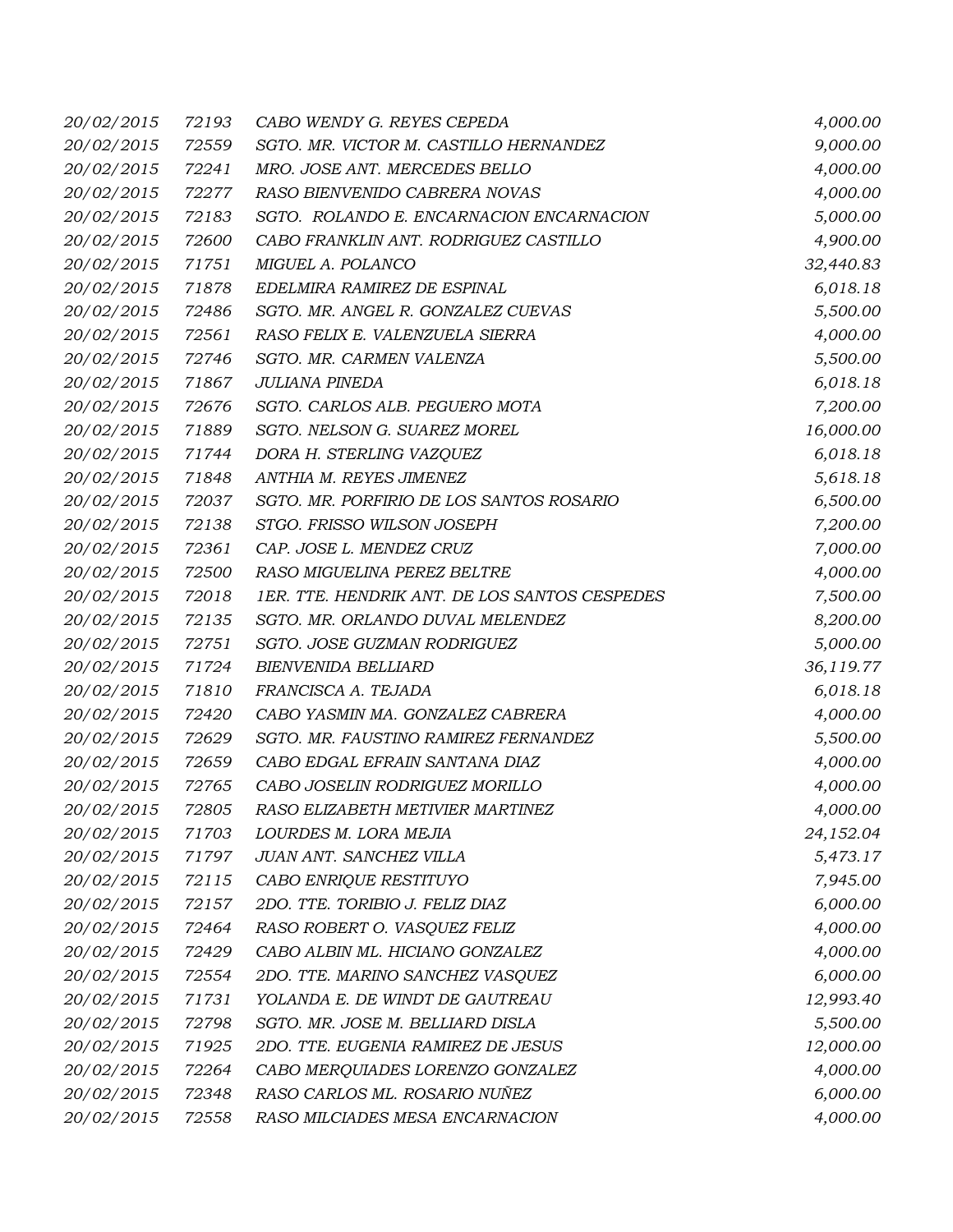| 20/02/2015        | 72193 | CABO WENDY G. REYES CEPEDA                    | 4,000.00  |
|-------------------|-------|-----------------------------------------------|-----------|
| 20/02/2015        | 72559 | SGTO. MR. VICTOR M. CASTILLO HERNANDEZ        | 9,000.00  |
| 20/02/2015        | 72241 | MRO. JOSE ANT. MERCEDES BELLO                 | 4,000.00  |
| 20/02/2015        | 72277 | RASO BIENVENIDO CABRERA NOVAS                 | 4,000.00  |
| 20/02/2015        | 72183 | SGTO. ROLANDO E. ENCARNACION ENCARNACION      | 5,000.00  |
| 20/02/2015        | 72600 | CABO FRANKLIN ANT. RODRIGUEZ CASTILLO         | 4,900.00  |
| 20/02/2015        | 71751 | MIGUEL A. POLANCO                             | 32,440.83 |
| 20/02/2015        | 71878 | EDELMIRA RAMIREZ DE ESPINAL                   | 6,018.18  |
| 20/02/2015        | 72486 | SGTO. MR. ANGEL R. GONZALEZ CUEVAS            | 5,500.00  |
| 20/02/2015        | 72561 | RASO FELIX E. VALENZUELA SIERRA               | 4,000.00  |
| 20/02/2015        | 72746 | SGTO. MR. CARMEN VALENZA                      | 5,500.00  |
| 20/02/2015        | 71867 | <b>JULIANA PINEDA</b>                         | 6,018.18  |
| 20/02/2015        | 72676 | SGTO. CARLOS ALB. PEGUERO MOTA                | 7,200.00  |
| 20/02/2015        | 71889 | SGTO. NELSON G. SUAREZ MOREL                  | 16,000.00 |
| 20/02/2015        | 71744 | DORA H. STERLING VAZQUEZ                      | 6,018.18  |
| 20/02/2015        | 71848 | ANTHIA M. REYES JIMENEZ                       | 5,618.18  |
| 20/02/2015        | 72037 | SGTO. MR. PORFIRIO DE LOS SANTOS ROSARIO      | 6,500.00  |
| 20/02/2015        | 72138 | STGO. FRISSO WILSON JOSEPH                    | 7,200.00  |
| 20/02/2015        | 72361 | CAP. JOSE L. MENDEZ CRUZ                      | 7,000.00  |
| 20/02/2015        | 72500 | RASO MIGUELINA PEREZ BELTRE                   | 4,000.00  |
| 20/02/2015        | 72018 | 1ER. TTE. HENDRIK ANT. DE LOS SANTOS CESPEDES | 7,500.00  |
| 20/02/2015        | 72135 | SGTO. MR. ORLANDO DUVAL MELENDEZ              | 8,200.00  |
| 20/02/2015        | 72751 | SGTO. JOSE GUZMAN RODRIGUEZ                   | 5,000.00  |
| 20/02/2015        | 71724 | <b>BIENVENIDA BELLIARD</b>                    | 36,119.77 |
| 20/02/2015        | 71810 | FRANCISCA A. TEJADA                           | 6,018.18  |
| 20/02/2015        | 72420 | CABO YASMIN MA. GONZALEZ CABRERA              | 4,000.00  |
| 20/02/2015        | 72629 | SGTO. MR. FAUSTINO RAMIREZ FERNANDEZ          | 5,500.00  |
| 20/02/2015        | 72659 | CABO EDGAL EFRAIN SANTANA DIAZ                | 4,000.00  |
| 20/02/2015        | 72765 | CABO JOSELIN RODRIGUEZ MORILLO                | 4,000.00  |
| <i>20/02/2015</i> | 72805 | RASO ELIZABETH METIVIER MARTINEZ              | 4,000.00  |
| 20/02/2015        | 71703 | LOURDES M. LORA MEJIA                         | 24,152.04 |
| 20/02/2015        | 71797 | JUAN ANT. SANCHEZ VILLA                       | 5,473.17  |
| 20/02/2015        | 72115 | CABO ENRIQUE RESTITUYO                        | 7,945.00  |
| 20/02/2015        | 72157 | 2DO. TTE. TORIBIO J. FELIZ DIAZ               | 6,000.00  |
| 20/02/2015        | 72464 | RASO ROBERT O. VASQUEZ FELIZ                  | 4,000.00  |
| 20/02/2015        | 72429 | CABO ALBIN ML. HICIANO GONZALEZ               | 4,000.00  |
| 20/02/2015        | 72554 | 2DO. TTE. MARINO SANCHEZ VASQUEZ              | 6,000.00  |
| 20/02/2015        | 71731 | YOLANDA E. DE WINDT DE GAUTREAU               | 12,993.40 |
| 20/02/2015        | 72798 | SGTO. MR. JOSE M. BELLIARD DISLA              | 5,500.00  |
| 20/02/2015        | 71925 | 2DO. TTE. EUGENIA RAMIREZ DE JESUS            | 12,000.00 |
| 20/02/2015        | 72264 | CABO MERQUIADES LORENZO GONZALEZ              | 4,000.00  |
| 20/02/2015        | 72348 | RASO CARLOS ML. ROSARIO NUÑEZ                 | 6,000.00  |
| 20/02/2015        | 72558 | RASO MILCIADES MESA ENCARNACION               | 4,000.00  |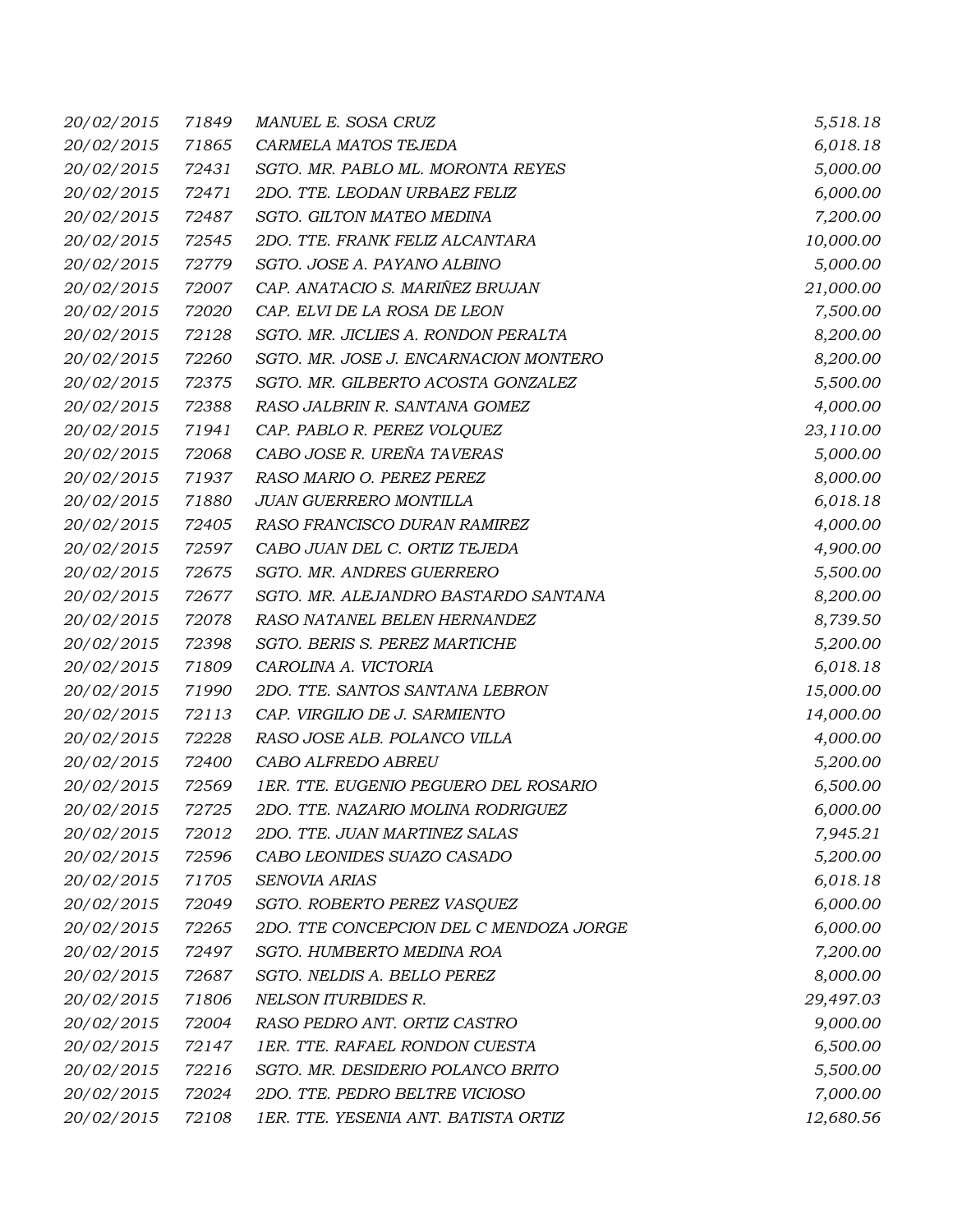| 20/02/2015        | 71849 | MANUEL E. SOSA CRUZ                     | 5,518.18  |
|-------------------|-------|-----------------------------------------|-----------|
| 20/02/2015        | 71865 | CARMELA MATOS TEJEDA                    | 6,018.18  |
| 20/02/2015        | 72431 | SGTO. MR. PABLO ML. MORONTA REYES       | 5,000.00  |
| 20/02/2015        | 72471 | 2DO. TTE. LEODAN URBAEZ FELIZ           | 6,000.00  |
| 20/02/2015        | 72487 | SGTO. GILTON MATEO MEDINA               | 7,200.00  |
| 20/02/2015        | 72545 | 2DO. TTE. FRANK FELIZ ALCANTARA         | 10,000.00 |
| 20/02/2015        | 72779 | SGTO. JOSE A. PAYANO ALBINO             | 5,000.00  |
| 20/02/2015        | 72007 | CAP. ANATACIO S. MARIÑEZ BRUJAN         | 21,000.00 |
| 20/02/2015        | 72020 | CAP. ELVI DE LA ROSA DE LEON            | 7,500.00  |
| 20/02/2015        | 72128 | SGTO. MR. JICLIES A. RONDON PERALTA     | 8,200.00  |
| 20/02/2015        | 72260 | SGTO. MR. JOSE J. ENCARNACION MONTERO   | 8,200.00  |
| 20/02/2015        | 72375 | SGTO. MR. GILBERTO ACOSTA GONZALEZ      | 5,500.00  |
| 20/02/2015        | 72388 | RASO JALBRIN R. SANTANA GOMEZ           | 4,000.00  |
| 20/02/2015        | 71941 | CAP. PABLO R. PEREZ VOLQUEZ             | 23,110.00 |
| 20/02/2015        | 72068 | CABO JOSE R. UREÑA TAVERAS              | 5,000.00  |
| 20/02/2015        | 71937 | RASO MARIO O. PEREZ PEREZ               | 8,000.00  |
| 20/02/2015        | 71880 | JUAN GUERRERO MONTILLA                  | 6,018.18  |
| 20/02/2015        | 72405 | RASO FRANCISCO DURAN RAMIREZ            | 4,000.00  |
| 20/02/2015        | 72597 | CABO JUAN DEL C. ORTIZ TEJEDA           | 4,900.00  |
| 20/02/2015        | 72675 | SGTO. MR. ANDRES GUERRERO               | 5,500.00  |
| 20/02/2015        | 72677 | SGTO. MR. ALEJANDRO BASTARDO SANTANA    | 8,200.00  |
| 20/02/2015        | 72078 | RASO NATANEL BELEN HERNANDEZ            | 8,739.50  |
| 20/02/2015        | 72398 | SGTO. BERIS S. PEREZ MARTICHE           | 5,200.00  |
| 20/02/2015        | 71809 | CAROLINA A. VICTORIA                    | 6,018.18  |
| 20/02/2015        | 71990 | 2DO. TTE. SANTOS SANTANA LEBRON         | 15,000.00 |
| 20/02/2015        | 72113 | CAP. VIRGILIO DE J. SARMIENTO           | 14,000.00 |
| 20/02/2015        | 72228 | RASO JOSE ALB. POLANCO VILLA            | 4,000.00  |
| 20/02/2015        | 72400 | CABO ALFREDO ABREU                      | 5,200.00  |
| 20/02/2015        | 72569 | 1ER. TTE. EUGENIO PEGUERO DEL ROSARIO   | 6,500.00  |
| <i>20/02/2015</i> | 72725 | 2DO. TTE. NAZARIO MOLINA RODRIGUEZ      | 6,000.00  |
| 20/02/2015        | 72012 | 2DO. TTE. JUAN MARTINEZ SALAS           | 7,945.21  |
| 20/02/2015        | 72596 | CABO LEONIDES SUAZO CASADO              | 5,200.00  |
| 20/02/2015        | 71705 | SENOVIA ARIAS                           | 6,018.18  |
| 20/02/2015        | 72049 | SGTO. ROBERTO PEREZ VASQUEZ             | 6,000.00  |
| 20/02/2015        | 72265 | 2DO. TTE CONCEPCION DEL C MENDOZA JORGE | 6,000.00  |
| 20/02/2015        | 72497 | SGTO. HUMBERTO MEDINA ROA               | 7,200.00  |
| 20/02/2015        | 72687 | SGTO. NELDIS A. BELLO PEREZ             | 8,000.00  |
| 20/02/2015        | 71806 | NELSON ITURBIDES R.                     | 29,497.03 |
| 20/02/2015        | 72004 | RASO PEDRO ANT. ORTIZ CASTRO            | 9,000.00  |
| 20/02/2015        | 72147 | 1ER. TTE. RAFAEL RONDON CUESTA          | 6,500.00  |
| 20/02/2015        | 72216 | SGTO. MR. DESIDERIO POLANCO BRITO       | 5,500.00  |
| 20/02/2015        | 72024 | 2DO. TTE. PEDRO BELTRE VICIOSO          | 7,000.00  |
| 20/02/2015        | 72108 | 1ER. TTE. YESENIA ANT. BATISTA ORTIZ    | 12,680.56 |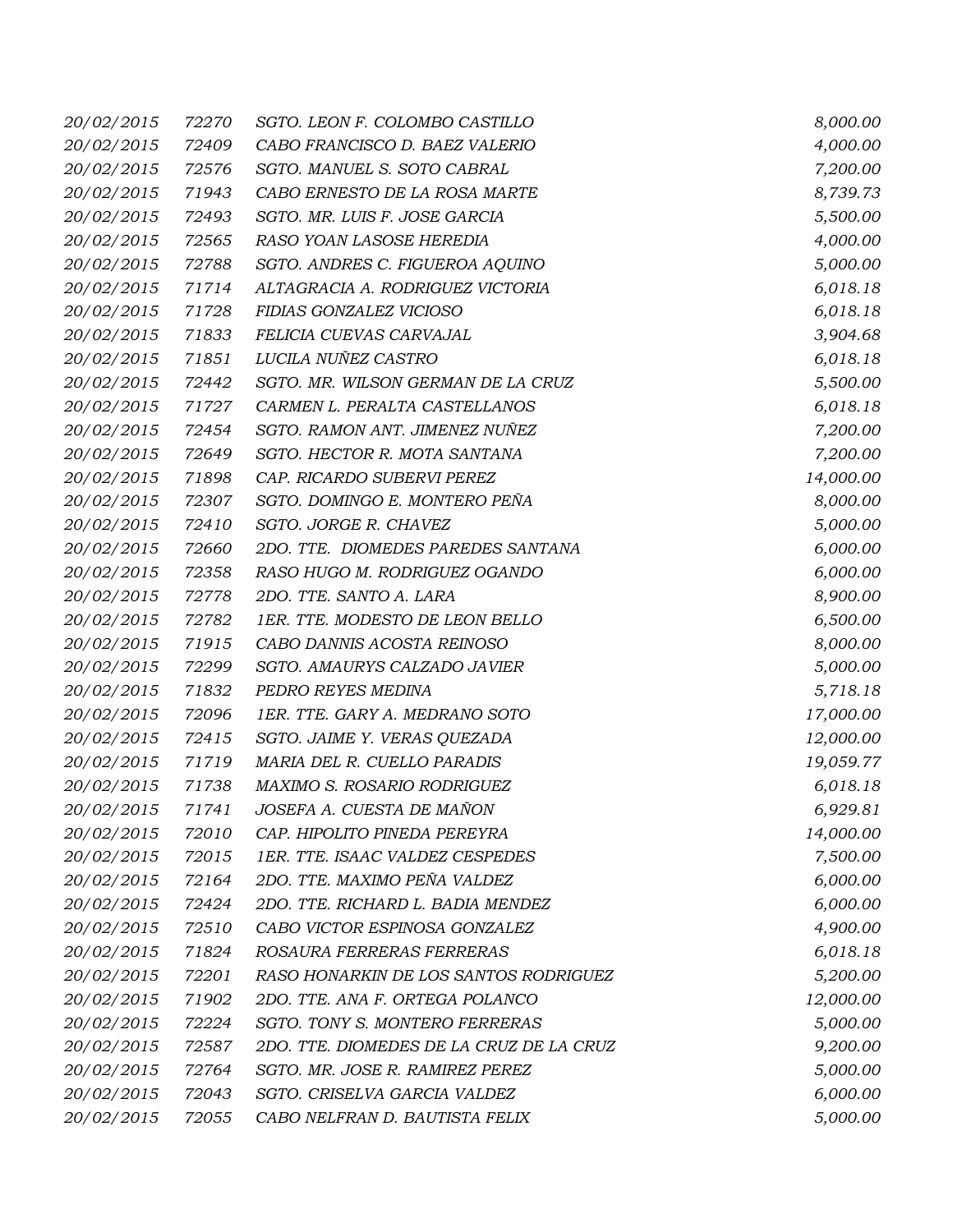| 20/02/2015        | 72270 | SGTO. LEON F. COLOMBO CASTILLO           | 8,000.00  |
|-------------------|-------|------------------------------------------|-----------|
| 20/02/2015        | 72409 | CABO FRANCISCO D. BAEZ VALERIO           | 4,000.00  |
| 20/02/2015        | 72576 | SGTO. MANUEL S. SOTO CABRAL              | 7,200.00  |
| 20/02/2015        | 71943 | CABO ERNESTO DE LA ROSA MARTE            | 8,739.73  |
| 20/02/2015        | 72493 | SGTO. MR. LUIS F. JOSE GARCIA            | 5,500.00  |
| 20/02/2015        | 72565 | RASO YOAN LASOSE HEREDIA                 | 4,000.00  |
| 20/02/2015        | 72788 | SGTO. ANDRES C. FIGUEROA AQUINO          | 5,000.00  |
| 20/02/2015        | 71714 | ALTAGRACIA A. RODRIGUEZ VICTORIA         | 6,018.18  |
| 20/02/2015        | 71728 | FIDIAS GONZALEZ VICIOSO                  | 6,018.18  |
| 20/02/2015        | 71833 | FELICIA CUEVAS CARVAJAL                  | 3,904.68  |
| 20/02/2015        | 71851 | LUCILA NUÑEZ CASTRO                      | 6,018.18  |
| 20/02/2015        | 72442 | SGTO. MR. WILSON GERMAN DE LA CRUZ       | 5,500.00  |
| 20/02/2015        | 71727 | CARMEN L. PERALTA CASTELLANOS            | 6,018.18  |
| 20/02/2015        | 72454 | SGTO. RAMON ANT. JIMENEZ NUÑEZ           | 7,200.00  |
| 20/02/2015        | 72649 | SGTO. HECTOR R. MOTA SANTANA             | 7,200.00  |
| 20/02/2015        | 71898 | CAP. RICARDO SUBERVI PEREZ               | 14,000.00 |
| 20/02/2015        | 72307 | SGTO. DOMINGO E. MONTERO PEÑA            | 8,000.00  |
| 20/02/2015        | 72410 | SGTO. JORGE R. CHAVEZ                    | 5,000.00  |
| 20/02/2015        | 72660 | 2DO. TTE. DIOMEDES PAREDES SANTANA       | 6,000.00  |
| 20/02/2015        | 72358 | RASO HUGO M. RODRIGUEZ OGANDO            | 6,000.00  |
| 20/02/2015        | 72778 | 2DO. TTE. SANTO A. LARA                  | 8,900.00  |
| 20/02/2015        | 72782 | 1ER. TTE. MODESTO DE LEON BELLO          | 6,500.00  |
| 20/02/2015        | 71915 | CABO DANNIS ACOSTA REINOSO               | 8,000.00  |
| 20/02/2015        | 72299 | SGTO. AMAURYS CALZADO JAVIER             | 5,000.00  |
| 20/02/2015        | 71832 | PEDRO REYES MEDINA                       | 5,718.18  |
| 20/02/2015        | 72096 | 1ER. TTE. GARY A. MEDRANO SOTO           | 17,000.00 |
| 20/02/2015        | 72415 | SGTO. JAIME Y. VERAS QUEZADA             | 12,000.00 |
| 20/02/2015        | 71719 | MARIA DEL R. CUELLO PARADIS              | 19,059.77 |
| 20/02/2015        | 71738 | MAXIMO S. ROSARIO RODRIGUEZ              | 6,018.18  |
| <i>20/02/2015</i> | 71741 | JOSEFA A. CUESTA DE MAÑON                | 6,929.81  |
| 20/02/2015        | 72010 | CAP. HIPOLITO PINEDA PEREYRA             | 14,000.00 |
| 20/02/2015        | 72015 | 1ER. TTE. ISAAC VALDEZ CESPEDES          | 7,500.00  |
| 20/02/2015        | 72164 | 2DO. TTE. MAXIMO PEÑA VALDEZ             | 6,000.00  |
| 20/02/2015        | 72424 | 2DO. TTE. RICHARD L. BADIA MENDEZ        | 6,000.00  |
| 20/02/2015        | 72510 | CABO VICTOR ESPINOSA GONZALEZ            | 4,900.00  |
| 20/02/2015        | 71824 | ROSAURA FERRERAS FERRERAS                | 6,018.18  |
| 20/02/2015        | 72201 | RASO HONARKIN DE LOS SANTOS RODRIGUEZ    | 5,200.00  |
| 20/02/2015        | 71902 | 2DO. TTE. ANA F. ORTEGA POLANCO          | 12,000.00 |
| 20/02/2015        | 72224 | SGTO. TONY S. MONTERO FERRERAS           | 5,000.00  |
| 20/02/2015        | 72587 | 2DO. TTE. DIOMEDES DE LA CRUZ DE LA CRUZ | 9,200.00  |
| 20/02/2015        | 72764 | SGTO. MR. JOSE R. RAMIREZ PEREZ          | 5,000.00  |
| 20/02/2015        | 72043 | SGTO. CRISELVA GARCIA VALDEZ             | 6,000.00  |
| 20/02/2015        | 72055 | CABO NELFRAN D. BAUTISTA FELIX           | 5,000.00  |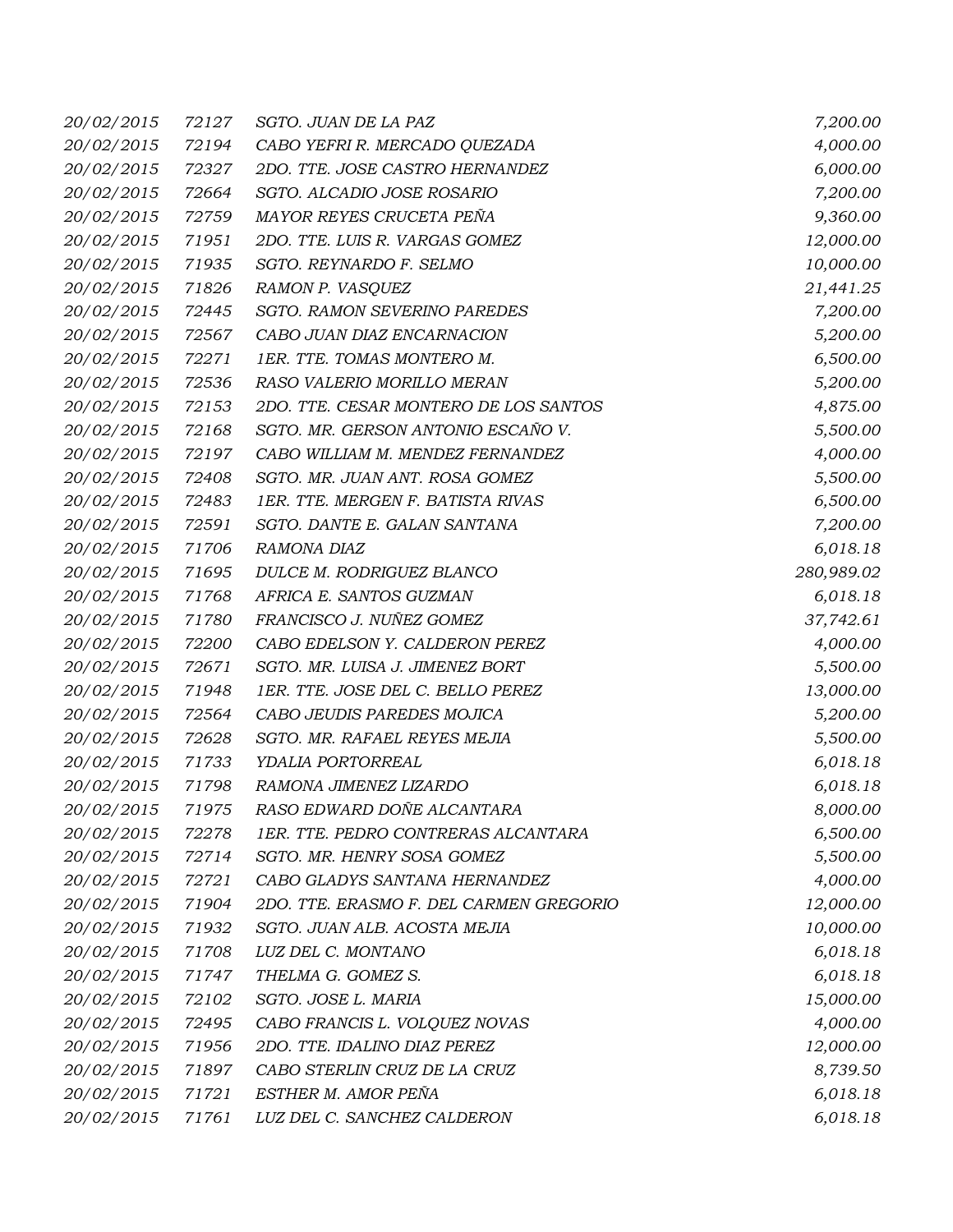| 20/02/2015        | 72127 | SGTO. JUAN DE LA PAZ                    | 7,200.00   |
|-------------------|-------|-----------------------------------------|------------|
| 20/02/2015        | 72194 | CABO YEFRI R. MERCADO QUEZADA           | 4,000.00   |
| 20/02/2015        | 72327 | 2DO. TTE. JOSE CASTRO HERNANDEZ         | 6,000.00   |
| 20/02/2015        | 72664 | SGTO. ALCADIO JOSE ROSARIO              | 7,200.00   |
| 20/02/2015        | 72759 | MAYOR REYES CRUCETA PEÑA                | 9,360.00   |
| 20/02/2015        | 71951 | 2DO. TTE. LUIS R. VARGAS GOMEZ          | 12,000.00  |
| 20/02/2015        | 71935 | SGTO. REYNARDO F. SELMO                 | 10,000.00  |
| 20/02/2015        | 71826 | RAMON P. VASQUEZ                        | 21,441.25  |
| 20/02/2015        | 72445 | SGTO. RAMON SEVERINO PAREDES            | 7,200.00   |
| 20/02/2015        | 72567 | CABO JUAN DIAZ ENCARNACION              | 5,200.00   |
| 20/02/2015        | 72271 | 1ER. TTE. TOMAS MONTERO M.              | 6,500.00   |
| 20/02/2015        | 72536 | RASO VALERIO MORILLO MERAN              | 5,200.00   |
| 20/02/2015        | 72153 | 2DO. TTE. CESAR MONTERO DE LOS SANTOS   | 4,875.00   |
| 20/02/2015        | 72168 | SGTO. MR. GERSON ANTONIO ESCAÑO V.      | 5,500.00   |
| 20/02/2015        | 72197 | CABO WILLIAM M. MENDEZ FERNANDEZ        | 4,000.00   |
| 20/02/2015        | 72408 | SGTO. MR. JUAN ANT. ROSA GOMEZ          | 5,500.00   |
| 20/02/2015        | 72483 | 1ER. TTE. MERGEN F. BATISTA RIVAS       | 6,500.00   |
| 20/02/2015        | 72591 | SGTO. DANTE E. GALAN SANTANA            | 7,200.00   |
| 20/02/2015        | 71706 | RAMONA DIAZ                             | 6,018.18   |
| 20/02/2015        | 71695 | DULCE M. RODRIGUEZ BLANCO               | 280,989.02 |
| 20/02/2015        | 71768 | AFRICA E. SANTOS GUZMAN                 | 6,018.18   |
| 20/02/2015        | 71780 | FRANCISCO J. NUÑEZ GOMEZ                | 37,742.61  |
| 20/02/2015        | 72200 | CABO EDELSON Y. CALDERON PEREZ          | 4,000.00   |
| 20/02/2015        | 72671 | SGTO. MR. LUISA J. JIMENEZ BORT         | 5,500.00   |
| 20/02/2015        | 71948 | 1ER. TTE. JOSE DEL C. BELLO PEREZ       | 13,000.00  |
| 20/02/2015        | 72564 | CABO JEUDIS PAREDES MOJICA              | 5,200.00   |
| 20/02/2015        | 72628 | SGTO. MR. RAFAEL REYES MEJIA            | 5,500.00   |
| 20/02/2015        | 71733 | YDALIA PORTORREAL                       | 6,018.18   |
| 20/02/2015        | 71798 | RAMONA JIMENEZ LIZARDO                  | 6,018.18   |
| <i>20/02/2015</i> | 71975 | RASO EDWARD DOÑE ALCANTARA              | 8,000.00   |
| 20/02/2015        | 72278 | 1ER. TTE. PEDRO CONTRERAS ALCANTARA     | 6,500.00   |
| 20/02/2015        | 72714 | SGTO. MR. HENRY SOSA GOMEZ              | 5,500.00   |
| 20/02/2015        | 72721 | CABO GLADYS SANTANA HERNANDEZ           | 4,000.00   |
| 20/02/2015        | 71904 | 2DO. TTE. ERASMO F. DEL CARMEN GREGORIO | 12,000.00  |
| 20/02/2015        | 71932 | SGTO. JUAN ALB. ACOSTA MEJIA            | 10,000.00  |
| 20/02/2015        | 71708 | LUZ DEL C. MONTANO                      | 6,018.18   |
| 20/02/2015        | 71747 | THELMA G. GOMEZ S.                      | 6,018.18   |
| 20/02/2015        | 72102 | SGTO. JOSE L. MARIA                     | 15,000.00  |
| 20/02/2015        | 72495 | CABO FRANCIS L. VOLQUEZ NOVAS           | 4,000.00   |
| 20/02/2015        | 71956 | 2DO. TTE. IDALINO DIAZ PEREZ            | 12,000.00  |
| 20/02/2015        | 71897 | CABO STERLIN CRUZ DE LA CRUZ            | 8,739.50   |
| 20/02/2015        | 71721 | ESTHER M. AMOR PEÑA                     | 6,018.18   |
| 20/02/2015        | 71761 | LUZ DEL C. SANCHEZ CALDERON             | 6,018.18   |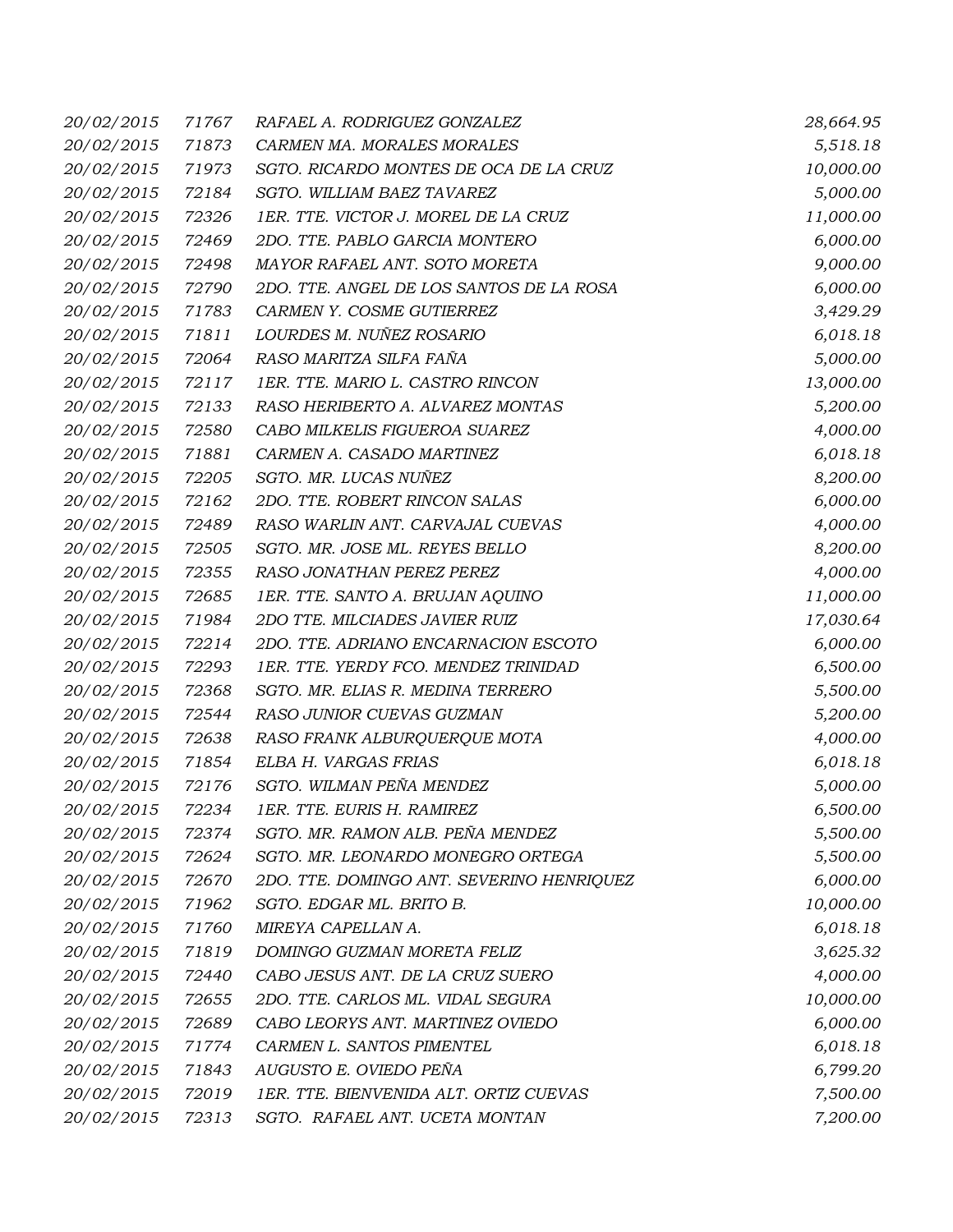| 20/02/2015        | 71767 | RAFAEL A. RODRIGUEZ GONZALEZ              | 28,664.95 |
|-------------------|-------|-------------------------------------------|-----------|
| 20/02/2015        | 71873 | CARMEN MA. MORALES MORALES                | 5,518.18  |
| 20/02/2015        | 71973 | SGTO. RICARDO MONTES DE OCA DE LA CRUZ    | 10,000.00 |
| 20/02/2015        | 72184 | SGTO. WILLIAM BAEZ TAVAREZ                | 5,000.00  |
| 20/02/2015        | 72326 | 1ER. TTE. VICTOR J. MOREL DE LA CRUZ      | 11,000.00 |
| 20/02/2015        | 72469 | 2DO. TTE. PABLO GARCIA MONTERO            | 6,000.00  |
| 20/02/2015        | 72498 | MAYOR RAFAEL ANT. SOTO MORETA             | 9,000.00  |
| 20/02/2015        | 72790 | 2DO. TTE. ANGEL DE LOS SANTOS DE LA ROSA  | 6,000.00  |
| 20/02/2015        | 71783 | CARMEN Y. COSME GUTIERREZ                 | 3,429.29  |
| 20/02/2015        | 71811 | LOURDES M. NUÑEZ ROSARIO                  | 6,018.18  |
| 20/02/2015        | 72064 | RASO MARITZA SILFA FAÑA                   | 5,000.00  |
| 20/02/2015        | 72117 | 1ER. TTE. MARIO L. CASTRO RINCON          | 13,000.00 |
| 20/02/2015        | 72133 | RASO HERIBERTO A. ALVAREZ MONTAS          | 5,200.00  |
| 20/02/2015        | 72580 | CABO MILKELIS FIGUEROA SUAREZ             | 4,000.00  |
| 20/02/2015        | 71881 | CARMEN A. CASADO MARTINEZ                 | 6,018.18  |
| 20/02/2015        | 72205 | SGTO. MR. LUCAS NUÑEZ                     | 8,200.00  |
| 20/02/2015        | 72162 | 2DO. TTE. ROBERT RINCON SALAS             | 6,000.00  |
| 20/02/2015        | 72489 | RASO WARLIN ANT. CARVAJAL CUEVAS          | 4,000.00  |
| 20/02/2015        | 72505 | SGTO. MR. JOSE ML. REYES BELLO            | 8,200.00  |
| 20/02/2015        | 72355 | RASO JONATHAN PEREZ PEREZ                 | 4,000.00  |
| 20/02/2015        | 72685 | 1ER. TTE. SANTO A. BRUJAN AQUINO          | 11,000.00 |
| 20/02/2015        | 71984 | 2DO TTE. MILCIADES JAVIER RUIZ            | 17,030.64 |
| 20/02/2015        | 72214 | 2DO. TTE. ADRIANO ENCARNACION ESCOTO      | 6,000.00  |
| 20/02/2015        | 72293 | 1ER. TTE. YERDY FCO. MENDEZ TRINIDAD      | 6,500.00  |
| 20/02/2015        | 72368 | SGTO. MR. ELIAS R. MEDINA TERRERO         | 5,500.00  |
| 20/02/2015        | 72544 | RASO JUNIOR CUEVAS GUZMAN                 | 5,200.00  |
| 20/02/2015        | 72638 | RASO FRANK ALBURQUERQUE MOTA              | 4,000.00  |
| 20/02/2015        | 71854 | ELBA H. VARGAS FRIAS                      | 6,018.18  |
| 20/02/2015        | 72176 | SGTO. WILMAN PEÑA MENDEZ                  | 5,000.00  |
| <i>20/02/2015</i> |       | 72234 IER. TTE. EURIS H. RAMIREZ          | 6,500.00  |
| 20/02/2015        | 72374 | SGTO. MR. RAMON ALB. PEÑA MENDEZ          | 5,500.00  |
| 20/02/2015        | 72624 | SGTO. MR. LEONARDO MONEGRO ORTEGA         | 5,500.00  |
| 20/02/2015        | 72670 | 2DO. TTE. DOMINGO ANT. SEVERINO HENRIQUEZ | 6,000.00  |
| 20/02/2015        | 71962 | SGTO. EDGAR ML. BRITO B.                  | 10,000.00 |
| 20/02/2015        | 71760 | MIREYA CAPELLAN A.                        | 6,018.18  |
| 20/02/2015        | 71819 | DOMINGO GUZMAN MORETA FELIZ               | 3,625.32  |
| 20/02/2015        | 72440 | CABO JESUS ANT. DE LA CRUZ SUERO          | 4,000.00  |
| 20/02/2015        | 72655 | 2DO. TTE. CARLOS ML. VIDAL SEGURA         | 10,000.00 |
| 20/02/2015        | 72689 | CABO LEORYS ANT. MARTINEZ OVIEDO          | 6,000.00  |
| 20/02/2015        | 71774 | CARMEN L. SANTOS PIMENTEL                 | 6,018.18  |
| 20/02/2015        | 71843 | AUGUSTO E. OVIEDO PEÑA                    | 6,799.20  |
| 20/02/2015        | 72019 | 1ER. TTE. BIENVENIDA ALT. ORTIZ CUEVAS    | 7,500.00  |
| 20/02/2015        | 72313 | SGTO. RAFAEL ANT. UCETA MONTAN            | 7,200.00  |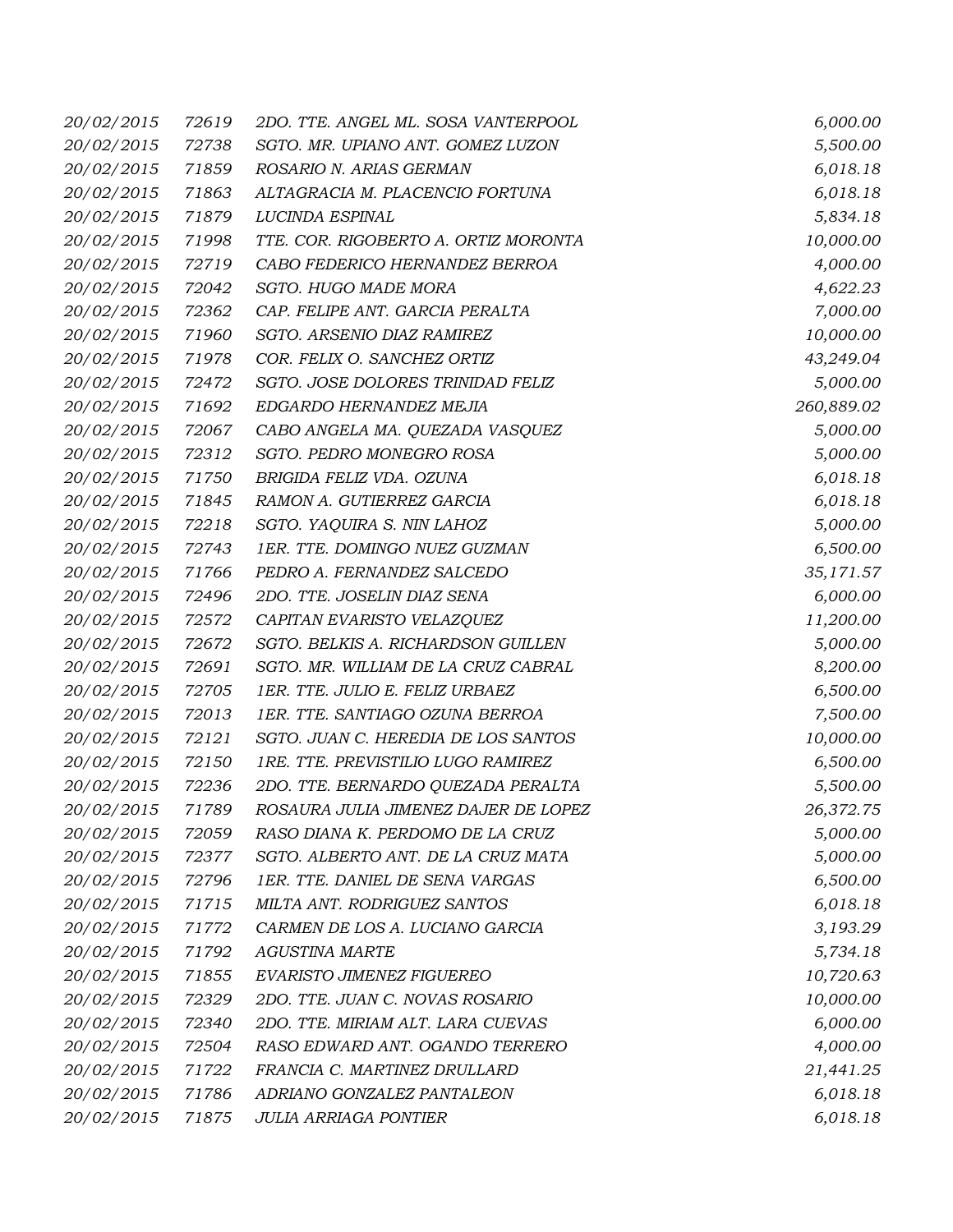| 20/02/2015        | 72619 | 2DO. TTE. ANGEL ML. SOSA VANTERPOOL  | 6,000.00   |
|-------------------|-------|--------------------------------------|------------|
| 20/02/2015        | 72738 | SGTO. MR. UPIANO ANT. GOMEZ LUZON    | 5,500.00   |
| 20/02/2015        | 71859 | ROSARIO N. ARIAS GERMAN              | 6,018.18   |
| 20/02/2015        | 71863 | ALTAGRACIA M. PLACENCIO FORTUNA      | 6,018.18   |
| 20/02/2015        | 71879 | LUCINDA ESPINAL                      | 5,834.18   |
| 20/02/2015        | 71998 | TTE. COR. RIGOBERTO A. ORTIZ MORONTA | 10,000.00  |
| 20/02/2015        | 72719 | CABO FEDERICO HERNANDEZ BERROA       | 4,000.00   |
| 20/02/2015        | 72042 | SGTO. HUGO MADE MORA                 | 4,622.23   |
| 20/02/2015        | 72362 | CAP. FELIPE ANT. GARCIA PERALTA      | 7,000.00   |
| 20/02/2015        | 71960 | SGTO. ARSENIO DIAZ RAMIREZ           | 10,000.00  |
| 20/02/2015        | 71978 | COR. FELIX O. SANCHEZ ORTIZ          | 43,249.04  |
| 20/02/2015        | 72472 | SGTO. JOSE DOLORES TRINIDAD FELIZ    | 5,000.00   |
| 20/02/2015        | 71692 | EDGARDO HERNANDEZ MEJIA              | 260,889.02 |
| 20/02/2015        | 72067 | CABO ANGELA MA. QUEZADA VASQUEZ      | 5,000.00   |
| 20/02/2015        | 72312 | SGTO. PEDRO MONEGRO ROSA             | 5,000.00   |
| 20/02/2015        | 71750 | BRIGIDA FELIZ VDA. OZUNA             | 6,018.18   |
| 20/02/2015        | 71845 | RAMON A. GUTIERREZ GARCIA            | 6,018.18   |
| 20/02/2015        | 72218 | SGTO. YAQUIRA S. NIN LAHOZ           | 5,000.00   |
| 20/02/2015        | 72743 | 1ER. TTE. DOMINGO NUEZ GUZMAN        | 6,500.00   |
| 20/02/2015        | 71766 | PEDRO A. FERNANDEZ SALCEDO           | 35,171.57  |
| 20/02/2015        | 72496 | 2DO. TTE. JOSELIN DIAZ SENA          | 6,000.00   |
| 20/02/2015        | 72572 | CAPITAN EVARISTO VELAZQUEZ           | 11,200.00  |
| 20/02/2015        | 72672 | SGTO. BELKIS A. RICHARDSON GUILLEN   | 5,000.00   |
| 20/02/2015        | 72691 | SGTO. MR. WILLIAM DE LA CRUZ CABRAL  | 8,200.00   |
| 20/02/2015        | 72705 | 1ER. TTE. JULIO E. FELIZ URBAEZ      | 6,500.00   |
| 20/02/2015        | 72013 | 1ER. TTE. SANTIAGO OZUNA BERROA      | 7,500.00   |
| 20/02/2015        | 72121 | SGTO. JUAN C. HEREDIA DE LOS SANTOS  | 10,000.00  |
| 20/02/2015        | 72150 | 1RE. TTE. PREVISTILIO LUGO RAMIREZ   | 6,500.00   |
| 20/02/2015        | 72236 | 2DO. TTE. BERNARDO QUEZADA PERALTA   | 5,500.00   |
| <i>20/02/2015</i> | 71789 | ROSAURA JULIA JIMENEZ DAJER DE LOPEZ | 26,372.75  |
| 20/02/2015        | 72059 | RASO DIANA K. PERDOMO DE LA CRUZ     | 5,000.00   |
| 20/02/2015        | 72377 | SGTO. ALBERTO ANT. DE LA CRUZ MATA   | 5,000.00   |
| 20/02/2015        | 72796 | 1ER. TTE. DANIEL DE SENA VARGAS      | 6,500.00   |
| 20/02/2015        | 71715 | MILTA ANT. RODRIGUEZ SANTOS          | 6,018.18   |
| 20/02/2015        | 71772 | CARMEN DE LOS A. LUCIANO GARCIA      | 3,193.29   |
| 20/02/2015        | 71792 | <b>AGUSTINA MARTE</b>                | 5,734.18   |
| 20/02/2015        | 71855 | EVARISTO JIMENEZ FIGUEREO            | 10,720.63  |
| 20/02/2015        | 72329 | 2DO. TTE. JUAN C. NOVAS ROSARIO      | 10,000.00  |
| 20/02/2015        | 72340 | 2DO. TTE. MIRIAM ALT. LARA CUEVAS    | 6,000.00   |
| 20/02/2015        | 72504 | RASO EDWARD ANT. OGANDO TERRERO      | 4,000.00   |
| 20/02/2015        | 71722 | FRANCIA C. MARTINEZ DRULLARD         | 21,441.25  |
| 20/02/2015        | 71786 | ADRIANO GONZALEZ PANTALEON           | 6,018.18   |
| 20/02/2015        | 71875 | <b>JULIA ARRIAGA PONTIER</b>         | 6,018.18   |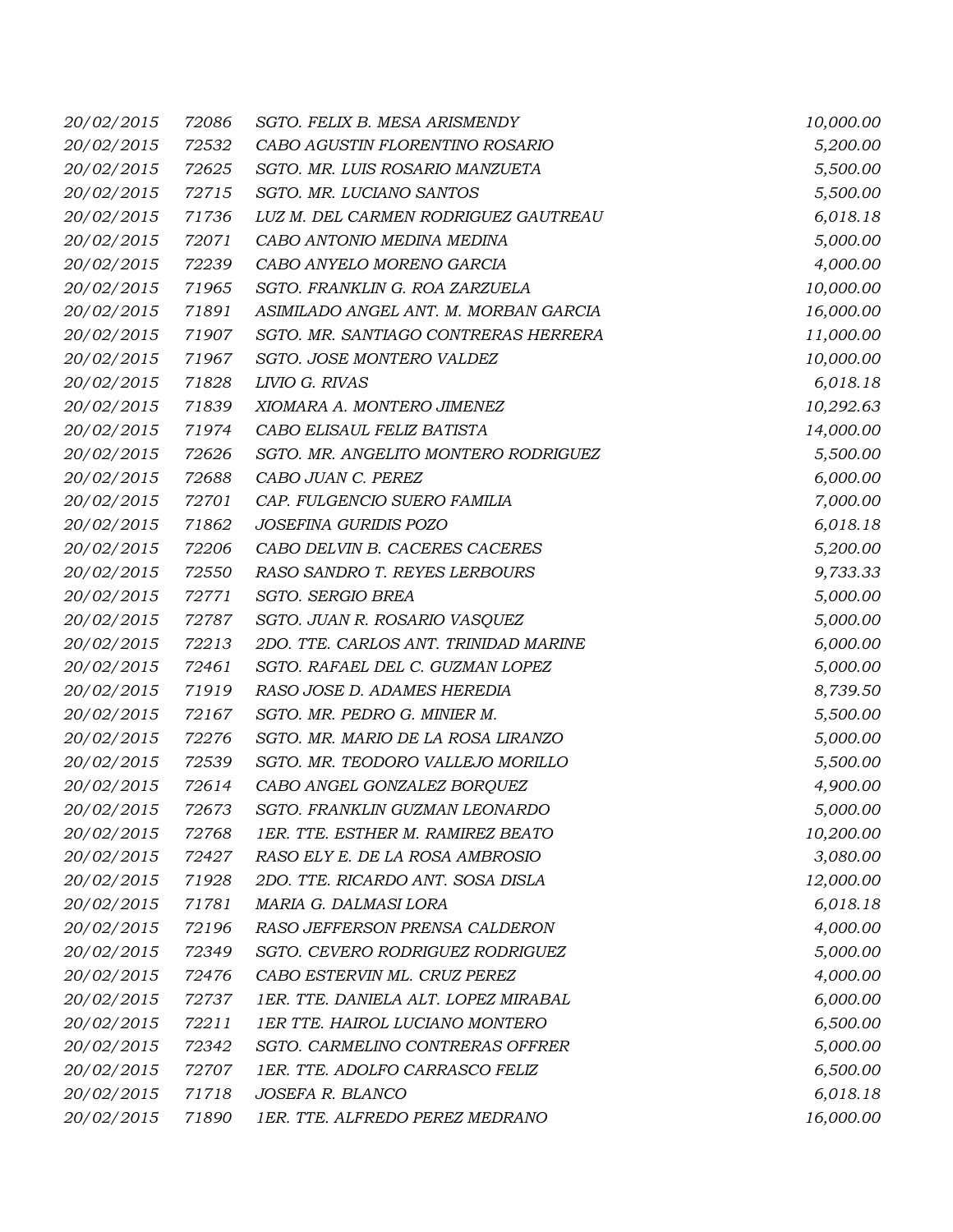| 20/02/2015        | 72086 | SGTO. FELIX B. MESA ARISMENDY            | 10,000.00 |
|-------------------|-------|------------------------------------------|-----------|
| 20/02/2015        | 72532 | CABO AGUSTIN FLORENTINO ROSARIO          | 5,200.00  |
| 20/02/2015        | 72625 | SGTO. MR. LUIS ROSARIO MANZUETA          | 5,500.00  |
| 20/02/2015        | 72715 | SGTO. MR. LUCIANO SANTOS                 | 5,500.00  |
| 20/02/2015        | 71736 | LUZ M. DEL CARMEN RODRIGUEZ GAUTREAU     | 6,018.18  |
| 20/02/2015        | 72071 | CABO ANTONIO MEDINA MEDINA               | 5,000.00  |
| 20/02/2015        | 72239 | CABO ANYELO MORENO GARCIA                | 4,000.00  |
| 20/02/2015        | 71965 | SGTO. FRANKLIN G. ROA ZARZUELA           | 10,000.00 |
| 20/02/2015        | 71891 | ASIMILADO ANGEL ANT. M. MORBAN GARCIA    | 16,000.00 |
| 20/02/2015        | 71907 | SGTO. MR. SANTIAGO CONTRERAS HERRERA     | 11,000.00 |
| 20/02/2015        | 71967 | SGTO. JOSE MONTERO VALDEZ                | 10,000.00 |
| 20/02/2015        | 71828 | LIVIO G. RIVAS                           | 6,018.18  |
| 20/02/2015        | 71839 | XIOMARA A. MONTERO JIMENEZ               | 10,292.63 |
| 20/02/2015        | 71974 | CABO ELISAUL FELIZ BATISTA               | 14,000.00 |
| 20/02/2015        | 72626 | SGTO. MR. ANGELITO MONTERO RODRIGUEZ     | 5,500.00  |
| 20/02/2015        | 72688 | CABO JUAN C. PEREZ                       | 6,000.00  |
| 20/02/2015        | 72701 | CAP. FULGENCIO SUERO FAMILIA             | 7,000.00  |
| 20/02/2015        | 71862 | JOSEFINA GURIDIS POZO                    | 6,018.18  |
| 20/02/2015        | 72206 | CABO DELVIN B. CACERES CACERES           | 5,200.00  |
| 20/02/2015        | 72550 | RASO SANDRO T. REYES LERBOURS            | 9,733.33  |
| 20/02/2015        | 72771 | SGTO. SERGIO BREA                        | 5,000.00  |
| 20/02/2015        | 72787 | SGTO. JUAN R. ROSARIO VASQUEZ            | 5,000.00  |
| 20/02/2015        | 72213 | 2DO. TTE. CARLOS ANT. TRINIDAD MARINE    | 6,000.00  |
| 20/02/2015        | 72461 | SGTO. RAFAEL DEL C. GUZMAN LOPEZ         | 5,000.00  |
| 20/02/2015        | 71919 | RASO JOSE D. ADAMES HEREDIA              | 8,739.50  |
| 20/02/2015        | 72167 | SGTO. MR. PEDRO G. MINIER M.             | 5,500.00  |
| 20/02/2015        | 72276 | SGTO. MR. MARIO DE LA ROSA LIRANZO       | 5,000.00  |
| 20/02/2015        | 72539 | SGTO. MR. TEODORO VALLEJO MORILLO        | 5,500.00  |
| 20/02/2015        | 72614 | CABO ANGEL GONZALEZ BORQUEZ              | 4,900.00  |
| <i>20/02/2015</i> | 72673 | SGTO. FRANKLIN GUZMAN LEONARDO           | 5,000.00  |
| 20/02/2015        | 72768 | <b>IER. TTE. ESTHER M. RAMIREZ BEATO</b> | 10,200.00 |
| 20/02/2015        | 72427 | RASO ELY E. DE LA ROSA AMBROSIO          | 3,080.00  |
| 20/02/2015        | 71928 | 2DO. TTE. RICARDO ANT. SOSA DISLA        | 12,000.00 |
| 20/02/2015        | 71781 | MARIA G. DALMASI LORA                    | 6,018.18  |
| 20/02/2015        | 72196 | RASO JEFFERSON PRENSA CALDERON           | 4,000.00  |
| 20/02/2015        | 72349 | SGTO. CEVERO RODRIGUEZ RODRIGUEZ         | 5,000.00  |
| 20/02/2015        | 72476 | CABO ESTERVIN ML. CRUZ PEREZ             | 4,000.00  |
| 20/02/2015        | 72737 | 1ER. TTE. DANIELA ALT. LOPEZ MIRABAL     | 6,000.00  |
| 20/02/2015        | 72211 | 1ER TTE. HAIROL LUCIANO MONTERO          | 6,500.00  |
| 20/02/2015        | 72342 | SGTO. CARMELINO CONTRERAS OFFRER         | 5,000.00  |
| 20/02/2015        | 72707 | 1ER. TTE. ADOLFO CARRASCO FELIZ          | 6,500.00  |
| 20/02/2015        | 71718 | JOSEFA R. BLANCO                         | 6,018.18  |
| 20/02/2015        | 71890 | 1ER. TTE. ALFREDO PEREZ MEDRANO          | 16,000.00 |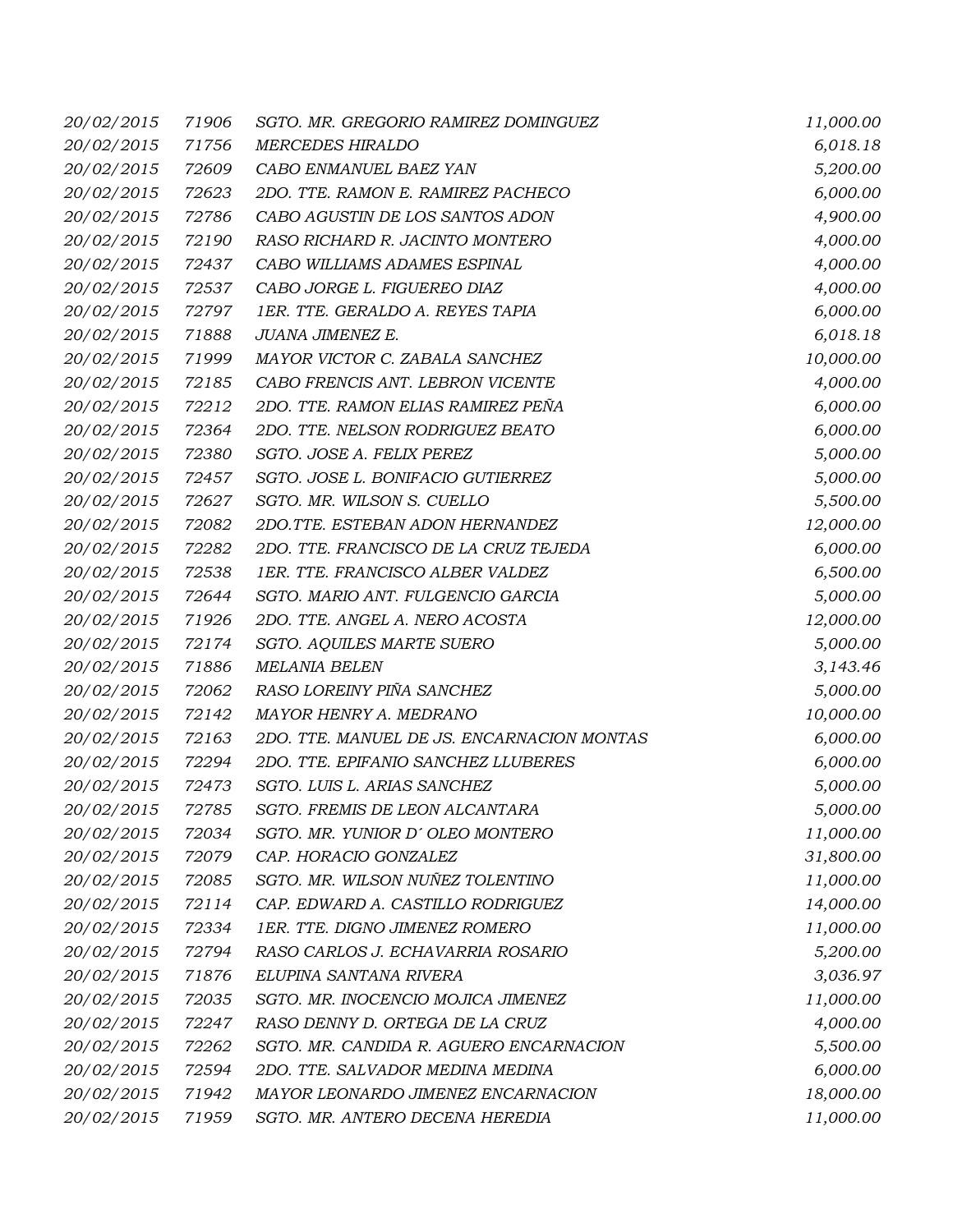| 20/02/2015        | 71906 | SGTO. MR. GREGORIO RAMIREZ DOMINGUEZ       | 11,000.00 |
|-------------------|-------|--------------------------------------------|-----------|
| 20/02/2015        | 71756 | <b>MERCEDES HIRALDO</b>                    | 6,018.18  |
| 20/02/2015        | 72609 | CABO ENMANUEL BAEZ YAN                     | 5,200.00  |
| 20/02/2015        | 72623 | 2DO. TTE. RAMON E. RAMIREZ PACHECO         | 6,000.00  |
| 20/02/2015        | 72786 | CABO AGUSTIN DE LOS SANTOS ADON            | 4,900.00  |
| 20/02/2015        | 72190 | RASO RICHARD R. JACINTO MONTERO            | 4,000.00  |
| 20/02/2015        | 72437 | CABO WILLIAMS ADAMES ESPINAL               | 4,000.00  |
| 20/02/2015        | 72537 | CABO JORGE L. FIGUEREO DIAZ                | 4,000.00  |
| 20/02/2015        | 72797 | 1ER. TTE. GERALDO A. REYES TAPIA           | 6,000.00  |
| 20/02/2015        | 71888 | JUANA JIMENEZ E.                           | 6,018.18  |
| 20/02/2015        | 71999 | MAYOR VICTOR C. ZABALA SANCHEZ             | 10,000.00 |
| 20/02/2015        | 72185 | CABO FRENCIS ANT. LEBRON VICENTE           | 4,000.00  |
| 20/02/2015        | 72212 | 2DO. TTE. RAMON ELIAS RAMIREZ PEÑA         | 6,000.00  |
| 20/02/2015        | 72364 | 2DO. TTE. NELSON RODRIGUEZ BEATO           | 6,000.00  |
| 20/02/2015        | 72380 | SGTO. JOSE A. FELIX PEREZ                  | 5,000.00  |
| 20/02/2015        | 72457 | SGTO. JOSE L. BONIFACIO GUTIERREZ          | 5,000.00  |
| 20/02/2015        | 72627 | SGTO. MR. WILSON S. CUELLO                 | 5,500.00  |
| 20/02/2015        | 72082 | 2DO.TTE. ESTEBAN ADON HERNANDEZ            | 12,000.00 |
| 20/02/2015        | 72282 | 2DO. TTE. FRANCISCO DE LA CRUZ TEJEDA      | 6,000.00  |
| 20/02/2015        | 72538 | 1ER. TTE. FRANCISCO ALBER VALDEZ           | 6,500.00  |
| 20/02/2015        | 72644 | SGTO. MARIO ANT. FULGENCIO GARCIA          | 5,000.00  |
| 20/02/2015        | 71926 | 2DO. TTE. ANGEL A. NERO ACOSTA             | 12,000.00 |
| 20/02/2015        | 72174 | <b>SGTO. AQUILES MARTE SUERO</b>           | 5,000.00  |
| 20/02/2015        | 71886 | <b>MELANIA BELEN</b>                       | 3,143.46  |
| 20/02/2015        | 72062 | RASO LOREINY PIÑA SANCHEZ                  | 5,000.00  |
| 20/02/2015        | 72142 | MAYOR HENRY A. MEDRANO                     | 10,000.00 |
| 20/02/2015        | 72163 | 2DO. TTE. MANUEL DE JS. ENCARNACION MONTAS | 6,000.00  |
| 20/02/2015        | 72294 | 2DO. TTE. EPIFANIO SANCHEZ LLUBERES        | 6,000.00  |
| 20/02/2015        | 72473 | SGTO. LUIS L. ARIAS SANCHEZ                | 5,000.00  |
| <i>20/02/2015</i> | 72785 | SGTO. FREMIS DE LEON ALCANTARA             | 5,000.00  |
| 20/02/2015        | 72034 | SGTO. MR. YUNIOR D'OLEO MONTERO            | 11,000.00 |
| 20/02/2015        | 72079 | CAP. HORACIO GONZALEZ                      | 31,800.00 |
| 20/02/2015        | 72085 | SGTO. MR. WILSON NUÑEZ TOLENTINO           | 11,000.00 |
| 20/02/2015        | 72114 | CAP. EDWARD A. CASTILLO RODRIGUEZ          | 14,000.00 |
| 20/02/2015        | 72334 | 1ER. TTE. DIGNO JIMENEZ ROMERO             | 11,000.00 |
| 20/02/2015        | 72794 | RASO CARLOS J. ECHAVARRIA ROSARIO          | 5,200.00  |
| 20/02/2015        | 71876 | ELUPINA SANTANA RIVERA                     | 3,036.97  |
| 20/02/2015        | 72035 | SGTO. MR. INOCENCIO MOJICA JIMENEZ         | 11,000.00 |
| 20/02/2015        | 72247 | RASO DENNY D. ORTEGA DE LA CRUZ            | 4,000.00  |
| 20/02/2015        | 72262 | SGTO. MR. CANDIDA R. AGUERO ENCARNACION    | 5,500.00  |
| 20/02/2015        | 72594 | 2DO. TTE. SALVADOR MEDINA MEDINA           | 6,000.00  |
| 20/02/2015        | 71942 | MAYOR LEONARDO JIMENEZ ENCARNACION         | 18,000.00 |
| 20/02/2015        | 71959 | SGTO. MR. ANTERO DECENA HEREDIA            | 11,000.00 |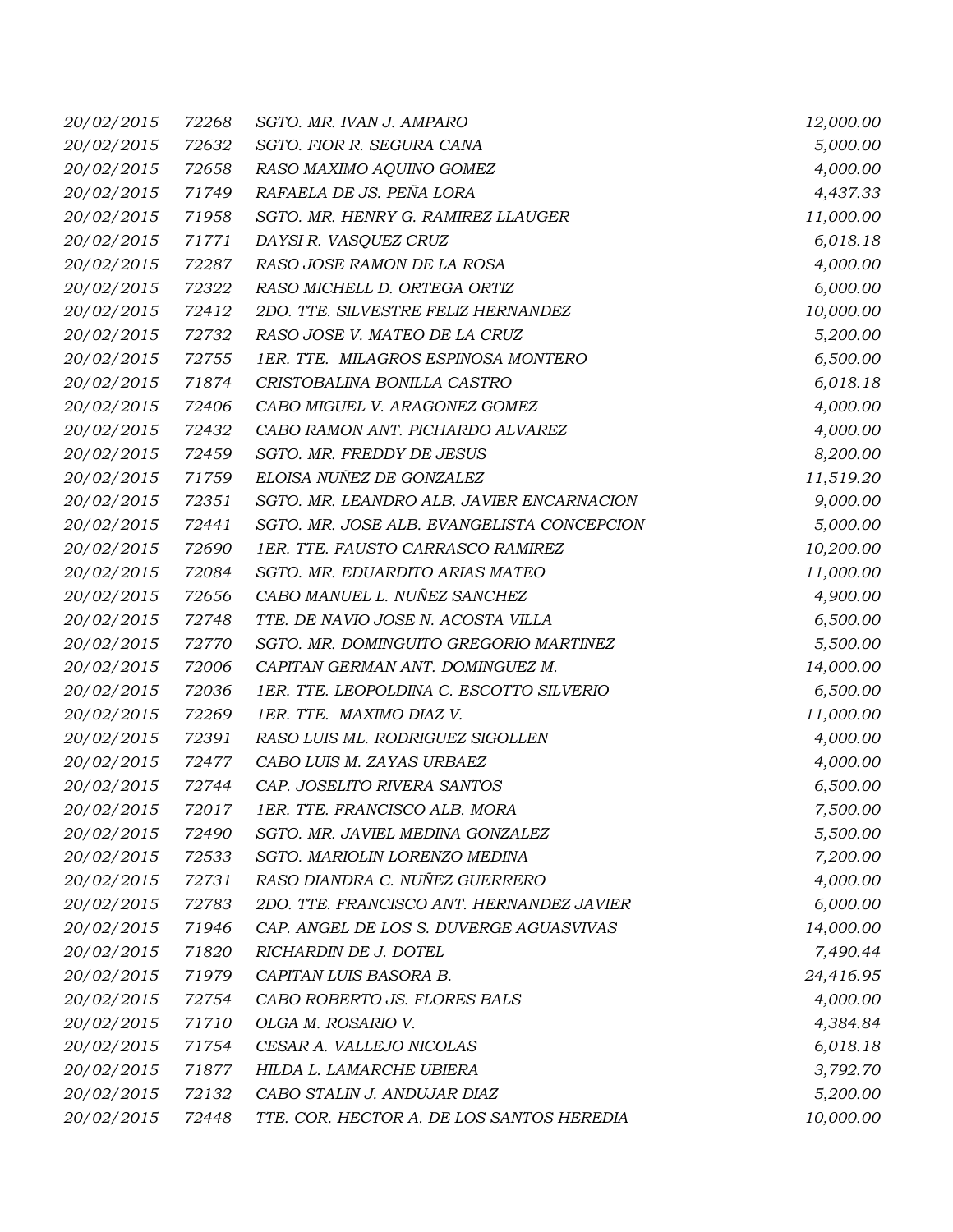| 20/02/2015        | 72268 | SGTO. MR. IVAN J. AMPARO                   | 12,000.00 |
|-------------------|-------|--------------------------------------------|-----------|
| 20/02/2015        | 72632 | SGTO. FIOR R. SEGURA CANA                  | 5,000.00  |
| 20/02/2015        | 72658 | RASO MAXIMO AQUINO GOMEZ                   | 4,000.00  |
| 20/02/2015        | 71749 | RAFAELA DE JS. PEÑA LORA                   | 4,437.33  |
| 20/02/2015        | 71958 | SGTO. MR. HENRY G. RAMIREZ LLAUGER         | 11,000.00 |
| 20/02/2015        | 71771 | DAYSI R. VASQUEZ CRUZ                      | 6,018.18  |
| 20/02/2015        | 72287 | RASO JOSE RAMON DE LA ROSA                 | 4,000.00  |
| 20/02/2015        | 72322 | RASO MICHELL D. ORTEGA ORTIZ               | 6,000.00  |
| 20/02/2015        | 72412 | 2DO. TTE. SILVESTRE FELIZ HERNANDEZ        | 10,000.00 |
| 20/02/2015        | 72732 | RASO JOSE V. MATEO DE LA CRUZ              | 5,200.00  |
| 20/02/2015        | 72755 | 1ER. TTE. MILAGROS ESPINOSA MONTERO        | 6,500.00  |
| 20/02/2015        | 71874 | CRISTOBALINA BONILLA CASTRO                | 6,018.18  |
| 20/02/2015        | 72406 | CABO MIGUEL V. ARAGONEZ GOMEZ              | 4,000.00  |
| 20/02/2015        | 72432 | CABO RAMON ANT. PICHARDO ALVAREZ           | 4,000.00  |
| 20/02/2015        | 72459 | SGTO. MR. FREDDY DE JESUS                  | 8,200.00  |
| 20/02/2015        | 71759 | ELOISA NUÑEZ DE GONZALEZ                   | 11,519.20 |
| 20/02/2015        | 72351 | SGTO. MR. LEANDRO ALB. JAVIER ENCARNACION  | 9,000.00  |
| 20/02/2015        | 72441 | SGTO. MR. JOSE ALB. EVANGELISTA CONCEPCION | 5,000.00  |
| 20/02/2015        | 72690 | 1ER. TTE. FAUSTO CARRASCO RAMIREZ          | 10,200.00 |
| 20/02/2015        | 72084 | SGTO. MR. EDUARDITO ARIAS MATEO            | 11,000.00 |
| 20/02/2015        | 72656 | CABO MANUEL L. NUÑEZ SANCHEZ               | 4,900.00  |
| 20/02/2015        | 72748 | TTE. DE NAVIO JOSE N. ACOSTA VILLA         | 6,500.00  |
| 20/02/2015        | 72770 | SGTO. MR. DOMINGUITO GREGORIO MARTINEZ     | 5,500.00  |
| 20/02/2015        | 72006 | CAPITAN GERMAN ANT. DOMINGUEZ M.           | 14,000.00 |
| 20/02/2015        | 72036 | 1ER. TTE. LEOPOLDINA C. ESCOTTO SILVERIO   | 6,500.00  |
| 20/02/2015        | 72269 | 1ER. TTE. MAXIMO DIAZ V.                   | 11,000.00 |
| 20/02/2015        | 72391 | RASO LUIS ML. RODRIGUEZ SIGOLLEN           | 4,000.00  |
| 20/02/2015        | 72477 | CABO LUIS M. ZAYAS URBAEZ                  | 4,000.00  |
| 20/02/2015        | 72744 | CAP. JOSELITO RIVERA SANTOS                | 6,500.00  |
| <i>20/02/2015</i> |       | 72017 IER. TTE. FRANCISCO ALB. MORA        | 7,500.00  |
| 20/02/2015        | 72490 | SGTO. MR. JAVIEL MEDINA GONZALEZ           | 5,500.00  |
| 20/02/2015        | 72533 | SGTO. MARIOLIN LORENZO MEDINA              | 7,200.00  |
| 20/02/2015        | 72731 | RASO DIANDRA C. NUÑEZ GUERRERO             | 4,000.00  |
| 20/02/2015        | 72783 | 2DO. TTE. FRANCISCO ANT. HERNANDEZ JAVIER  | 6,000.00  |
| 20/02/2015        | 71946 | CAP. ANGEL DE LOS S. DUVERGE AGUASVIVAS    | 14,000.00 |
| 20/02/2015        | 71820 | RICHARDIN DE J. DOTEL                      | 7,490.44  |
| 20/02/2015        | 71979 | CAPITAN LUIS BASORA B.                     | 24,416.95 |
| 20/02/2015        | 72754 | CABO ROBERTO JS. FLORES BALS               | 4,000.00  |
| 20/02/2015        | 71710 | OLGA M. ROSARIO V.                         | 4,384.84  |
| 20/02/2015        | 71754 | CESAR A. VALLEJO NICOLAS                   | 6,018.18  |
| 20/02/2015        | 71877 | HILDA L. LAMARCHE UBIERA                   | 3,792.70  |
| 20/02/2015        | 72132 | CABO STALIN J. ANDUJAR DIAZ                | 5,200.00  |
| 20/02/2015        | 72448 | TTE. COR. HECTOR A. DE LOS SANTOS HEREDIA  | 10,000.00 |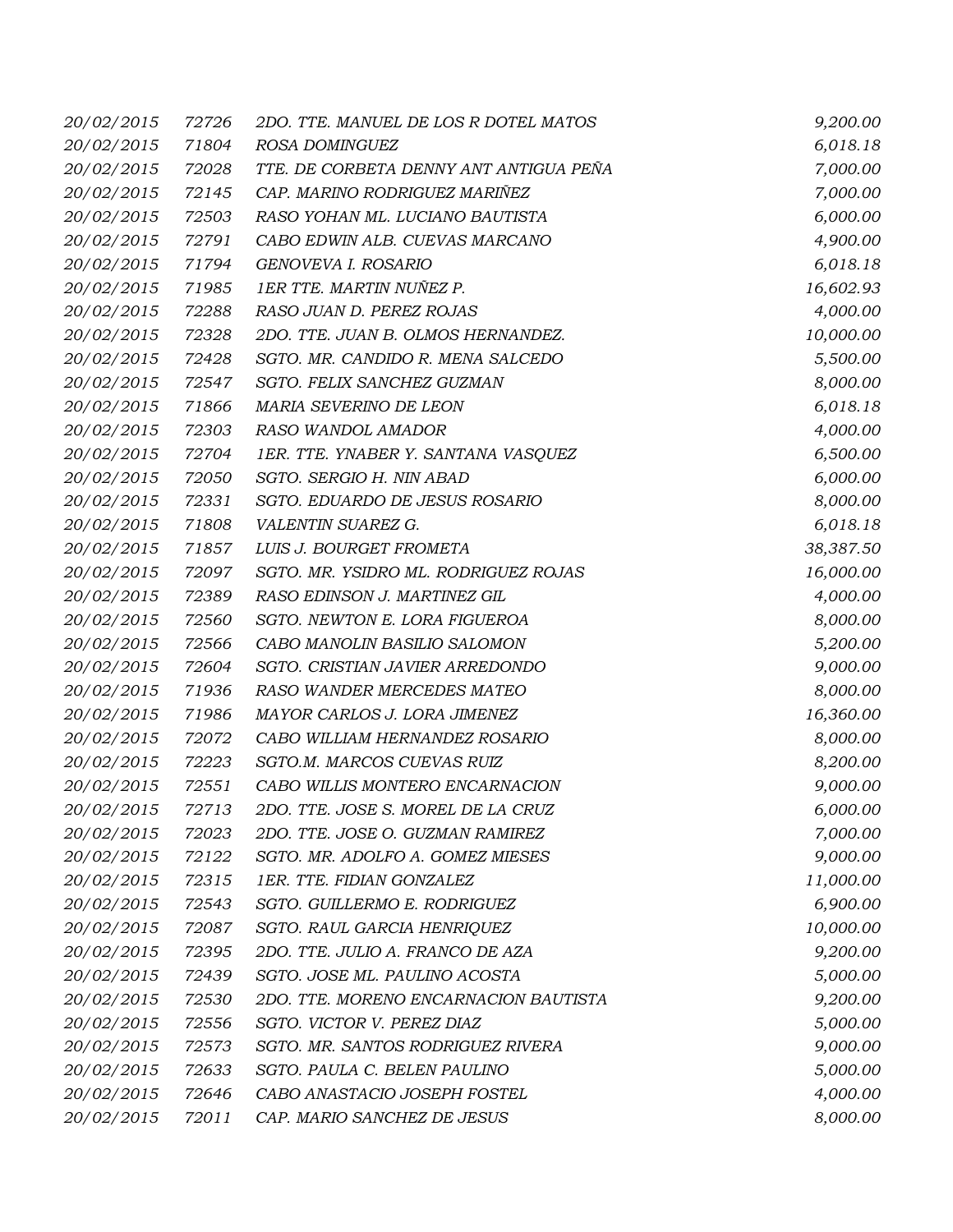| 20/02/2015 | 72726 | 2DO. TTE. MANUEL DE LOS R DOTEL MATOS  | 9,200.00  |
|------------|-------|----------------------------------------|-----------|
| 20/02/2015 | 71804 | ROSA DOMINGUEZ                         | 6,018.18  |
| 20/02/2015 | 72028 | TTE. DE CORBETA DENNY ANT ANTIGUA PEÑA | 7,000.00  |
| 20/02/2015 | 72145 | CAP. MARINO RODRIGUEZ MARIÑEZ          | 7,000.00  |
| 20/02/2015 | 72503 | RASO YOHAN ML. LUCIANO BAUTISTA        | 6,000.00  |
| 20/02/2015 | 72791 | CABO EDWIN ALB. CUEVAS MARCANO         | 4,900.00  |
| 20/02/2015 | 71794 | GENOVEVA I. ROSARIO                    | 6,018.18  |
| 20/02/2015 | 71985 | 1ER TTE. MARTIN NUÑEZ P.               | 16,602.93 |
| 20/02/2015 | 72288 | RASO JUAN D. PEREZ ROJAS               | 4,000.00  |
| 20/02/2015 | 72328 | 2DO. TTE. JUAN B. OLMOS HERNANDEZ.     | 10,000.00 |
| 20/02/2015 | 72428 | SGTO. MR. CANDIDO R. MENA SALCEDO      | 5,500.00  |
| 20/02/2015 | 72547 | SGTO. FELIX SANCHEZ GUZMAN             | 8,000.00  |
| 20/02/2015 | 71866 | MARIA SEVERINO DE LEON                 | 6,018.18  |
| 20/02/2015 | 72303 | RASO WANDOL AMADOR                     | 4,000.00  |
| 20/02/2015 | 72704 | 1ER. TTE. YNABER Y. SANTANA VASQUEZ    | 6,500.00  |
| 20/02/2015 | 72050 | SGTO. SERGIO H. NIN ABAD               | 6,000.00  |
| 20/02/2015 | 72331 | SGTO. EDUARDO DE JESUS ROSARIO         | 8,000.00  |
| 20/02/2015 | 71808 | VALENTIN SUAREZ G.                     | 6,018.18  |
| 20/02/2015 | 71857 | LUIS J. BOURGET FROMETA                | 38,387.50 |
| 20/02/2015 | 72097 | SGTO. MR. YSIDRO ML. RODRIGUEZ ROJAS   | 16,000.00 |
| 20/02/2015 | 72389 | RASO EDINSON J. MARTINEZ GIL           | 4,000.00  |
| 20/02/2015 | 72560 | SGTO. NEWTON E. LORA FIGUEROA          | 8,000.00  |
| 20/02/2015 | 72566 | CABO MANOLIN BASILIO SALOMON           | 5,200.00  |
| 20/02/2015 | 72604 | SGTO. CRISTIAN JAVIER ARREDONDO        | 9,000.00  |
| 20/02/2015 | 71936 | RASO WANDER MERCEDES MATEO             | 8,000.00  |
| 20/02/2015 | 71986 | MAYOR CARLOS J. LORA JIMENEZ           | 16,360.00 |
| 20/02/2015 | 72072 | CABO WILLIAM HERNANDEZ ROSARIO         | 8,000.00  |
| 20/02/2015 | 72223 | SGTO.M. MARCOS CUEVAS RUIZ             | 8,200.00  |
| 20/02/2015 | 72551 | CABO WILLIS MONTERO ENCARNACION        | 9,000.00  |
| 20/02/2015 | 72713 | 2DO. TTE. JOSE S. MOREL DE LA CRUZ     | 6,000.00  |
| 20/02/2015 | 72023 | 2DO. TTE. JOSE O. GUZMAN RAMIREZ       | 7,000.00  |
| 20/02/2015 | 72122 | SGTO. MR. ADOLFO A. GOMEZ MIESES       | 9,000.00  |
| 20/02/2015 | 72315 | 1ER. TTE. FIDIAN GONZALEZ              | 11,000.00 |
| 20/02/2015 | 72543 | SGTO. GUILLERMO E. RODRIGUEZ           | 6,900.00  |
| 20/02/2015 | 72087 | SGTO. RAUL GARCIA HENRIQUEZ            | 10,000.00 |
| 20/02/2015 | 72395 | 2DO. TTE. JULIO A. FRANCO DE AZA       | 9,200.00  |
| 20/02/2015 | 72439 | SGTO. JOSE ML. PAULINO ACOSTA          | 5,000.00  |
| 20/02/2015 | 72530 | 2DO. TTE. MORENO ENCARNACION BAUTISTA  | 9,200.00  |
| 20/02/2015 | 72556 | SGTO. VICTOR V. PEREZ DIAZ             | 5,000.00  |
| 20/02/2015 | 72573 | SGTO. MR. SANTOS RODRIGUEZ RIVERA      | 9,000.00  |
| 20/02/2015 | 72633 | SGTO. PAULA C. BELEN PAULINO           | 5,000.00  |
| 20/02/2015 | 72646 | CABO ANASTACIO JOSEPH FOSTEL           | 4,000.00  |
| 20/02/2015 | 72011 | CAP. MARIO SANCHEZ DE JESUS            | 8,000.00  |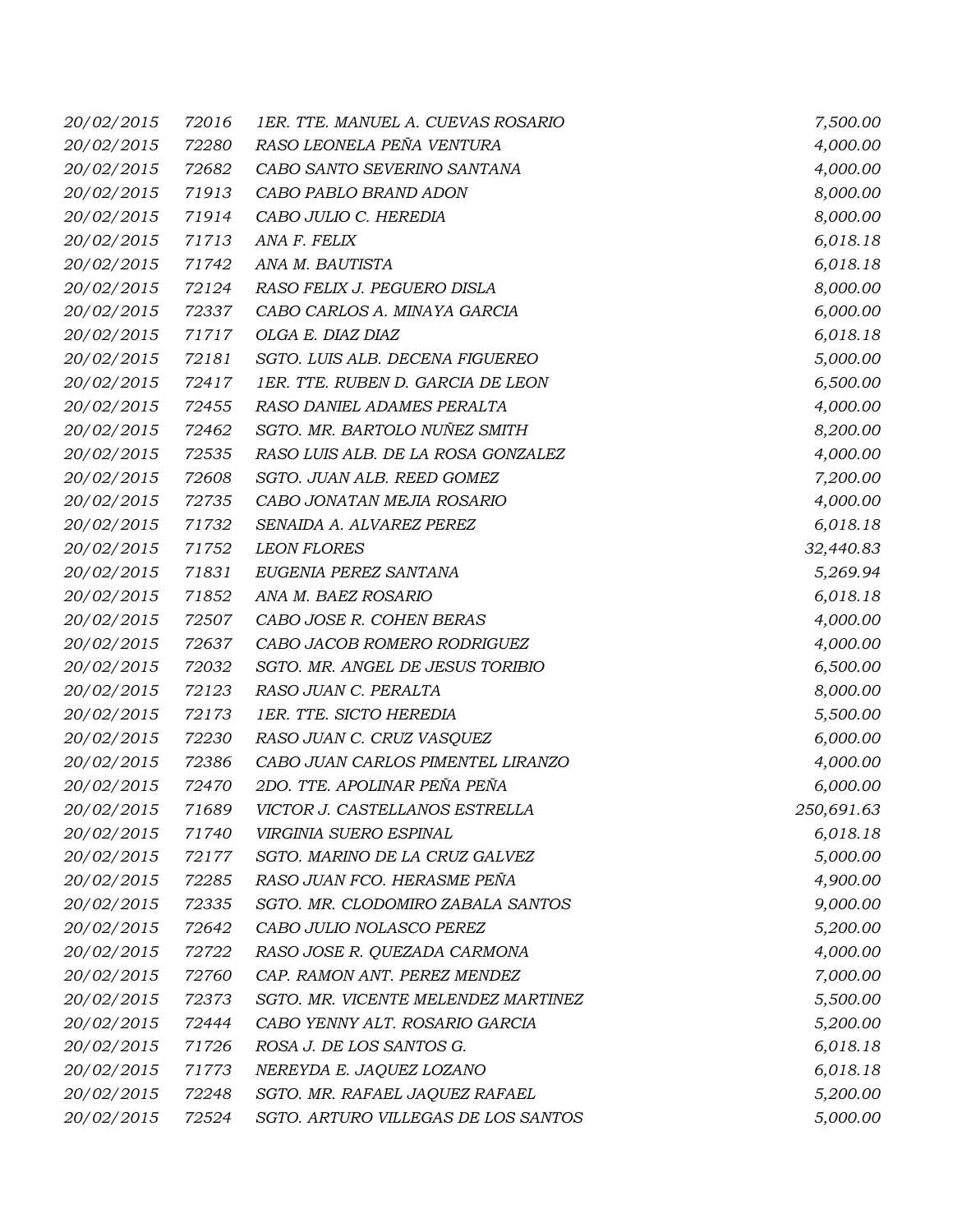| 20/02/2015       | 72016 | 1ER. TTE. MANUEL A. CUEVAS ROSARIO  | 7,500.00   |
|------------------|-------|-------------------------------------|------------|
| 20/02/2015       | 72280 | RASO LEONELA PEÑA VENTURA           | 4,000.00   |
| 20/02/2015       | 72682 | CABO SANTO SEVERINO SANTANA         | 4,000.00   |
| 20/02/2015       | 71913 | CABO PABLO BRAND ADON               | 8,000.00   |
| 20/02/2015       | 71914 | CABO JULIO C. HEREDIA               | 8,000.00   |
| 20/02/2015       | 71713 | ANA F. FELIX                        | 6,018.18   |
| 20/02/2015       | 71742 | ANA M. BAUTISTA                     | 6,018.18   |
| 20/02/2015       | 72124 | RASO FELIX J. PEGUERO DISLA         | 8,000.00   |
| 20/02/2015       | 72337 | CABO CARLOS A. MINAYA GARCIA        | 6,000.00   |
| 20/02/2015       | 71717 | OLGA E. DIAZ DIAZ                   | 6,018.18   |
| 20/02/2015       | 72181 | SGTO. LUIS ALB. DECENA FIGUEREO     | 5,000.00   |
| 20/02/2015       | 72417 | 1ER. TTE. RUBEN D. GARCIA DE LEON   | 6,500.00   |
| 20/02/2015       | 72455 | RASO DANIEL ADAMES PERALTA          | 4,000.00   |
| 20/02/2015       | 72462 | SGTO. MR. BARTOLO NUÑEZ SMITH       | 8,200.00   |
| 20/02/2015       | 72535 | RASO LUIS ALB. DE LA ROSA GONZALEZ  | 4,000.00   |
| 20/02/2015       | 72608 | SGTO. JUAN ALB. REED GOMEZ          | 7,200.00   |
| 20/02/2015       | 72735 | CABO JONATAN MEJIA ROSARIO          | 4,000.00   |
| 20/02/2015       | 71732 | SENAIDA A. ALVAREZ PEREZ            | 6,018.18   |
| 20/02/2015       | 71752 | <b>LEON FLORES</b>                  | 32,440.83  |
| 20/02/2015       | 71831 | EUGENIA PEREZ SANTANA               | 5,269.94   |
| 20/02/2015       | 71852 | ANA M. BAEZ ROSARIO                 | 6,018.18   |
| 20/02/2015       | 72507 | CABO JOSE R. COHEN BERAS            | 4,000.00   |
| 20/02/2015       | 72637 | CABO JACOB ROMERO RODRIGUEZ         | 4,000.00   |
| 20/02/2015       | 72032 | SGTO. MR. ANGEL DE JESUS TORIBIO    | 6,500.00   |
| 20/02/2015       | 72123 | RASO JUAN C. PERALTA                | 8,000.00   |
| 20/02/2015       | 72173 | 1ER. TTE. SICTO HEREDIA             | 5,500.00   |
| 20/02/2015       | 72230 | RASO JUAN C. CRUZ VASQUEZ           | 6,000.00   |
| 20/02/2015       | 72386 | CABO JUAN CARLOS PIMENTEL LIRANZO   | 4,000.00   |
| 20/02/2015       | 72470 | 2DO. TTE. APOLINAR PEÑA PEÑA        | 6,000.00   |
| 20/02/2015 71689 |       | VICTOR J. CASTELLANOS ESTRELLA      | 250,691.63 |
| 20/02/2015       | 71740 | VIRGINIA SUERO ESPINAL              | 6,018.18   |
| 20/02/2015       | 72177 | SGTO. MARINO DE LA CRUZ GALVEZ      | 5,000.00   |
| 20/02/2015       | 72285 | RASO JUAN FCO. HERASME PEÑA         | 4,900.00   |
| 20/02/2015       | 72335 | SGTO. MR. CLODOMIRO ZABALA SANTOS   | 9,000.00   |
| 20/02/2015       | 72642 | CABO JULIO NOLASCO PEREZ            | 5,200.00   |
| 20/02/2015       | 72722 | RASO JOSE R. QUEZADA CARMONA        | 4,000.00   |
| 20/02/2015       | 72760 | CAP. RAMON ANT. PEREZ MENDEZ        | 7,000.00   |
| 20/02/2015       | 72373 | SGTO. MR. VICENTE MELENDEZ MARTINEZ | 5,500.00   |
| 20/02/2015       | 72444 | CABO YENNY ALT. ROSARIO GARCIA      | 5,200.00   |
| 20/02/2015       | 71726 | ROSA J. DE LOS SANTOS G.            | 6,018.18   |
| 20/02/2015       | 71773 | NEREYDA E. JAQUEZ LOZANO            | 6,018.18   |
| 20/02/2015       | 72248 | SGTO. MR. RAFAEL JAQUEZ RAFAEL      | 5,200.00   |
| 20/02/2015       | 72524 | SGTO. ARTURO VILLEGAS DE LOS SANTOS | 5,000.00   |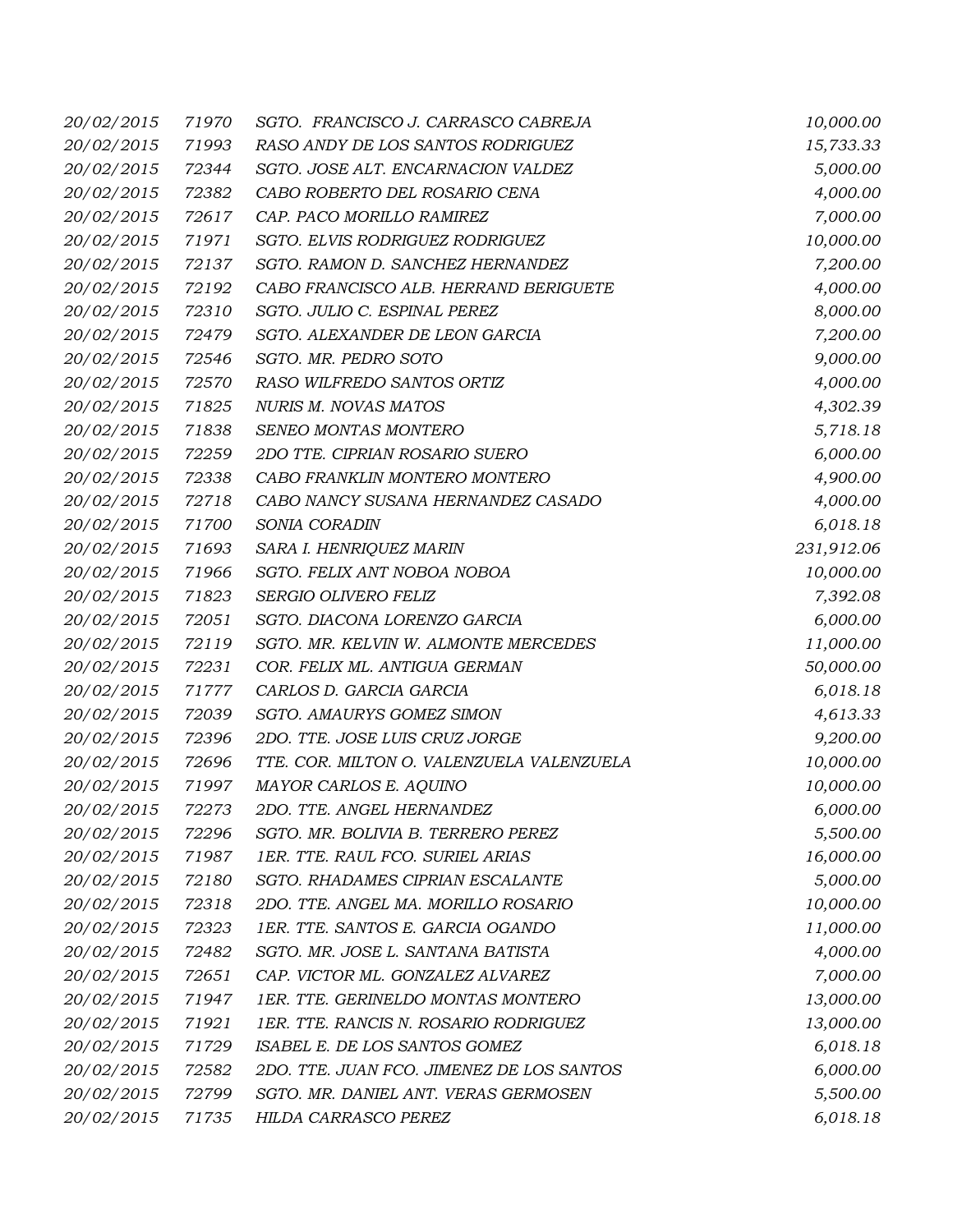| 20/02/2015        | 71970 | SGTO. FRANCISCO J. CARRASCO CABREJA       | 10,000.00  |
|-------------------|-------|-------------------------------------------|------------|
| 20/02/2015        | 71993 | RASO ANDY DE LOS SANTOS RODRIGUEZ         | 15,733.33  |
| 20/02/2015        | 72344 | SGTO. JOSE ALT. ENCARNACION VALDEZ        | 5,000.00   |
| 20/02/2015        | 72382 | CABO ROBERTO DEL ROSARIO CENA             | 4,000.00   |
| 20/02/2015        | 72617 | CAP. PACO MORILLO RAMIREZ                 | 7,000.00   |
| 20/02/2015        | 71971 | SGTO. ELVIS RODRIGUEZ RODRIGUEZ           | 10,000.00  |
| 20/02/2015        | 72137 | SGTO. RAMON D. SANCHEZ HERNANDEZ          | 7,200.00   |
| 20/02/2015        | 72192 | CABO FRANCISCO ALB. HERRAND BERIGUETE     | 4,000.00   |
| 20/02/2015        | 72310 | SGTO. JULIO C. ESPINAL PEREZ              | 8,000.00   |
| 20/02/2015        | 72479 | SGTO. ALEXANDER DE LEON GARCIA            | 7,200.00   |
| 20/02/2015        | 72546 | SGTO. MR. PEDRO SOTO                      | 9,000.00   |
| 20/02/2015        | 72570 | RASO WILFREDO SANTOS ORTIZ                | 4,000.00   |
| 20/02/2015        | 71825 | <b>NURIS M. NOVAS MATOS</b>               | 4,302.39   |
| 20/02/2015        | 71838 | SENEO MONTAS MONTERO                      | 5,718.18   |
| 20/02/2015        | 72259 | 2DO TTE. CIPRIAN ROSARIO SUERO            | 6,000.00   |
| 20/02/2015        | 72338 | CABO FRANKLIN MONTERO MONTERO             | 4,900.00   |
| 20/02/2015        | 72718 | CABO NANCY SUSANA HERNANDEZ CASADO        | 4,000.00   |
| 20/02/2015        | 71700 | SONIA CORADIN                             | 6,018.18   |
| 20/02/2015        | 71693 | SARA I. HENRIQUEZ MARIN                   | 231,912.06 |
| 20/02/2015        | 71966 | SGTO. FELIX ANT NOBOA NOBOA               | 10,000.00  |
| 20/02/2015        | 71823 | SERGIO OLIVERO FELIZ                      | 7,392.08   |
| 20/02/2015        | 72051 | SGTO. DIACONA LORENZO GARCIA              | 6,000.00   |
| 20/02/2015        | 72119 | SGTO. MR. KELVIN W. ALMONTE MERCEDES      | 11,000.00  |
| 20/02/2015        | 72231 | COR. FELIX ML. ANTIGUA GERMAN             | 50,000.00  |
| 20/02/2015        | 71777 | CARLOS D. GARCIA GARCIA                   | 6,018.18   |
| 20/02/2015        | 72039 | SGTO. AMAURYS GOMEZ SIMON                 | 4,613.33   |
| 20/02/2015        | 72396 | 2DO. TTE. JOSE LUIS CRUZ JORGE            | 9,200.00   |
| 20/02/2015        | 72696 | TTE. COR. MILTON O. VALENZUELA VALENZUELA | 10,000.00  |
| 20/02/2015        | 71997 | MAYOR CARLOS E. AQUINO                    | 10,000.00  |
| <i>20/02/2015</i> | 72273 | 2DO. TTE. ANGEL HERNANDEZ                 | 6,000.00   |
| 20/02/2015        | 72296 | SGTO. MR. BOLIVIA B. TERRERO PEREZ        | 5,500.00   |
| 20/02/2015        | 71987 | 1ER. TTE. RAUL FCO. SURIEL ARIAS          | 16,000.00  |
| 20/02/2015        | 72180 | SGTO. RHADAMES CIPRIAN ESCALANTE          | 5,000.00   |
| 20/02/2015        | 72318 | 2DO. TTE. ANGEL MA. MORILLO ROSARIO       | 10,000.00  |
| 20/02/2015        | 72323 | 1ER. TTE. SANTOS E. GARCIA OGANDO         | 11,000.00  |
| 20/02/2015        | 72482 | SGTO. MR. JOSE L. SANTANA BATISTA         | 4,000.00   |
| 20/02/2015        | 72651 | CAP. VICTOR ML. GONZALEZ ALVAREZ          | 7,000.00   |
| 20/02/2015        | 71947 | 1ER. TTE. GERINELDO MONTAS MONTERO        | 13,000.00  |
| 20/02/2015        | 71921 | 1ER. TTE. RANCIS N. ROSARIO RODRIGUEZ     | 13,000.00  |
| 20/02/2015        | 71729 | ISABEL E. DE LOS SANTOS GOMEZ             | 6,018.18   |
| 20/02/2015        | 72582 | 2DO. TTE. JUAN FCO. JIMENEZ DE LOS SANTOS | 6,000.00   |
| 20/02/2015        | 72799 | SGTO. MR. DANIEL ANT. VERAS GERMOSEN      | 5,500.00   |
| 20/02/2015        | 71735 | HILDA CARRASCO PEREZ                      | 6,018.18   |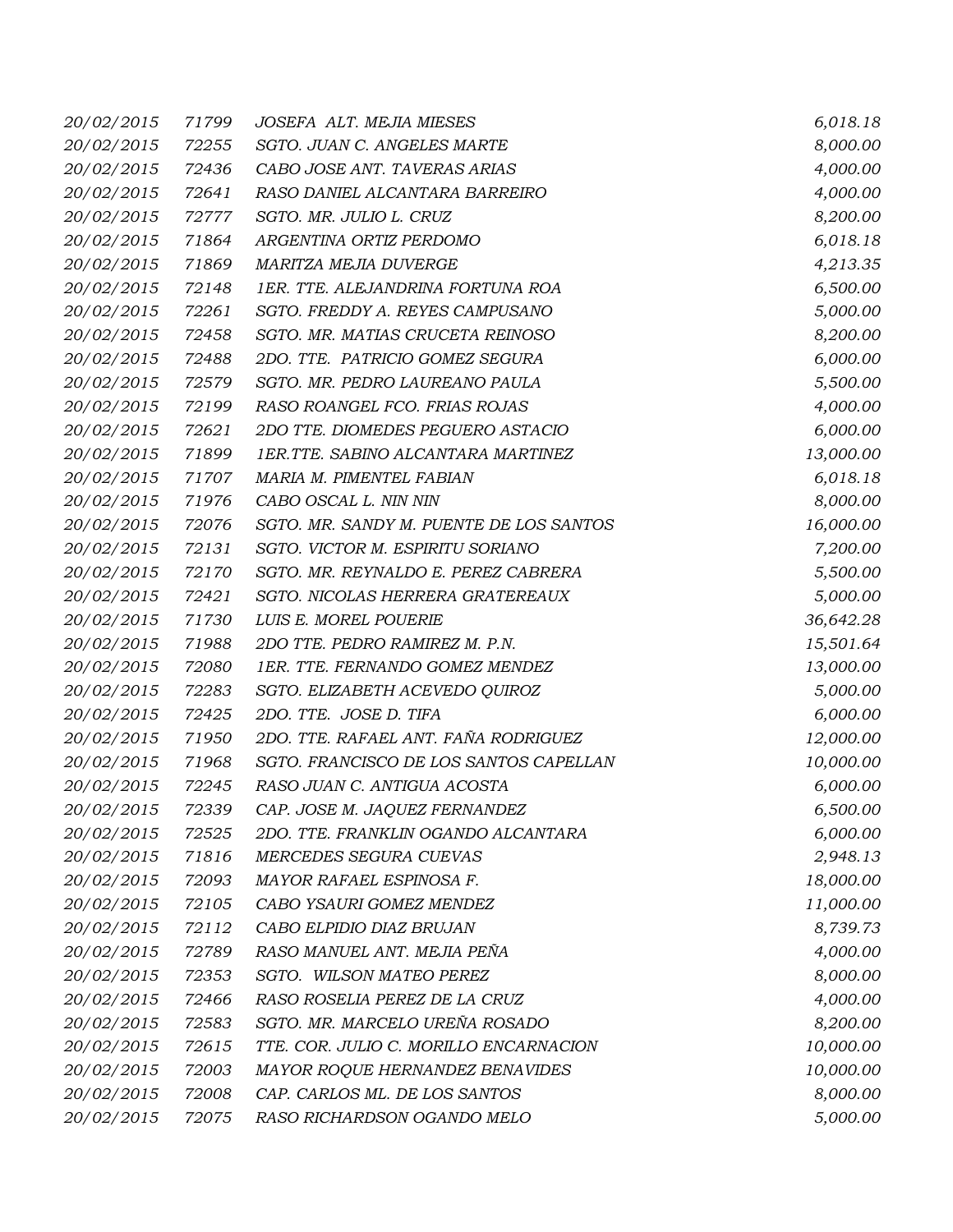| 20/02/2015        | 71799 | JOSEFA ALT. MEJIA MIESES                | 6,018.18  |
|-------------------|-------|-----------------------------------------|-----------|
| 20/02/2015        | 72255 | SGTO. JUAN C. ANGELES MARTE             | 8,000.00  |
| 20/02/2015        | 72436 | CABO JOSE ANT. TAVERAS ARIAS            | 4,000.00  |
| 20/02/2015        | 72641 | RASO DANIEL ALCANTARA BARREIRO          | 4,000.00  |
| 20/02/2015        | 72777 | SGTO. MR. JULIO L. CRUZ                 | 8,200.00  |
| 20/02/2015        | 71864 | ARGENTINA ORTIZ PERDOMO                 | 6,018.18  |
| 20/02/2015        | 71869 | MARITZA MEJIA DUVERGE                   | 4,213.35  |
| 20/02/2015        | 72148 | 1ER. TTE. ALEJANDRINA FORTUNA ROA       | 6,500.00  |
| 20/02/2015        | 72261 | SGTO. FREDDY A. REYES CAMPUSANO         | 5,000.00  |
| 20/02/2015        | 72458 | SGTO. MR. MATIAS CRUCETA REINOSO        | 8,200.00  |
| 20/02/2015        | 72488 | 2DO. TTE. PATRICIO GOMEZ SEGURA         | 6,000.00  |
| 20/02/2015        | 72579 | SGTO. MR. PEDRO LAUREANO PAULA          | 5,500.00  |
| 20/02/2015        | 72199 | RASO ROANGEL FCO. FRIAS ROJAS           | 4,000.00  |
| 20/02/2015        | 72621 | 2DO TTE. DIOMEDES PEGUERO ASTACIO       | 6,000.00  |
| 20/02/2015        | 71899 | 1ER.TTE. SABINO ALCANTARA MARTINEZ      | 13,000.00 |
| 20/02/2015        | 71707 | MARIA M. PIMENTEL FABIAN                | 6,018.18  |
| 20/02/2015        | 71976 | CABO OSCAL L. NIN NIN                   | 8,000.00  |
| 20/02/2015        | 72076 | SGTO. MR. SANDY M. PUENTE DE LOS SANTOS | 16,000.00 |
| 20/02/2015        | 72131 | SGTO. VICTOR M. ESPIRITU SORIANO        | 7,200.00  |
| 20/02/2015        | 72170 | SGTO. MR. REYNALDO E. PEREZ CABRERA     | 5,500.00  |
| 20/02/2015        | 72421 | SGTO. NICOLAS HERRERA GRATEREAUX        | 5,000.00  |
| 20/02/2015        | 71730 | LUIS E. MOREL POUERIE                   | 36,642.28 |
| 20/02/2015        | 71988 | 2DO TTE. PEDRO RAMIREZ M. P.N.          | 15,501.64 |
| 20/02/2015        | 72080 | 1ER. TTE. FERNANDO GOMEZ MENDEZ         | 13,000.00 |
| 20/02/2015        | 72283 | SGTO. ELIZABETH ACEVEDO QUIROZ          | 5,000.00  |
| 20/02/2015        | 72425 | 2DO. TTE. JOSE D. TIFA                  | 6,000.00  |
| 20/02/2015        | 71950 | 2DO. TTE. RAFAEL ANT. FAÑA RODRIGUEZ    | 12,000.00 |
| 20/02/2015        | 71968 | SGTO. FRANCISCO DE LOS SANTOS CAPELLAN  | 10,000.00 |
| 20/02/2015        | 72245 | RASO JUAN C. ANTIGUA ACOSTA             | 6,000.00  |
| <i>20/02/2015</i> | 72339 | CAP. JOSE M. JAQUEZ FERNANDEZ           | 6,500.00  |
| 20/02/2015        | 72525 | 2DO. TTE. FRANKLIN OGANDO ALCANTARA     | 6,000.00  |
| 20/02/2015        | 71816 | MERCEDES SEGURA CUEVAS                  | 2,948.13  |
| 20/02/2015        | 72093 | MAYOR RAFAEL ESPINOSA F.                | 18,000.00 |
| 20/02/2015        | 72105 | CABO YSAURI GOMEZ MENDEZ                | 11,000.00 |
| 20/02/2015        | 72112 | CABO ELPIDIO DIAZ BRUJAN                | 8,739.73  |
| 20/02/2015        | 72789 | RASO MANUEL ANT. MEJIA PEÑA             | 4,000.00  |
| 20/02/2015        | 72353 | SGTO. WILSON MATEO PEREZ                | 8,000.00  |
| 20/02/2015        | 72466 | RASO ROSELIA PEREZ DE LA CRUZ           | 4,000.00  |
| 20/02/2015        | 72583 | SGTO. MR. MARCELO UREÑA ROSADO          | 8,200.00  |
| 20/02/2015        | 72615 | TTE. COR. JULIO C. MORILLO ENCARNACION  | 10,000.00 |
| 20/02/2015        | 72003 | MAYOR ROQUE HERNANDEZ BENAVIDES         | 10,000.00 |
| 20/02/2015        | 72008 | CAP. CARLOS ML. DE LOS SANTOS           | 8,000.00  |
| 20/02/2015        | 72075 | RASO RICHARDSON OGANDO MELO             | 5,000.00  |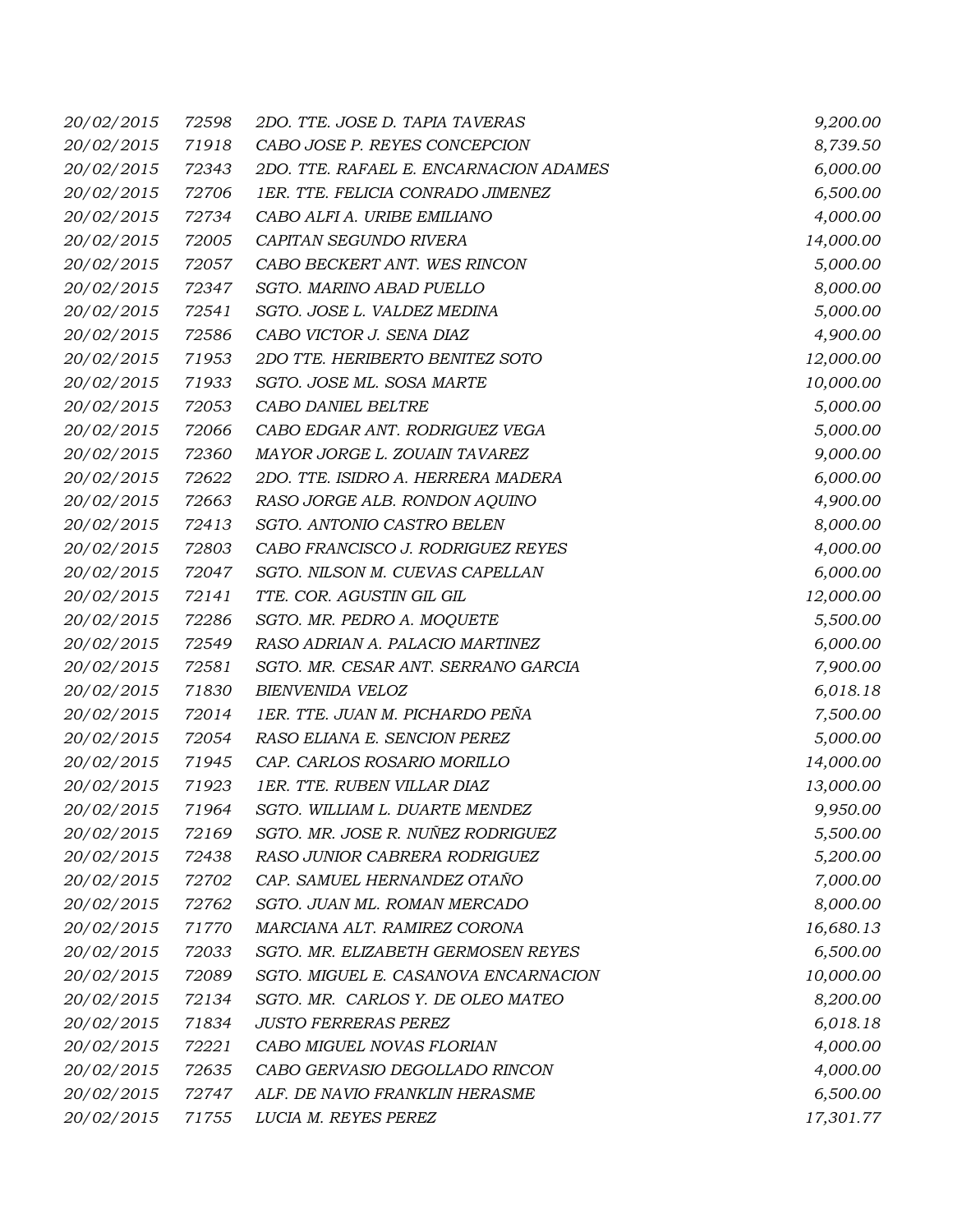| 20/02/2015        | 72598 | 2DO. TTE. JOSE D. TAPIA TAVERAS        | 9,200.00  |
|-------------------|-------|----------------------------------------|-----------|
| 20/02/2015        | 71918 | CABO JOSE P. REYES CONCEPCION          | 8,739.50  |
| 20/02/2015        | 72343 | 2DO. TTE. RAFAEL E. ENCARNACION ADAMES | 6,000.00  |
| 20/02/2015        | 72706 | 1ER. TTE. FELICIA CONRADO JIMENEZ      | 6,500.00  |
| 20/02/2015        | 72734 | CABO ALFI A. URIBE EMILIANO            | 4,000.00  |
| 20/02/2015        | 72005 | CAPITAN SEGUNDO RIVERA                 | 14,000.00 |
| 20/02/2015        | 72057 | CABO BECKERT ANT. WES RINCON           | 5,000.00  |
| 20/02/2015        | 72347 | SGTO. MARINO ABAD PUELLO               | 8,000.00  |
| 20/02/2015        | 72541 | SGTO. JOSE L. VALDEZ MEDINA            | 5,000.00  |
| 20/02/2015        | 72586 | CABO VICTOR J. SENA DIAZ               | 4,900.00  |
| 20/02/2015        | 71953 | 2DO TTE. HERIBERTO BENITEZ SOTO        | 12,000.00 |
| 20/02/2015        | 71933 | SGTO. JOSE ML. SOSA MARTE              | 10,000.00 |
| 20/02/2015        | 72053 | CABO DANIEL BELTRE                     | 5,000.00  |
| 20/02/2015        | 72066 | CABO EDGAR ANT. RODRIGUEZ VEGA         | 5,000.00  |
| 20/02/2015        | 72360 | MAYOR JORGE L. ZOUAIN TAVAREZ          | 9,000.00  |
| 20/02/2015        | 72622 | 2DO. TTE. ISIDRO A. HERRERA MADERA     | 6,000.00  |
| 20/02/2015        | 72663 | RASO JORGE ALB. RONDON AQUINO          | 4,900.00  |
| 20/02/2015        | 72413 | SGTO. ANTONIO CASTRO BELEN             | 8,000.00  |
| 20/02/2015        | 72803 | CABO FRANCISCO J. RODRIGUEZ REYES      | 4,000.00  |
| 20/02/2015        | 72047 | SGTO. NILSON M. CUEVAS CAPELLAN        | 6,000.00  |
| 20/02/2015        | 72141 | TTE. COR. AGUSTIN GIL GIL              | 12,000.00 |
| 20/02/2015        | 72286 | SGTO. MR. PEDRO A. MOQUETE             | 5,500.00  |
| 20/02/2015        | 72549 | RASO ADRIAN A. PALACIO MARTINEZ        | 6,000.00  |
| 20/02/2015        | 72581 | SGTO. MR. CESAR ANT. SERRANO GARCIA    | 7,900.00  |
| 20/02/2015        | 71830 | <b>BIENVENIDA VELOZ</b>                | 6,018.18  |
| 20/02/2015        | 72014 | 1ER. TTE. JUAN M. PICHARDO PEÑA        | 7,500.00  |
| 20/02/2015        | 72054 | RASO ELIANA E. SENCION PEREZ           | 5,000.00  |
| 20/02/2015        | 71945 | CAP. CARLOS ROSARIO MORILLO            | 14,000.00 |
| 20/02/2015        | 71923 | 1ER. TTE. RUBEN VILLAR DIAZ            | 13,000.00 |
| <i>20/02/2015</i> | 71964 | SGTO. WILLIAM L. DUARTE MENDEZ         | 9,950.00  |
| 20/02/2015        | 72169 | SGTO. MR. JOSE R. NUÑEZ RODRIGUEZ      | 5,500.00  |
| 20/02/2015        | 72438 | RASO JUNIOR CABRERA RODRIGUEZ          | 5,200.00  |
| 20/02/2015        | 72702 | CAP. SAMUEL HERNANDEZ OTAÑO            | 7,000.00  |
| 20/02/2015        | 72762 | SGTO. JUAN ML. ROMAN MERCADO           | 8,000.00  |
| 20/02/2015        | 71770 | MARCIANA ALT. RAMIREZ CORONA           | 16,680.13 |
| 20/02/2015        | 72033 | SGTO. MR. ELIZABETH GERMOSEN REYES     | 6,500.00  |
| 20/02/2015        | 72089 | SGTO. MIGUEL E. CASANOVA ENCARNACION   | 10,000.00 |
| 20/02/2015        | 72134 | SGTO. MR. CARLOS Y. DE OLEO MATEO      | 8,200.00  |
| 20/02/2015        | 71834 | <b>JUSTO FERRERAS PEREZ</b>            | 6,018.18  |
| 20/02/2015        | 72221 | CABO MIGUEL NOVAS FLORIAN              | 4,000.00  |
| 20/02/2015        | 72635 | CABO GERVASIO DEGOLLADO RINCON         | 4,000.00  |
| 20/02/2015        | 72747 | ALF. DE NAVIO FRANKLIN HERASME         | 6,500.00  |
| 20/02/2015        | 71755 | LUCIA M. REYES PEREZ                   | 17,301.77 |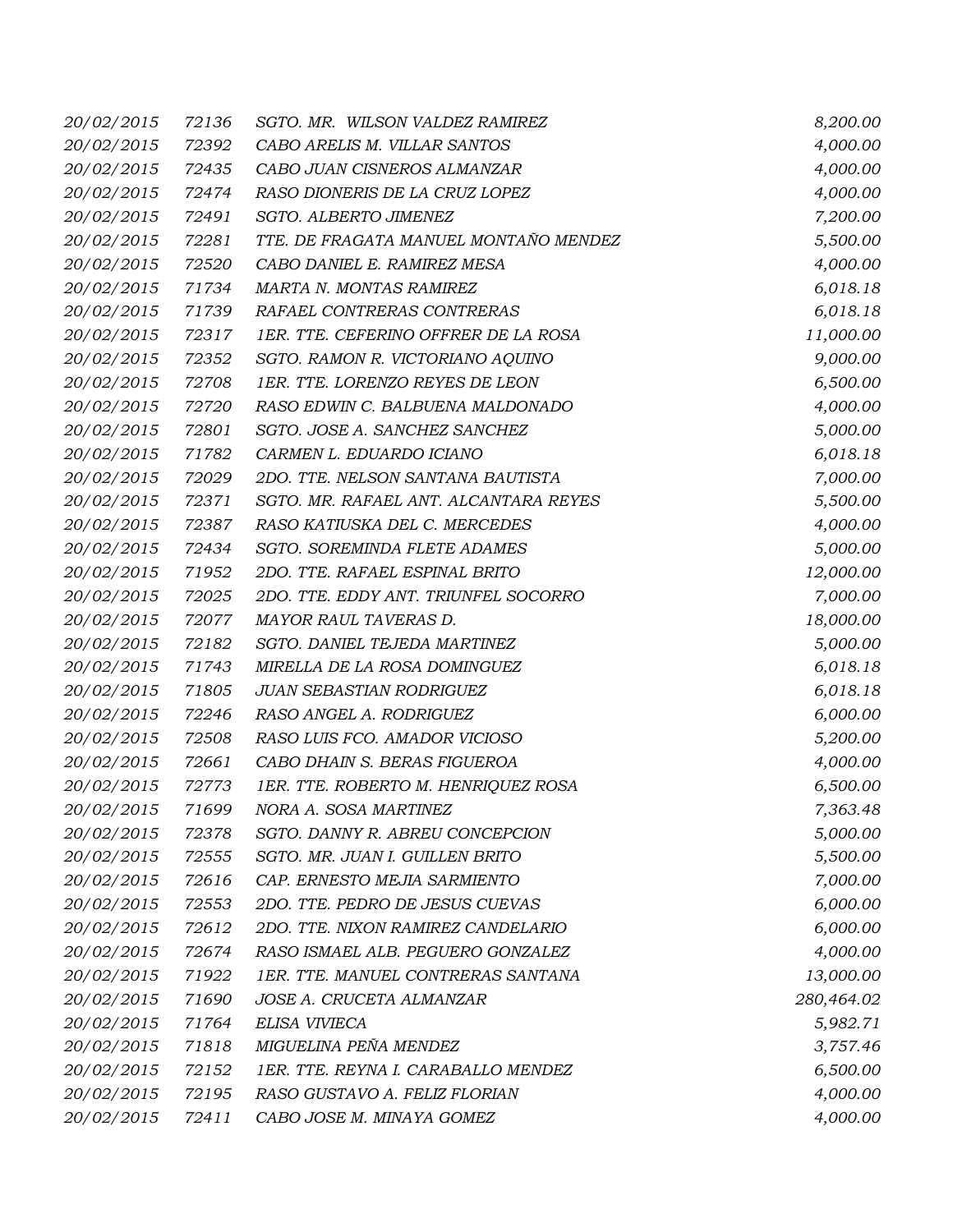| 20/02/2015        | 72136 | SGTO. MR. WILSON VALDEZ RAMIREZ       | 8,200.00   |
|-------------------|-------|---------------------------------------|------------|
| 20/02/2015        | 72392 | CABO ARELIS M. VILLAR SANTOS          | 4,000.00   |
| 20/02/2015        | 72435 | CABO JUAN CISNEROS ALMANZAR           | 4,000.00   |
| 20/02/2015        | 72474 | RASO DIONERIS DE LA CRUZ LOPEZ        | 4,000.00   |
| 20/02/2015        | 72491 | SGTO. ALBERTO JIMENEZ                 | 7,200.00   |
| 20/02/2015        | 72281 | TTE. DE FRAGATA MANUEL MONTAÑO MENDEZ | 5,500.00   |
| 20/02/2015        | 72520 | CABO DANIEL E. RAMIREZ MESA           | 4,000.00   |
| 20/02/2015        | 71734 | MARTA N. MONTAS RAMIREZ               | 6,018.18   |
| 20/02/2015        | 71739 | RAFAEL CONTRERAS CONTRERAS            | 6,018.18   |
| 20/02/2015        | 72317 | 1ER. TTE. CEFERINO OFFRER DE LA ROSA  | 11,000.00  |
| 20/02/2015        | 72352 | SGTO. RAMON R. VICTORIANO AQUINO      | 9,000.00   |
| 20/02/2015        | 72708 | 1ER. TTE. LORENZO REYES DE LEON       | 6,500.00   |
| 20/02/2015        | 72720 | RASO EDWIN C. BALBUENA MALDONADO      | 4,000.00   |
| 20/02/2015        | 72801 | SGTO. JOSE A. SANCHEZ SANCHEZ         | 5,000.00   |
| 20/02/2015        | 71782 | CARMEN L. EDUARDO ICIANO              | 6,018.18   |
| 20/02/2015        | 72029 | 2DO. TTE. NELSON SANTANA BAUTISTA     | 7,000.00   |
| 20/02/2015        | 72371 | SGTO. MR. RAFAEL ANT. ALCANTARA REYES | 5,500.00   |
| 20/02/2015        | 72387 | RASO KATIUSKA DEL C. MERCEDES         | 4,000.00   |
| 20/02/2015        | 72434 | SGTO. SOREMINDA FLETE ADAMES          | 5,000.00   |
| 20/02/2015        | 71952 | 2DO. TTE. RAFAEL ESPINAL BRITO        | 12,000.00  |
| 20/02/2015        | 72025 | 2DO. TTE. EDDY ANT. TRIUNFEL SOCORRO  | 7,000.00   |
| 20/02/2015        | 72077 | MAYOR RAUL TAVERAS D.                 | 18,000.00  |
| 20/02/2015        | 72182 | SGTO. DANIEL TEJEDA MARTINEZ          | 5,000.00   |
| 20/02/2015        | 71743 | MIRELLA DE LA ROSA DOMINGUEZ          | 6,018.18   |
| 20/02/2015        | 71805 | JUAN SEBASTIAN RODRIGUEZ              | 6,018.18   |
| 20/02/2015        | 72246 | RASO ANGEL A. RODRIGUEZ               | 6,000.00   |
| 20/02/2015        | 72508 | RASO LUIS FCO. AMADOR VICIOSO         | 5,200.00   |
| 20/02/2015        | 72661 | CABO DHAIN S. BERAS FIGUEROA          | 4,000.00   |
| 20/02/2015        | 72773 | 1ER. TTE. ROBERTO M. HENRIQUEZ ROSA   | 6,500.00   |
| <i>20/02/2015</i> | 71699 | NORA A. SOSA MARTINEZ                 | 7,363.48   |
| 20/02/2015        | 72378 | SGTO. DANNY R. ABREU CONCEPCION       | 5,000.00   |
| 20/02/2015        | 72555 | SGTO. MR. JUAN I. GUILLEN BRITO       | 5,500.00   |
| 20/02/2015        | 72616 | CAP. ERNESTO MEJIA SARMIENTO          | 7,000.00   |
| 20/02/2015        | 72553 | 2DO. TTE. PEDRO DE JESUS CUEVAS       | 6,000.00   |
| 20/02/2015        | 72612 | 2DO. TTE. NIXON RAMIREZ CANDELARIO    | 6,000.00   |
| 20/02/2015        | 72674 | RASO ISMAEL ALB. PEGUERO GONZALEZ     | 4,000.00   |
| 20/02/2015        | 71922 | 1ER. TTE. MANUEL CONTRERAS SANTANA    | 13,000.00  |
| 20/02/2015        | 71690 | JOSE A. CRUCETA ALMANZAR              | 280,464.02 |
| 20/02/2015        | 71764 | ELISA VIVIECA                         | 5,982.71   |
| 20/02/2015        | 71818 | MIGUELINA PEÑA MENDEZ                 | 3,757.46   |
| 20/02/2015        | 72152 | 1ER. TTE. REYNA I. CARABALLO MENDEZ   | 6,500.00   |
| 20/02/2015        | 72195 | RASO GUSTAVO A. FELIZ FLORIAN         | 4,000.00   |
| 20/02/2015        | 72411 | CABO JOSE M. MINAYA GOMEZ             | 4,000.00   |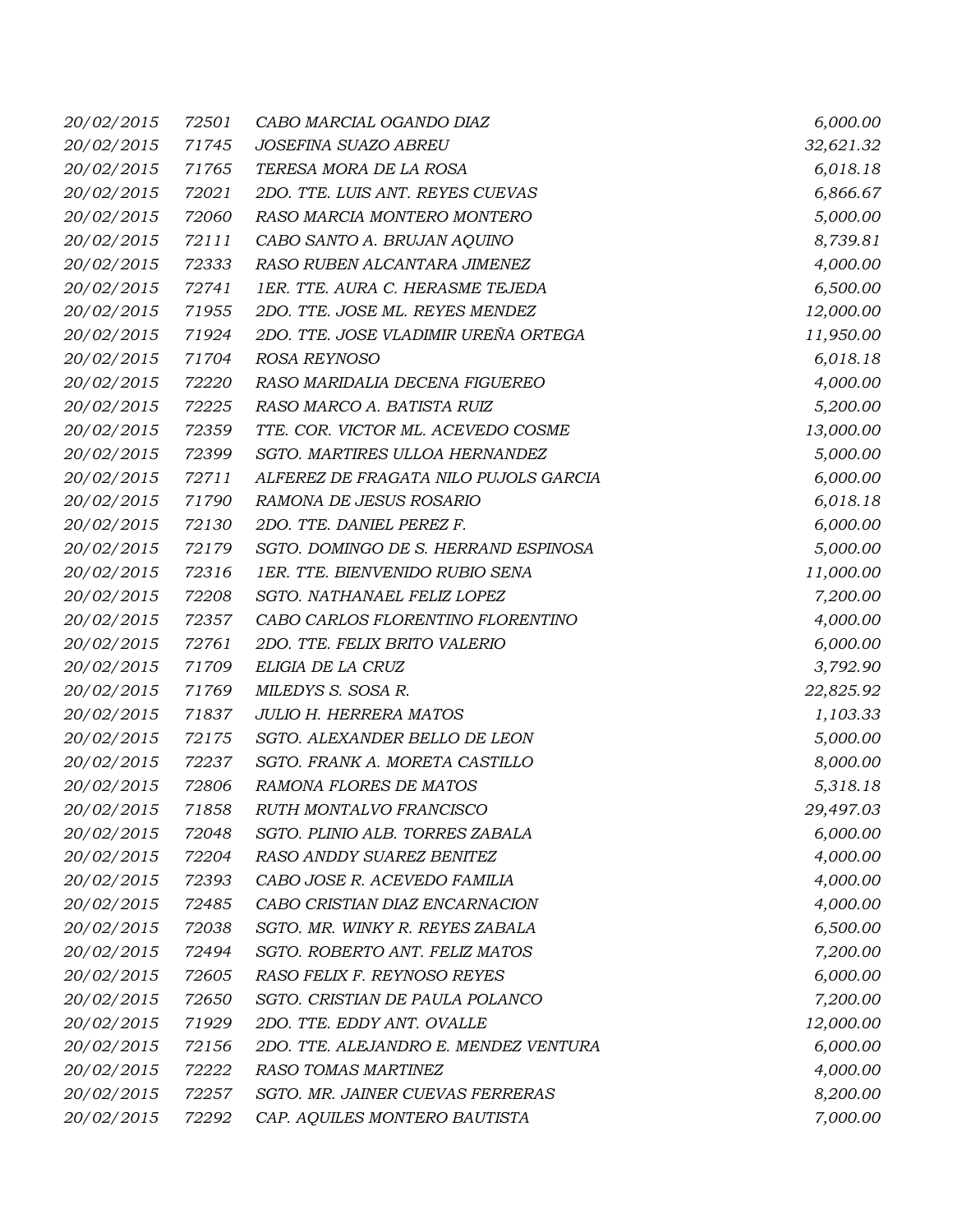| 20/02/2015        | 72501 | CABO MARCIAL OGANDO DIAZ              | 6,000.00  |
|-------------------|-------|---------------------------------------|-----------|
| 20/02/2015        | 71745 | JOSEFINA SUAZO ABREU                  | 32,621.32 |
| 20/02/2015        | 71765 | TERESA MORA DE LA ROSA                | 6,018.18  |
| 20/02/2015        | 72021 | 2DO. TTE. LUIS ANT. REYES CUEVAS      | 6,866.67  |
| 20/02/2015        | 72060 | RASO MARCIA MONTERO MONTERO           | 5,000.00  |
| 20/02/2015        | 72111 | CABO SANTO A. BRUJAN AQUINO           | 8,739.81  |
| 20/02/2015        | 72333 | RASO RUBEN ALCANTARA JIMENEZ          | 4,000.00  |
| 20/02/2015        | 72741 | 1ER. TTE. AURA C. HERASME TEJEDA      | 6,500.00  |
| 20/02/2015        | 71955 | 2DO. TTE. JOSE ML. REYES MENDEZ       | 12,000.00 |
| 20/02/2015        | 71924 | 2DO. TTE. JOSE VLADIMIR UREÑA ORTEGA  | 11,950.00 |
| 20/02/2015        | 71704 | ROSA REYNOSO                          | 6,018.18  |
| 20/02/2015        | 72220 | RASO MARIDALIA DECENA FIGUEREO        | 4,000.00  |
| 20/02/2015        | 72225 | RASO MARCO A. BATISTA RUIZ            | 5,200.00  |
| 20/02/2015        | 72359 | TTE. COR. VICTOR ML. ACEVEDO COSME    | 13,000.00 |
| 20/02/2015        | 72399 | SGTO. MARTIRES ULLOA HERNANDEZ        | 5,000.00  |
| 20/02/2015        | 72711 | ALFEREZ DE FRAGATA NILO PUJOLS GARCIA | 6,000.00  |
| 20/02/2015        | 71790 | RAMONA DE JESUS ROSARIO               | 6,018.18  |
| 20/02/2015        | 72130 | 2DO. TTE. DANIEL PEREZ F.             | 6,000.00  |
| 20/02/2015        | 72179 | SGTO. DOMINGO DE S. HERRAND ESPINOSA  | 5,000.00  |
| 20/02/2015        | 72316 | 1ER. TTE. BIENVENIDO RUBIO SENA       | 11,000.00 |
| 20/02/2015        | 72208 | SGTO. NATHANAEL FELIZ LOPEZ           | 7,200.00  |
| 20/02/2015        | 72357 | CABO CARLOS FLORENTINO FLORENTINO     | 4,000.00  |
| 20/02/2015        | 72761 | 2DO. TTE. FELIX BRITO VALERIO         | 6,000.00  |
| 20/02/2015        | 71709 | ELIGIA DE LA CRUZ                     | 3,792.90  |
| 20/02/2015        | 71769 | MILEDYS S. SOSA R.                    | 22,825.92 |
| 20/02/2015        | 71837 | <b>JULIO H. HERRERA MATOS</b>         | 1,103.33  |
| 20/02/2015        | 72175 | SGTO. ALEXANDER BELLO DE LEON         | 5,000.00  |
| 20/02/2015        | 72237 | SGTO. FRANK A. MORETA CASTILLO        | 8,000.00  |
| 20/02/2015        | 72806 | RAMONA FLORES DE MATOS                | 5,318.18  |
| <i>20/02/2015</i> | 71858 | RUTH MONTALVO FRANCISCO               | 29,497.03 |
| 20/02/2015        | 72048 | SGTO. PLINIO ALB. TORRES ZABALA       | 6,000.00  |
| 20/02/2015        | 72204 | RASO ANDDY SUAREZ BENITEZ             | 4,000.00  |
| 20/02/2015        | 72393 | CABO JOSE R. ACEVEDO FAMILIA          | 4,000.00  |
| 20/02/2015        | 72485 | CABO CRISTIAN DIAZ ENCARNACION        | 4,000.00  |
| 20/02/2015        | 72038 | SGTO. MR. WINKY R. REYES ZABALA       | 6,500.00  |
| 20/02/2015        | 72494 | SGTO. ROBERTO ANT. FELIZ MATOS        | 7,200.00  |
| 20/02/2015        | 72605 | RASO FELIX F. REYNOSO REYES           | 6,000.00  |
| 20/02/2015        | 72650 | SGTO. CRISTIAN DE PAULA POLANCO       | 7,200.00  |
| 20/02/2015        | 71929 | 2DO. TTE. EDDY ANT. OVALLE            | 12,000.00 |
| 20/02/2015        | 72156 | 2DO. TTE. ALEJANDRO E. MENDEZ VENTURA | 6,000.00  |
| 20/02/2015        | 72222 | RASO TOMAS MARTINEZ                   | 4,000.00  |
| 20/02/2015        | 72257 | SGTO. MR. JAINER CUEVAS FERRERAS      | 8,200.00  |
| 20/02/2015        | 72292 | CAP. AQUILES MONTERO BAUTISTA         | 7,000.00  |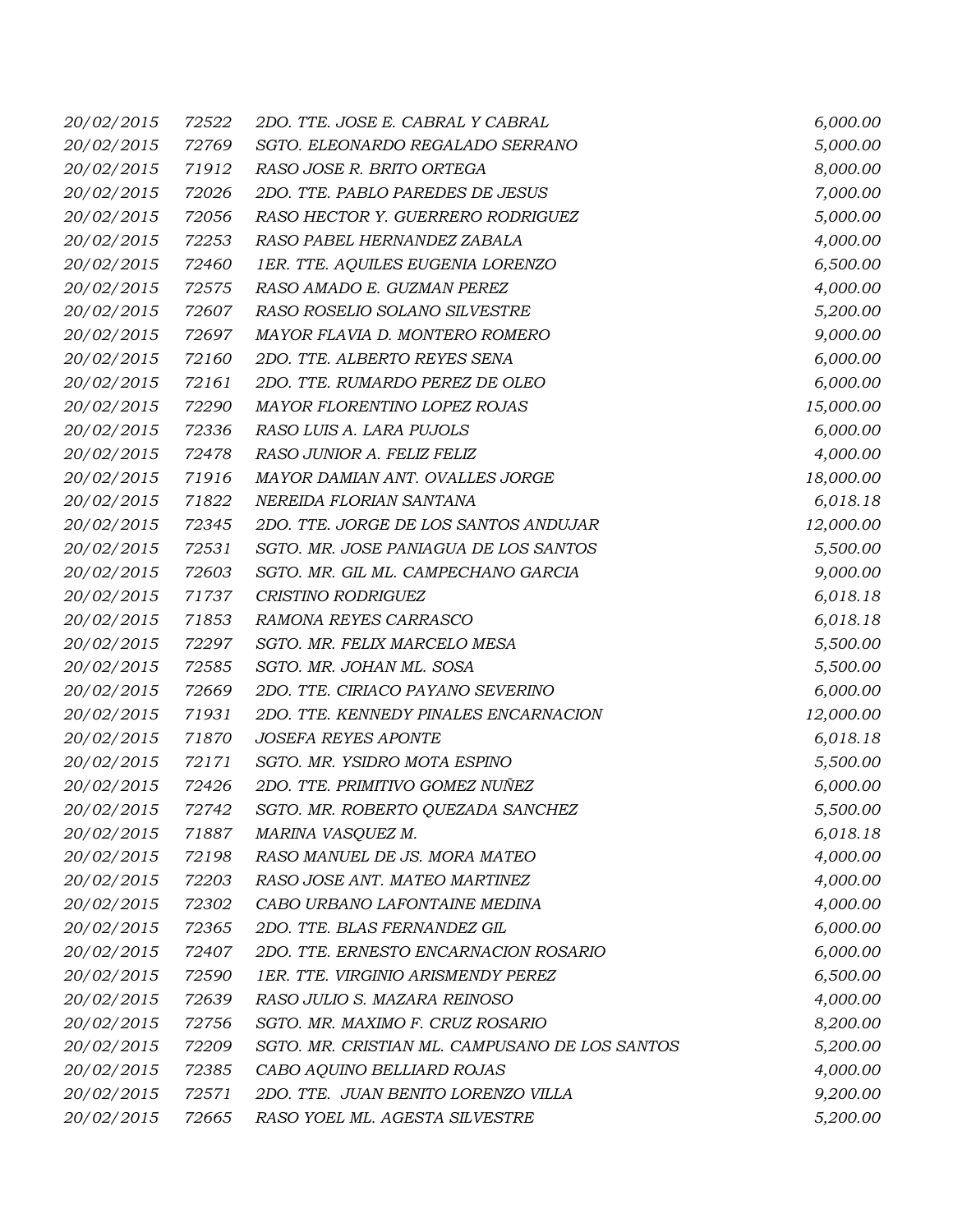| 20/02/2015        | 72522 | 2DO. TTE. JOSE E. CABRAL Y CABRAL              | 6,000.00  |
|-------------------|-------|------------------------------------------------|-----------|
| 20/02/2015        | 72769 | SGTO. ELEONARDO REGALADO SERRANO               | 5,000.00  |
| 20/02/2015        | 71912 | RASO JOSE R. BRITO ORTEGA                      | 8,000.00  |
| 20/02/2015        | 72026 | 2DO. TTE. PABLO PAREDES DE JESUS               | 7,000.00  |
| 20/02/2015        | 72056 | RASO HECTOR Y. GUERRERO RODRIGUEZ              | 5,000.00  |
| 20/02/2015        | 72253 | RASO PABEL HERNANDEZ ZABALA                    | 4,000.00  |
| 20/02/2015        | 72460 | 1ER. TTE. AQUILES EUGENIA LORENZO              | 6,500.00  |
| 20/02/2015        | 72575 | RASO AMADO E. GUZMAN PEREZ                     | 4,000.00  |
| 20/02/2015        | 72607 | RASO ROSELIO SOLANO SILVESTRE                  | 5,200.00  |
| 20/02/2015        | 72697 | MAYOR FLAVIA D. MONTERO ROMERO                 | 9,000.00  |
| 20/02/2015        | 72160 | 2DO. TTE. ALBERTO REYES SENA                   | 6,000.00  |
| 20/02/2015        | 72161 | 2DO. TTE. RUMARDO PEREZ DE OLEO                | 6,000.00  |
| 20/02/2015        | 72290 | MAYOR FLORENTINO LOPEZ ROJAS                   | 15,000.00 |
| 20/02/2015        | 72336 | RASO LUIS A. LARA PUJOLS                       | 6,000.00  |
| 20/02/2015        | 72478 | RASO JUNIOR A. FELIZ FELIZ                     | 4,000.00  |
| 20/02/2015        | 71916 | MAYOR DAMIAN ANT. OVALLES JORGE                | 18,000.00 |
| 20/02/2015        | 71822 | NEREIDA FLORIAN SANTANA                        | 6,018.18  |
| 20/02/2015        | 72345 | 2DO. TTE. JORGE DE LOS SANTOS ANDUJAR          | 12,000.00 |
| 20/02/2015        | 72531 | SGTO. MR. JOSE PANIAGUA DE LOS SANTOS          | 5,500.00  |
| 20/02/2015        | 72603 | SGTO. MR. GIL ML. CAMPECHANO GARCIA            | 9,000.00  |
| 20/02/2015        | 71737 | CRISTINO RODRIGUEZ                             | 6,018.18  |
| 20/02/2015        | 71853 | RAMONA REYES CARRASCO                          | 6,018.18  |
| 20/02/2015        | 72297 | SGTO. MR. FELIX MARCELO MESA                   | 5,500.00  |
| 20/02/2015        | 72585 | SGTO. MR. JOHAN ML. SOSA                       | 5,500.00  |
| 20/02/2015        | 72669 | 2DO. TTE. CIRIACO PAYANO SEVERINO              | 6,000.00  |
| 20/02/2015        | 71931 | 2DO. TTE. KENNEDY PINALES ENCARNACION          | 12,000.00 |
| 20/02/2015        | 71870 | <b>JOSEFA REYES APONTE</b>                     | 6,018.18  |
| 20/02/2015        | 72171 | SGTO. MR. YSIDRO MOTA ESPINO                   | 5,500.00  |
| 20/02/2015        | 72426 | 2DO. TTE. PRIMITIVO GOMEZ NUÑEZ                | 6,000.00  |
| <i>20/02/2015</i> | 72742 | SGTO. MR. ROBERTO QUEZADA SANCHEZ              | 5,500.00  |
| 20/02/2015        | 71887 | MARINA VASQUEZ M.                              | 6,018.18  |
| 20/02/2015        | 72198 | RASO MANUEL DE JS. MORA MATEO                  | 4,000.00  |
| 20/02/2015        | 72203 | RASO JOSE ANT. MATEO MARTINEZ                  | 4,000.00  |
| 20/02/2015        | 72302 | CABO URBANO LAFONTAINE MEDINA                  | 4,000.00  |
| 20/02/2015        | 72365 | 2DO. TTE. BLAS FERNANDEZ GIL                   | 6,000.00  |
| 20/02/2015        | 72407 | 2DO. TTE. ERNESTO ENCARNACION ROSARIO          | 6,000.00  |
| 20/02/2015        | 72590 | 1ER. TTE. VIRGINIO ARISMENDY PEREZ             | 6,500.00  |
| 20/02/2015        | 72639 | RASO JULIO S. MAZARA REINOSO                   | 4,000.00  |
| 20/02/2015        | 72756 | SGTO. MR. MAXIMO F. CRUZ ROSARIO               | 8,200.00  |
| 20/02/2015        | 72209 | SGTO. MR. CRISTIAN ML. CAMPUSANO DE LOS SANTOS | 5,200.00  |
| 20/02/2015        | 72385 | CABO AQUINO BELLIARD ROJAS                     | 4,000.00  |
| 20/02/2015        | 72571 | 2DO. TTE. JUAN BENITO LORENZO VILLA            | 9,200.00  |
| 20/02/2015        | 72665 | RASO YOEL ML. AGESTA SILVESTRE                 | 5,200.00  |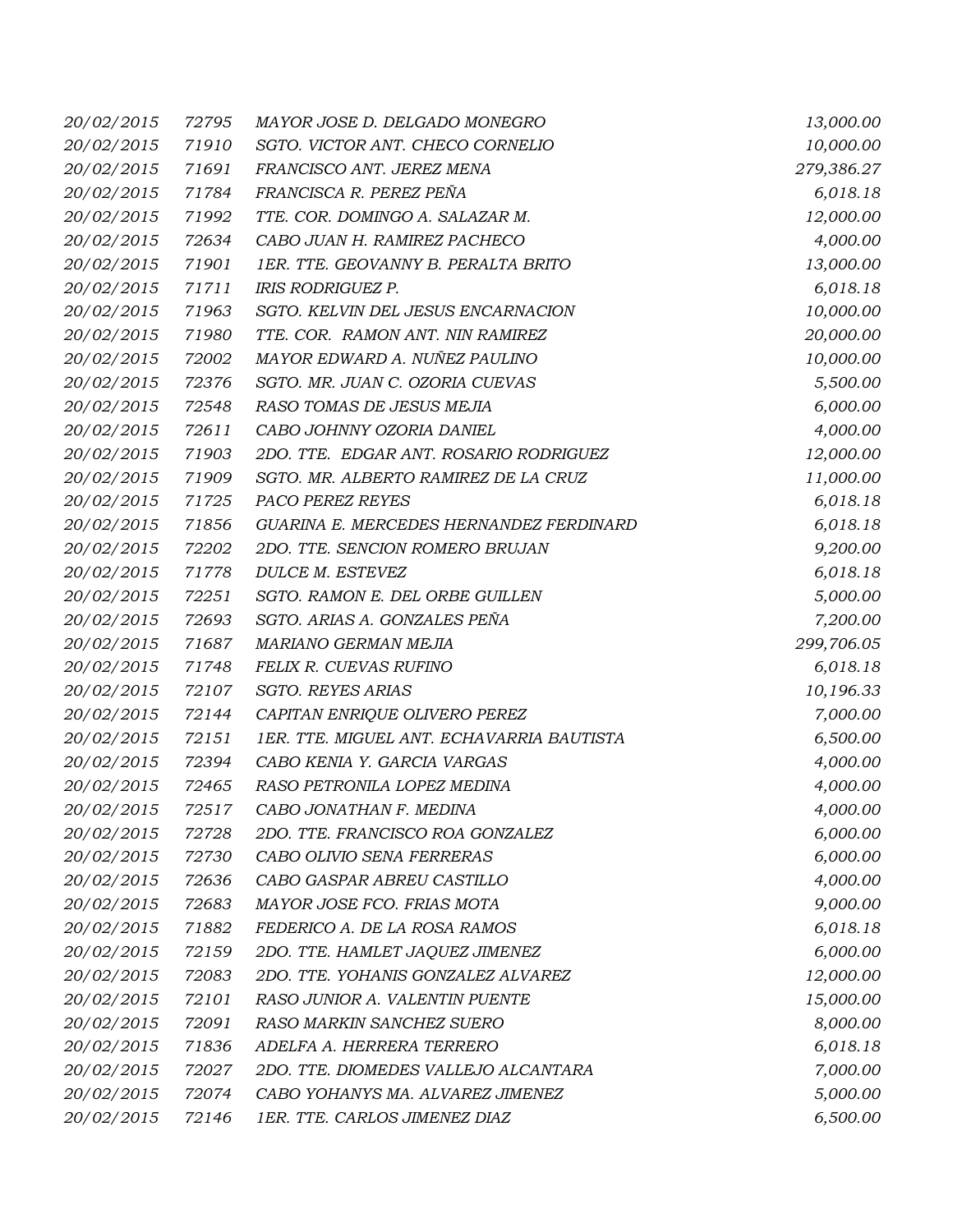| 20/02/2015        | 72795 | MAYOR JOSE D. DELGADO MONEGRO             | 13,000.00  |
|-------------------|-------|-------------------------------------------|------------|
| 20/02/2015        | 71910 | SGTO. VICTOR ANT. CHECO CORNELIO          | 10,000.00  |
| 20/02/2015        | 71691 | FRANCISCO ANT. JEREZ MENA                 | 279,386.27 |
| 20/02/2015        | 71784 | FRANCISCA R. PEREZ PEÑA                   | 6,018.18   |
| 20/02/2015        | 71992 | TTE. COR. DOMINGO A. SALAZAR M.           | 12,000.00  |
| 20/02/2015        | 72634 | CABO JUAN H. RAMIREZ PACHECO              | 4,000.00   |
| 20/02/2015        | 71901 | 1ER. TTE. GEOVANNY B. PERALTA BRITO       | 13,000.00  |
| 20/02/2015        | 71711 | <b>IRIS RODRIGUEZ P.</b>                  | 6,018.18   |
| 20/02/2015        | 71963 | SGTO. KELVIN DEL JESUS ENCARNACION        | 10,000.00  |
| 20/02/2015        | 71980 | TTE. COR. RAMON ANT. NIN RAMIREZ          | 20,000.00  |
| 20/02/2015        | 72002 | MAYOR EDWARD A. NUÑEZ PAULINO             | 10,000.00  |
| 20/02/2015        | 72376 | SGTO. MR. JUAN C. OZORIA CUEVAS           | 5,500.00   |
| 20/02/2015        | 72548 | RASO TOMAS DE JESUS MEJIA                 | 6,000.00   |
| 20/02/2015        | 72611 | CABO JOHNNY OZORIA DANIEL                 | 4,000.00   |
| 20/02/2015        | 71903 | 2DO. TTE. EDGAR ANT. ROSARIO RODRIGUEZ    | 12,000.00  |
| 20/02/2015        | 71909 | SGTO. MR. ALBERTO RAMIREZ DE LA CRUZ      | 11,000.00  |
| 20/02/2015        | 71725 | PACO PEREZ REYES                          | 6,018.18   |
| 20/02/2015        | 71856 | GUARINA E. MERCEDES HERNANDEZ FERDINARD   | 6,018.18   |
| 20/02/2015        | 72202 | 2DO. TTE. SENCION ROMERO BRUJAN           | 9,200.00   |
| 20/02/2015        | 71778 | DULCE M. ESTEVEZ                          | 6,018.18   |
| 20/02/2015        | 72251 | SGTO. RAMON E. DEL ORBE GUILLEN           | 5,000.00   |
| 20/02/2015        | 72693 | SGTO. ARIAS A. GONZALES PEÑA              | 7,200.00   |
| 20/02/2015        | 71687 | MARIANO GERMAN MEJIA                      | 299,706.05 |
| 20/02/2015        | 71748 | FELIX R. CUEVAS RUFINO                    | 6,018.18   |
| 20/02/2015        | 72107 | <b>SGTO. REYES ARIAS</b>                  | 10,196.33  |
| 20/02/2015        | 72144 | CAPITAN ENRIQUE OLIVERO PEREZ             | 7,000.00   |
| 20/02/2015        | 72151 | 1ER. TTE. MIGUEL ANT. ECHAVARRIA BAUTISTA | 6,500.00   |
| 20/02/2015        | 72394 | CABO KENIA Y. GARCIA VARGAS               | 4,000.00   |
| 20/02/2015        | 72465 | RASO PETRONILA LOPEZ MEDINA               | 4,000.00   |
| <i>20/02/2015</i> |       | 72517 CABO JONATHAN F. MEDINA             | 4,000.00   |
| 20/02/2015        | 72728 | 2DO. TTE. FRANCISCO ROA GONZALEZ          | 6,000.00   |
| 20/02/2015        | 72730 | CABO OLIVIO SENA FERRERAS                 | 6,000.00   |
| 20/02/2015        | 72636 | CABO GASPAR ABREU CASTILLO                | 4,000.00   |
| 20/02/2015        | 72683 | MAYOR JOSE FCO. FRIAS MOTA                | 9,000.00   |
| 20/02/2015        | 71882 | FEDERICO A. DE LA ROSA RAMOS              | 6,018.18   |
| 20/02/2015        | 72159 | 2DO. TTE. HAMLET JAQUEZ JIMENEZ           | 6,000.00   |
| 20/02/2015        | 72083 | 2DO. TTE. YOHANIS GONZALEZ ALVAREZ        | 12,000.00  |
| 20/02/2015        | 72101 | RASO JUNIOR A. VALENTIN PUENTE            | 15,000.00  |
| 20/02/2015        | 72091 | RASO MARKIN SANCHEZ SUERO                 | 8,000.00   |
| 20/02/2015        | 71836 | ADELFA A. HERRERA TERRERO                 | 6,018.18   |
| 20/02/2015        | 72027 | 2DO. TTE. DIOMEDES VALLEJO ALCANTARA      | 7,000.00   |
| 20/02/2015        | 72074 | CABO YOHANYS MA. ALVAREZ JIMENEZ          | 5,000.00   |
| 20/02/2015        | 72146 | 1ER. TTE. CARLOS JIMENEZ DIAZ             | 6,500.00   |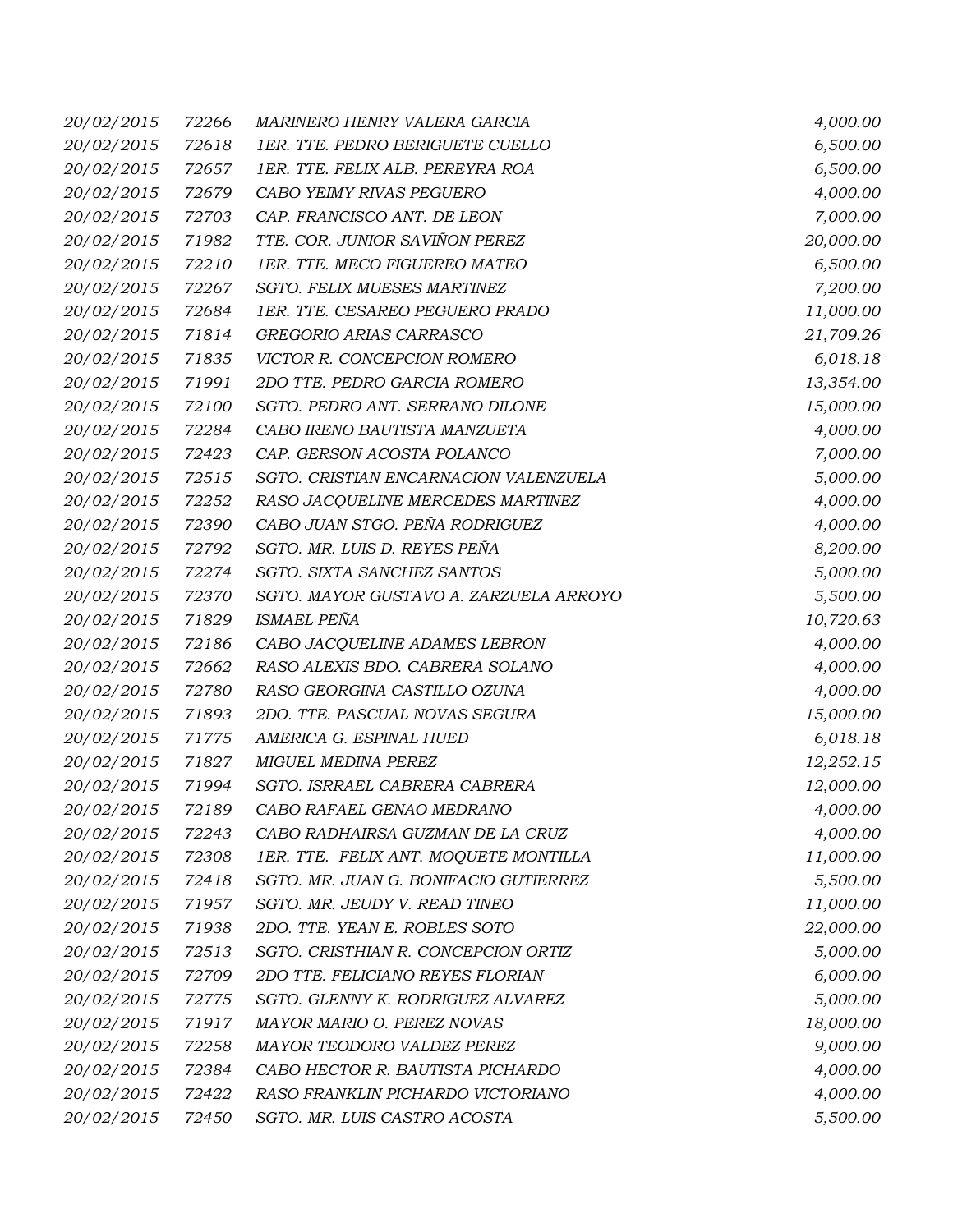| 20/02/2015        | 72266 | MARINERO HENRY VALERA GARCIA           | 4,000.00  |
|-------------------|-------|----------------------------------------|-----------|
| 20/02/2015        | 72618 | 1ER. TTE. PEDRO BERIGUETE CUELLO       | 6,500.00  |
| 20/02/2015        | 72657 | 1ER. TTE. FELIX ALB. PEREYRA ROA       | 6,500.00  |
| 20/02/2015        | 72679 | CABO YEIMY RIVAS PEGUERO               | 4,000.00  |
| 20/02/2015        | 72703 | CAP. FRANCISCO ANT. DE LEON            | 7,000.00  |
| 20/02/2015        | 71982 | TTE. COR. JUNIOR SAVIÑON PEREZ         | 20,000.00 |
| 20/02/2015        | 72210 | 1ER. TTE. MECO FIGUEREO MATEO          | 6,500.00  |
| 20/02/2015        | 72267 | SGTO. FELIX MUESES MARTINEZ            | 7,200.00  |
| 20/02/2015        | 72684 | 1ER. TTE. CESAREO PEGUERO PRADO        | 11,000.00 |
| 20/02/2015        | 71814 | GREGORIO ARIAS CARRASCO                | 21,709.26 |
| 20/02/2015        | 71835 | VICTOR R. CONCEPCION ROMERO            | 6,018.18  |
| 20/02/2015        | 71991 | 2DO TTE. PEDRO GARCIA ROMERO           | 13,354.00 |
| 20/02/2015        | 72100 | SGTO. PEDRO ANT. SERRANO DILONE        | 15,000.00 |
| 20/02/2015        | 72284 | CABO IRENO BAUTISTA MANZUETA           | 4,000.00  |
| 20/02/2015        | 72423 | CAP. GERSON ACOSTA POLANCO             | 7,000.00  |
| 20/02/2015        | 72515 | SGTO. CRISTIAN ENCARNACION VALENZUELA  | 5,000.00  |
| 20/02/2015        | 72252 | RASO JACQUELINE MERCEDES MARTINEZ      | 4,000.00  |
| 20/02/2015        | 72390 | CABO JUAN STGO. PEÑA RODRIGUEZ         | 4,000.00  |
| 20/02/2015        | 72792 | SGTO. MR. LUIS D. REYES PEÑA           | 8,200.00  |
| 20/02/2015        | 72274 | SGTO. SIXTA SANCHEZ SANTOS             | 5,000.00  |
| 20/02/2015        | 72370 | SGTO. MAYOR GUSTAVO A. ZARZUELA ARROYO | 5,500.00  |
| 20/02/2015        | 71829 | <b>ISMAEL PEÑA</b>                     | 10,720.63 |
| 20/02/2015        | 72186 | CABO JACQUELINE ADAMES LEBRON          | 4,000.00  |
| 20/02/2015        | 72662 | RASO ALEXIS BDO. CABRERA SOLANO        | 4,000.00  |
| 20/02/2015        | 72780 | RASO GEORGINA CASTILLO OZUNA           | 4,000.00  |
| 20/02/2015        | 71893 | 2DO. TTE. PASCUAL NOVAS SEGURA         | 15,000.00 |
| 20/02/2015        | 71775 | AMERICA G. ESPINAL HUED                | 6,018.18  |
| 20/02/2015        | 71827 | MIGUEL MEDINA PEREZ                    | 12,252.15 |
| 20/02/2015        | 71994 | SGTO. ISRRAEL CABRERA CABRERA          | 12,000.00 |
| <i>20/02/2015</i> |       | 72189 CABO RAFAEL GENAO MEDRANO        | 4,000.00  |
| 20/02/2015        | 72243 | CABO RADHAIRSA GUZMAN DE LA CRUZ       | 4,000.00  |
| 20/02/2015        | 72308 | 1ER. TTE. FELIX ANT. MOQUETE MONTILLA  | 11,000.00 |
| 20/02/2015        | 72418 | SGTO. MR. JUAN G. BONIFACIO GUTIERREZ  | 5,500.00  |
| 20/02/2015        | 71957 | SGTO. MR. JEUDY V. READ TINEO          | 11,000.00 |
| 20/02/2015        | 71938 | 2DO. TTE. YEAN E. ROBLES SOTO          | 22,000.00 |
| 20/02/2015        | 72513 | SGTO. CRISTHIAN R. CONCEPCION ORTIZ    | 5,000.00  |
| 20/02/2015        | 72709 | 2DO TTE. FELICIANO REYES FLORIAN       | 6,000.00  |
| 20/02/2015        | 72775 | SGTO. GLENNY K. RODRIGUEZ ALVAREZ      | 5,000.00  |
| 20/02/2015        | 71917 | MAYOR MARIO O. PEREZ NOVAS             | 18,000.00 |
| 20/02/2015        | 72258 | MAYOR TEODORO VALDEZ PEREZ             | 9,000.00  |
| 20/02/2015        | 72384 | CABO HECTOR R. BAUTISTA PICHARDO       | 4,000.00  |
| 20/02/2015        | 72422 | RASO FRANKLIN PICHARDO VICTORIANO      | 4,000.00  |
| 20/02/2015        | 72450 | SGTO. MR. LUIS CASTRO ACOSTA           | 5,500.00  |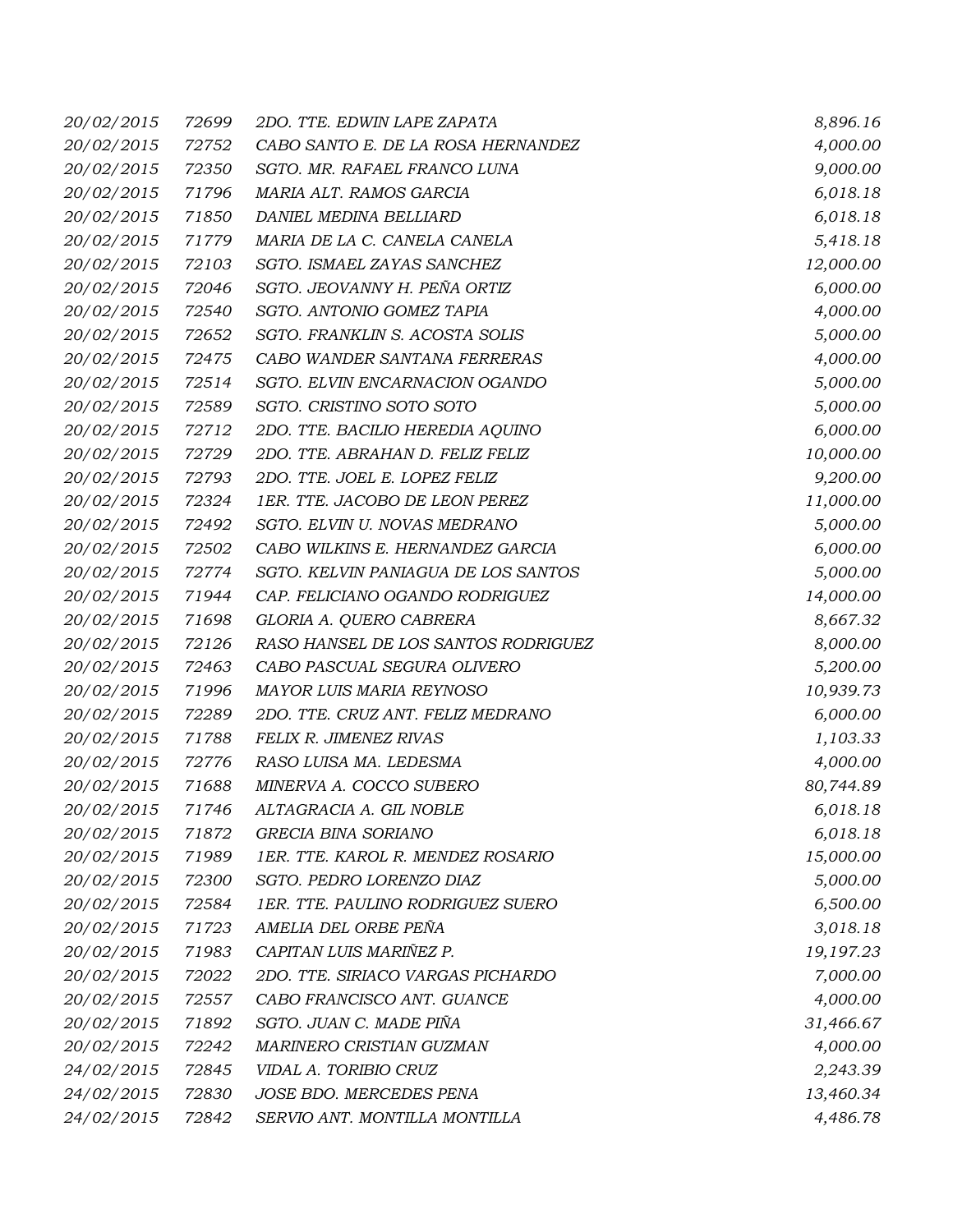| 20/02/2015        | 72699 | 2DO. TTE. EDWIN LAPE ZAPATA         | 8,896.16  |
|-------------------|-------|-------------------------------------|-----------|
| 20/02/2015        | 72752 | CABO SANTO E. DE LA ROSA HERNANDEZ  | 4,000.00  |
| 20/02/2015        | 72350 | SGTO. MR. RAFAEL FRANCO LUNA        | 9,000.00  |
| 20/02/2015        | 71796 | MARIA ALT. RAMOS GARCIA             | 6,018.18  |
| 20/02/2015        | 71850 | DANIEL MEDINA BELLIARD              | 6,018.18  |
| 20/02/2015        | 71779 | MARIA DE LA C. CANELA CANELA        | 5,418.18  |
| 20/02/2015        | 72103 | SGTO. ISMAEL ZAYAS SANCHEZ          | 12,000.00 |
| 20/02/2015        | 72046 | SGTO. JEOVANNY H. PEÑA ORTIZ        | 6,000.00  |
| 20/02/2015        | 72540 | SGTO. ANTONIO GOMEZ TAPIA           | 4,000.00  |
| 20/02/2015        | 72652 | SGTO. FRANKLIN S. ACOSTA SOLIS      | 5,000.00  |
| 20/02/2015        | 72475 | CABO WANDER SANTANA FERRERAS        | 4,000.00  |
| 20/02/2015        | 72514 | SGTO. ELVIN ENCARNACION OGANDO      | 5,000.00  |
| 20/02/2015        | 72589 | SGTO. CRISTINO SOTO SOTO            | 5,000.00  |
| 20/02/2015        | 72712 | 2DO. TTE. BACILIO HEREDIA AQUINO    | 6,000.00  |
| 20/02/2015        | 72729 | 2DO. TTE. ABRAHAN D. FELIZ FELIZ    | 10,000.00 |
| 20/02/2015        | 72793 | 2DO. TTE. JOEL E. LOPEZ FELIZ       | 9,200.00  |
| 20/02/2015        | 72324 | 1ER. TTE. JACOBO DE LEON PEREZ      | 11,000.00 |
| 20/02/2015        | 72492 | SGTO. ELVIN U. NOVAS MEDRANO        | 5,000.00  |
| 20/02/2015        | 72502 | CABO WILKINS E. HERNANDEZ GARCIA    | 6,000.00  |
| 20/02/2015        | 72774 | SGTO. KELVIN PANIAGUA DE LOS SANTOS | 5,000.00  |
| 20/02/2015        | 71944 | CAP. FELICIANO OGANDO RODRIGUEZ     | 14,000.00 |
| 20/02/2015        | 71698 | GLORIA A. QUERO CABRERA             | 8,667.32  |
| 20/02/2015        | 72126 | RASO HANSEL DE LOS SANTOS RODRIGUEZ | 8,000.00  |
| 20/02/2015        | 72463 | CABO PASCUAL SEGURA OLIVERO         | 5,200.00  |
| 20/02/2015        | 71996 | MAYOR LUIS MARIA REYNOSO            | 10,939.73 |
| 20/02/2015        | 72289 | 2DO. TTE. CRUZ ANT. FELIZ MEDRANO   | 6,000.00  |
| 20/02/2015        | 71788 | FELIX R. JIMENEZ RIVAS              | 1,103.33  |
| 20/02/2015        | 72776 | RASO LUISA MA. LEDESMA              | 4,000.00  |
| 20/02/2015        | 71688 | MINERVA A. COCCO SUBERO             | 80,744.89 |
| <i>20/02/2015</i> |       | 71746 ALTAGRACIA A. GIL NOBLE       | 6,018.18  |
| 20/02/2015        | 71872 | GRECIA BINA SORIANO                 | 6,018.18  |
| 20/02/2015        | 71989 | 1ER. TTE. KAROL R. MENDEZ ROSARIO   | 15,000.00 |
| 20/02/2015        | 72300 | SGTO. PEDRO LORENZO DIAZ            | 5,000.00  |
| 20/02/2015        | 72584 | 1ER. TTE. PAULINO RODRIGUEZ SUERO   | 6,500.00  |
| 20/02/2015        | 71723 | AMELIA DEL ORBE PEÑA                | 3,018.18  |
| 20/02/2015        | 71983 | CAPITAN LUIS MARIÑEZ P.             | 19,197.23 |
| 20/02/2015        | 72022 | 2DO. TTE. SIRIACO VARGAS PICHARDO   | 7,000.00  |
| 20/02/2015        | 72557 | CABO FRANCISCO ANT. GUANCE          | 4,000.00  |
| 20/02/2015        | 71892 | SGTO. JUAN C. MADE PIÑA             | 31,466.67 |
| 20/02/2015        | 72242 | MARINERO CRISTIAN GUZMAN            | 4,000.00  |
| 24/02/2015        | 72845 | VIDAL A. TORIBIO CRUZ               | 2,243.39  |
| 24/02/2015        | 72830 | JOSE BDO. MERCEDES PENA             | 13,460.34 |
| 24/02/2015        | 72842 | SERVIO ANT. MONTILLA MONTILLA       | 4,486.78  |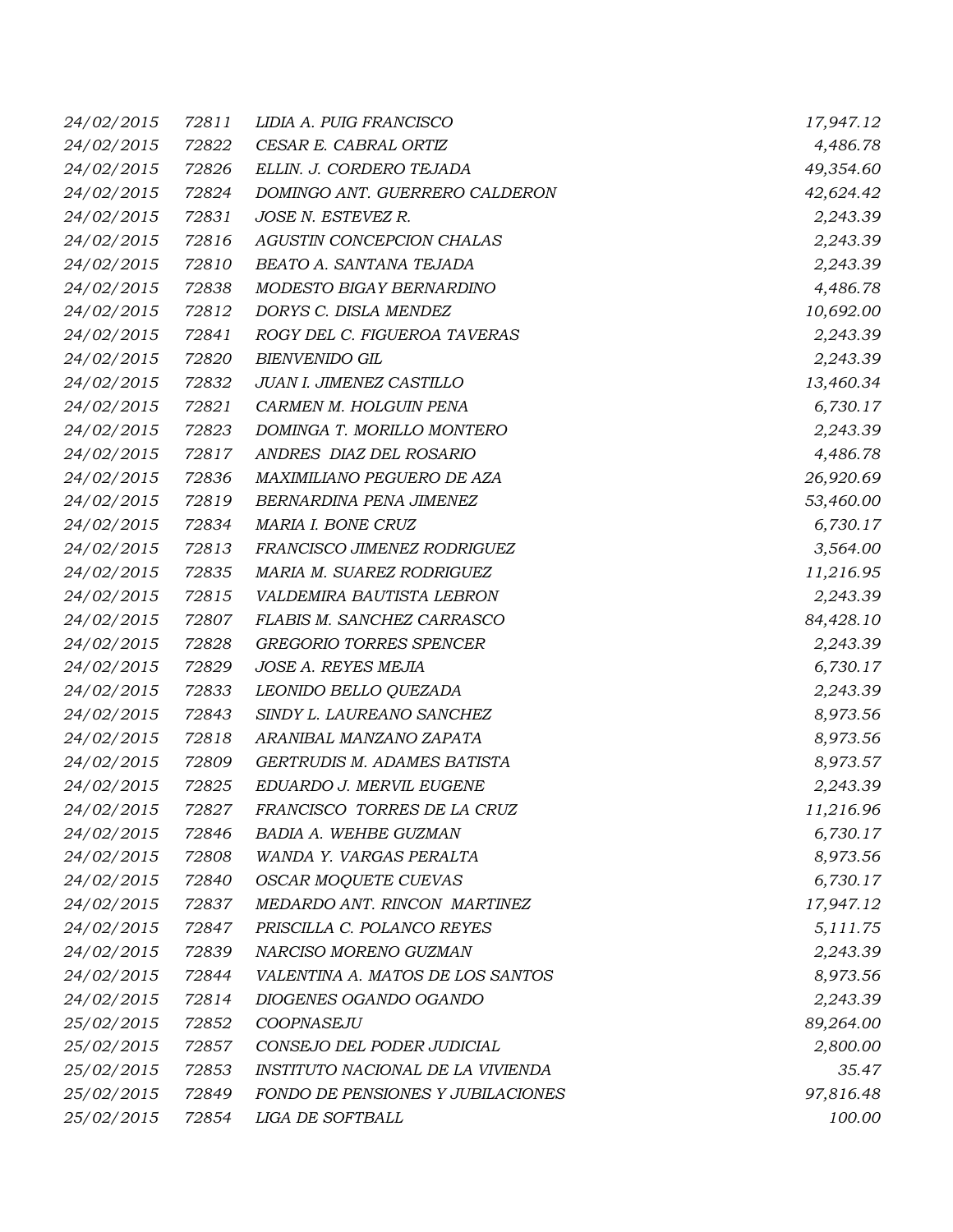| 24/02/2015        | 72811 | LIDIA A. PUIG FRANCISCO           | 17,947.12 |
|-------------------|-------|-----------------------------------|-----------|
| 24/02/2015        | 72822 | CESAR E. CABRAL ORTIZ             | 4,486.78  |
| 24/02/2015        | 72826 | ELLIN. J. CORDERO TEJADA          | 49,354.60 |
| 24/02/2015        | 72824 | DOMINGO ANT. GUERRERO CALDERON    | 42,624.42 |
| 24/02/2015        | 72831 | JOSE N. ESTEVEZ R.                | 2,243.39  |
| 24/02/2015        | 72816 | AGUSTIN CONCEPCION CHALAS         | 2,243.39  |
| 24/02/2015        | 72810 | BEATO A. SANTANA TEJADA           | 2,243.39  |
| 24/02/2015        | 72838 | MODESTO BIGAY BERNARDINO          | 4,486.78  |
| 24/02/2015        | 72812 | DORYS C. DISLA MENDEZ             | 10,692.00 |
| 24/02/2015        | 72841 | ROGY DEL C. FIGUEROA TAVERAS      | 2,243.39  |
| 24/02/2015        | 72820 | <b>BIENVENIDO GIL</b>             | 2,243.39  |
| 24/02/2015        | 72832 | JUAN I. JIMENEZ CASTILLO          | 13,460.34 |
| 24/02/2015        | 72821 | CARMEN M. HOLGUIN PENA            | 6,730.17  |
| 24/02/2015        | 72823 | DOMINGA T. MORILLO MONTERO        | 2,243.39  |
| 24/02/2015        | 72817 | ANDRES DIAZ DEL ROSARIO           | 4,486.78  |
| 24/02/2015        | 72836 | MAXIMILIANO PEGUERO DE AZA        | 26,920.69 |
| 24/02/2015        | 72819 | BERNARDINA PENA JIMENEZ           | 53,460.00 |
| 24/02/2015        | 72834 | MARIA I. BONE CRUZ                | 6,730.17  |
| 24/02/2015        | 72813 | FRANCISCO JIMENEZ RODRIGUEZ       | 3,564.00  |
| 24/02/2015        | 72835 | MARIA M. SUAREZ RODRIGUEZ         | 11,216.95 |
| 24/02/2015        | 72815 | VALDEMIRA BAUTISTA LEBRON         | 2,243.39  |
| 24/02/2015        | 72807 | FLABIS M. SANCHEZ CARRASCO        | 84,428.10 |
| 24/02/2015        | 72828 | <b>GREGORIO TORRES SPENCER</b>    | 2,243.39  |
| 24/02/2015        | 72829 | JOSE A. REYES MEJIA               | 6,730.17  |
| 24/02/2015        | 72833 | LEONIDO BELLO QUEZADA             | 2,243.39  |
| 24/02/2015        | 72843 | SINDY L. LAUREANO SANCHEZ         | 8,973.56  |
| 24/02/2015        | 72818 | ARANIBAL MANZANO ZAPATA           | 8,973.56  |
| 24/02/2015        | 72809 | GERTRUDIS M. ADAMES BATISTA       | 8,973.57  |
| 24/02/2015        | 72825 | EDUARDO J. MERVIL EUGENE          | 2,243.39  |
| <i>24/02/2015</i> | 72827 | FRANCISCO TORRES DE LA CRUZ       | 11,216.96 |
| 24/02/2015        | 72846 | BADIA A. WEHBE GUZMAN             | 6,730.17  |
| 24/02/2015        | 72808 | WANDA Y. VARGAS PERALTA           | 8,973.56  |
| 24/02/2015        | 72840 | <b>OSCAR MOQUETE CUEVAS</b>       | 6,730.17  |
| 24/02/2015        | 72837 | MEDARDO ANT. RINCON MARTINEZ      | 17,947.12 |
| 24/02/2015        | 72847 | PRISCILLA C. POLANCO REYES        | 5, 111.75 |
| 24/02/2015        | 72839 | NARCISO MORENO GUZMAN             | 2,243.39  |
| 24/02/2015        | 72844 | VALENTINA A. MATOS DE LOS SANTOS  | 8,973.56  |
| 24/02/2015        | 72814 | DIOGENES OGANDO OGANDO            | 2,243.39  |
| 25/02/2015        | 72852 | COOPNASEJU                        | 89,264.00 |
| 25/02/2015        | 72857 | CONSEJO DEL PODER JUDICIAL        | 2,800.00  |
| 25/02/2015        | 72853 | INSTITUTO NACIONAL DE LA VIVIENDA | 35.47     |
| 25/02/2015        | 72849 | FONDO DE PENSIONES Y JUBILACIONES | 97,816.48 |
| 25/02/2015        | 72854 | LIGA DE SOFTBALL                  | 100.00    |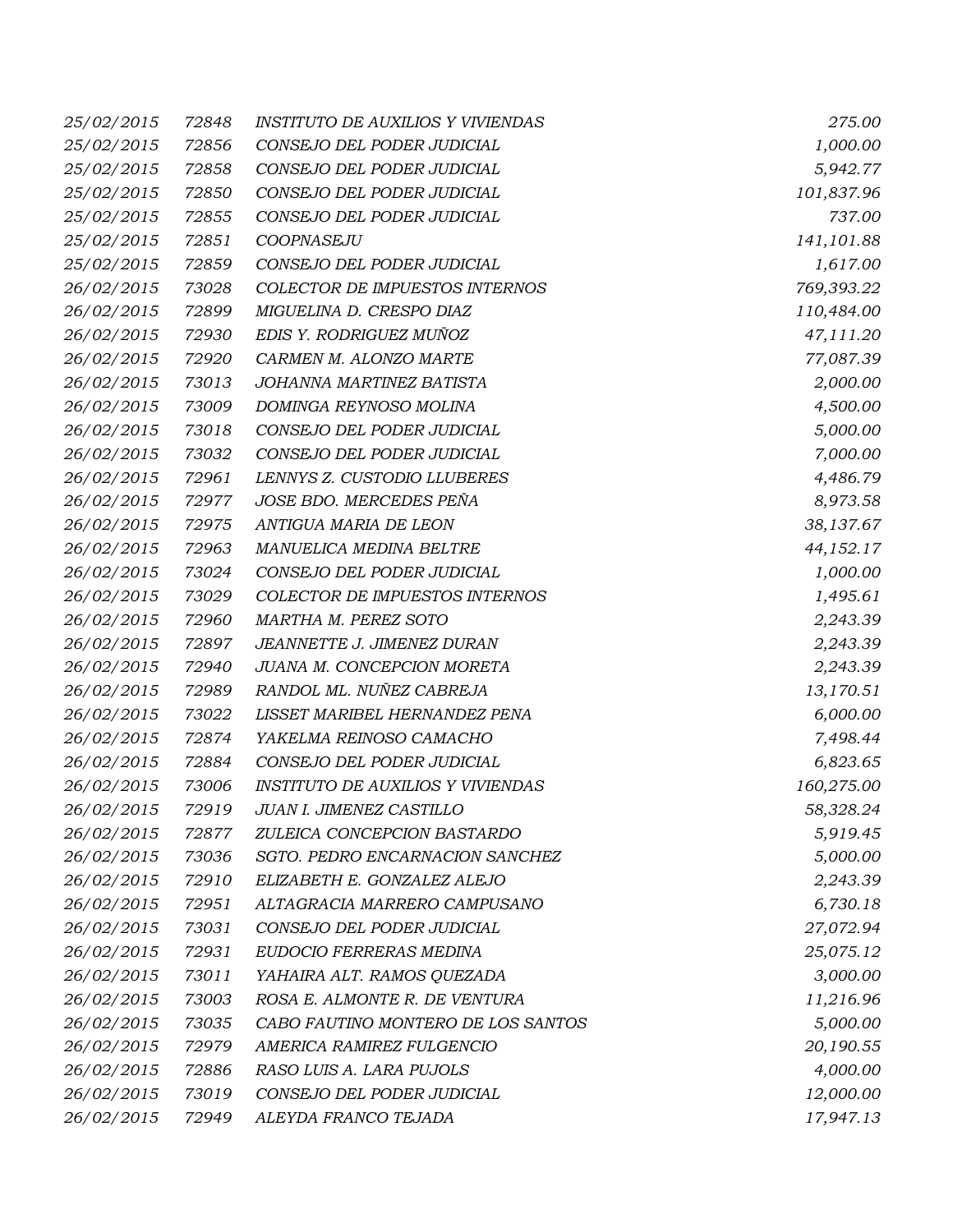| 25/02/2015 | 72848 | <b>INSTITUTO DE AUXILIOS Y VIVIENDAS</b> | 275.00      |
|------------|-------|------------------------------------------|-------------|
| 25/02/2015 | 72856 | CONSEJO DEL PODER JUDICIAL               | 1,000.00    |
| 25/02/2015 | 72858 | CONSEJO DEL PODER JUDICIAL               | 5,942.77    |
| 25/02/2015 | 72850 | CONSEJO DEL PODER JUDICIAL               | 101,837.96  |
| 25/02/2015 | 72855 | CONSEJO DEL PODER JUDICIAL               | 737.00      |
| 25/02/2015 | 72851 | COOPNASEJU                               | 141,101.88  |
| 25/02/2015 | 72859 | CONSEJO DEL PODER JUDICIAL               | 1,617.00    |
| 26/02/2015 | 73028 | COLECTOR DE IMPUESTOS INTERNOS           | 769,393.22  |
| 26/02/2015 | 72899 | MIGUELINA D. CRESPO DIAZ                 | 110,484.00  |
| 26/02/2015 | 72930 | EDIS Y. RODRIGUEZ MUÑOZ                  | 47,111.20   |
| 26/02/2015 | 72920 | CARMEN M. ALONZO MARTE                   | 77,087.39   |
| 26/02/2015 | 73013 | JOHANNA MARTINEZ BATISTA                 | 2,000.00    |
| 26/02/2015 | 73009 | DOMINGA REYNOSO MOLINA                   | 4,500.00    |
| 26/02/2015 | 73018 | CONSEJO DEL PODER JUDICIAL               | 5,000.00    |
| 26/02/2015 | 73032 | CONSEJO DEL PODER JUDICIAL               | 7,000.00    |
| 26/02/2015 | 72961 | LENNYS Z. CUSTODIO LLUBERES              | 4,486.79    |
| 26/02/2015 | 72977 | JOSE BDO. MERCEDES PEÑA                  | 8,973.58    |
| 26/02/2015 | 72975 | ANTIGUA MARIA DE LEON                    | 38,137.67   |
| 26/02/2015 | 72963 | MANUELICA MEDINA BELTRE                  | 44, 152. 17 |
| 26/02/2015 | 73024 | CONSEJO DEL PODER JUDICIAL               | 1,000.00    |
| 26/02/2015 | 73029 | COLECTOR DE IMPUESTOS INTERNOS           | 1,495.61    |
| 26/02/2015 | 72960 | MARTHA M. PEREZ SOTO                     | 2,243.39    |
| 26/02/2015 | 72897 | JEANNETTE J. JIMENEZ DURAN               | 2,243.39    |
| 26/02/2015 | 72940 | JUANA M. CONCEPCION MORETA               | 2,243.39    |
| 26/02/2015 | 72989 | RANDOL ML. NUÑEZ CABREJA                 | 13,170.51   |
| 26/02/2015 | 73022 | LISSET MARIBEL HERNANDEZ PENA            | 6,000.00    |
| 26/02/2015 | 72874 | YAKELMA REINOSO CAMACHO                  | 7,498.44    |
| 26/02/2015 | 72884 | CONSEJO DEL PODER JUDICIAL               | 6,823.65    |
| 26/02/2015 | 73006 | <b>INSTITUTO DE AUXILIOS Y VIVIENDAS</b> | 160,275.00  |
| 26/02/2015 | 72919 | JUAN I. JIMENEZ CASTILLO                 | 58,328.24   |
| 26/02/2015 | 72877 | ZULEICA CONCEPCION BASTARDO              | 5,919.45    |
| 26/02/2015 | 73036 | SGTO. PEDRO ENCARNACION SANCHEZ          | 5,000.00    |
| 26/02/2015 | 72910 | ELIZABETH E. GONZALEZ ALEJO              | 2,243.39    |
| 26/02/2015 | 72951 | ALTAGRACIA MARRERO CAMPUSANO             | 6,730.18    |
| 26/02/2015 | 73031 | CONSEJO DEL PODER JUDICIAL               | 27,072.94   |
| 26/02/2015 | 72931 | EUDOCIO FERRERAS MEDINA                  | 25,075.12   |
| 26/02/2015 | 73011 | YAHAIRA ALT. RAMOS QUEZADA               | 3,000.00    |
| 26/02/2015 | 73003 | ROSA E. ALMONTE R. DE VENTURA            | 11,216.96   |
| 26/02/2015 | 73035 | CABO FAUTINO MONTERO DE LOS SANTOS       | 5,000.00    |
| 26/02/2015 | 72979 | AMERICA RAMIREZ FULGENCIO                | 20,190.55   |
| 26/02/2015 | 72886 | RASO LUIS A. LARA PUJOLS                 | 4,000.00    |
| 26/02/2015 | 73019 | CONSEJO DEL PODER JUDICIAL               | 12,000.00   |
| 26/02/2015 | 72949 | ALEYDA FRANCO TEJADA                     | 17,947.13   |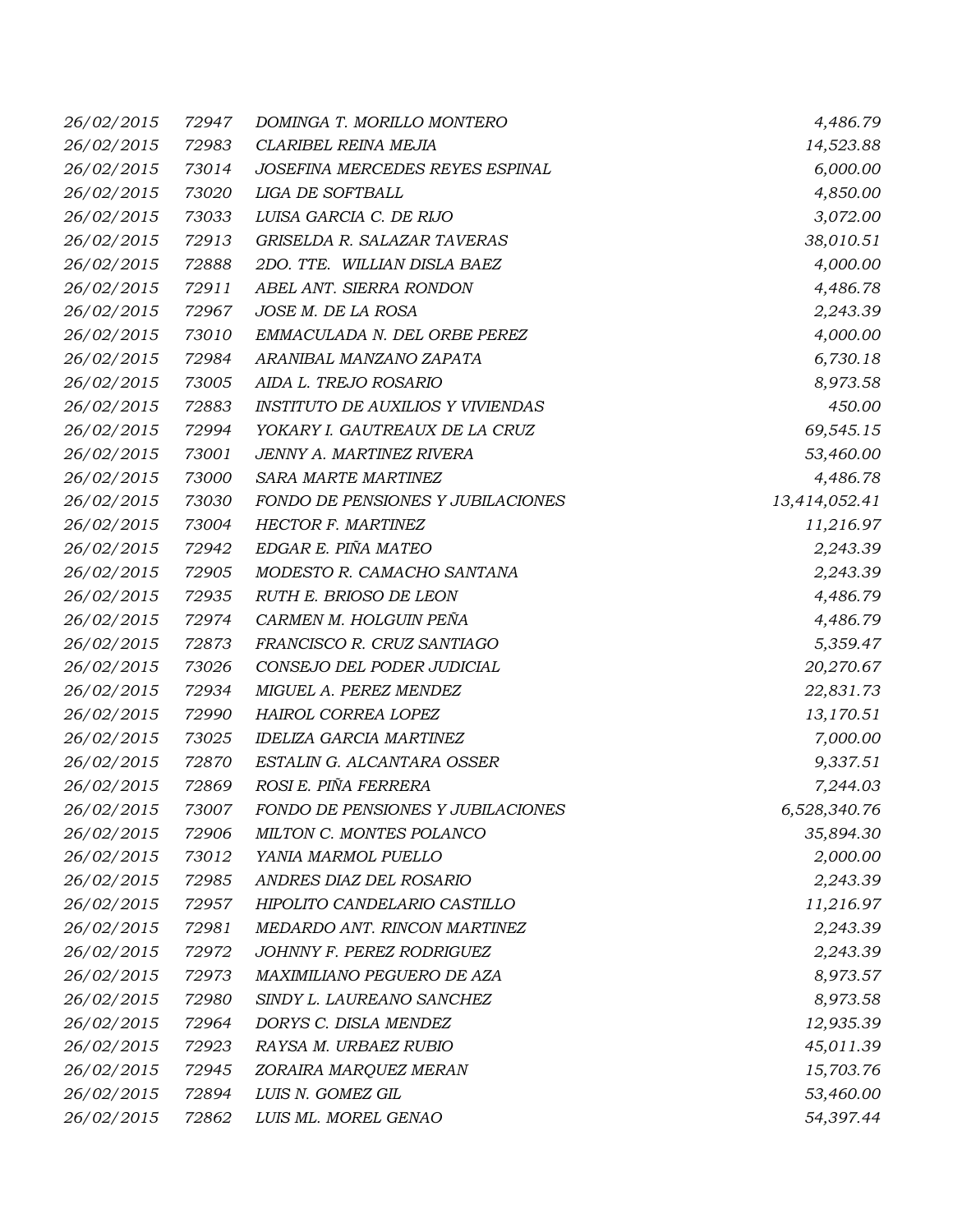| 26/02/2015 | 72947 | DOMINGA T. MORILLO MONTERO               | 4,486.79      |
|------------|-------|------------------------------------------|---------------|
| 26/02/2015 | 72983 | CLARIBEL REINA MEJIA                     | 14,523.88     |
| 26/02/2015 | 73014 | JOSEFINA MERCEDES REYES ESPINAL          | 6,000.00      |
| 26/02/2015 | 73020 | LIGA DE SOFTBALL                         | 4,850.00      |
| 26/02/2015 | 73033 | LUISA GARCIA C. DE RIJO                  | 3,072.00      |
| 26/02/2015 | 72913 | GRISELDA R. SALAZAR TAVERAS              | 38,010.51     |
| 26/02/2015 | 72888 | 2DO. TTE. WILLIAN DISLA BAEZ             | 4,000.00      |
| 26/02/2015 | 72911 | ABEL ANT. SIERRA RONDON                  | 4,486.78      |
| 26/02/2015 | 72967 | JOSE M. DE LA ROSA                       | 2,243.39      |
| 26/02/2015 | 73010 | EMMACULADA N. DEL ORBE PEREZ             | 4,000.00      |
| 26/02/2015 | 72984 | ARANIBAL MANZANO ZAPATA                  | 6,730.18      |
| 26/02/2015 | 73005 | AIDA L. TREJO ROSARIO                    | 8,973.58      |
| 26/02/2015 | 72883 | <b>INSTITUTO DE AUXILIOS Y VIVIENDAS</b> | 450.00        |
| 26/02/2015 | 72994 | YOKARY I. GAUTREAUX DE LA CRUZ           | 69,545.15     |
| 26/02/2015 | 73001 | JENNY A. MARTINEZ RIVERA                 | 53,460.00     |
| 26/02/2015 | 73000 | SARA MARTE MARTINEZ                      | 4,486.78      |
| 26/02/2015 | 73030 | FONDO DE PENSIONES Y JUBILACIONES        | 13,414,052.41 |
| 26/02/2015 | 73004 | HECTOR F. MARTINEZ                       | 11,216.97     |
| 26/02/2015 | 72942 | EDGAR E. PIÑA MATEO                      | 2,243.39      |
| 26/02/2015 | 72905 | MODESTO R. CAMACHO SANTANA               | 2,243.39      |
| 26/02/2015 | 72935 | RUTH E. BRIOSO DE LEON                   | 4,486.79      |
| 26/02/2015 | 72974 | CARMEN M. HOLGUIN PEÑA                   | 4,486.79      |
| 26/02/2015 | 72873 | FRANCISCO R. CRUZ SANTIAGO               | 5,359.47      |
| 26/02/2015 | 73026 | CONSEJO DEL PODER JUDICIAL               | 20,270.67     |
| 26/02/2015 | 72934 | MIGUEL A. PEREZ MENDEZ                   | 22,831.73     |
| 26/02/2015 | 72990 | HAIROL CORREA LOPEZ                      | 13,170.51     |
| 26/02/2015 | 73025 | <b>IDELIZA GARCIA MARTINEZ</b>           | 7,000.00      |
| 26/02/2015 | 72870 | ESTALIN G. ALCANTARA OSSER               | 9,337.51      |
| 26/02/2015 | 72869 | ROSI E. PIÑA FERRERA                     | 7,244.03      |
| 26/02/2015 | 73007 | FONDO DE PENSIONES Y JUBILACIONES        | 6,528,340.76  |
| 26/02/2015 | 72906 | MILTON C. MONTES POLANCO                 | 35,894.30     |
| 26/02/2015 | 73012 | YANIA MARMOL PUELLO                      | 2,000.00      |
| 26/02/2015 | 72985 | ANDRES DIAZ DEL ROSARIO                  | 2,243.39      |
| 26/02/2015 | 72957 | HIPOLITO CANDELARIO CASTILLO             | 11,216.97     |
| 26/02/2015 | 72981 | MEDARDO ANT. RINCON MARTINEZ             | 2,243.39      |
| 26/02/2015 | 72972 | JOHNNY F. PEREZ RODRIGUEZ                | 2,243.39      |
| 26/02/2015 | 72973 | MAXIMILIANO PEGUERO DE AZA               | 8,973.57      |
| 26/02/2015 | 72980 | SINDY L. LAUREANO SANCHEZ                | 8,973.58      |
| 26/02/2015 | 72964 | DORYS C. DISLA MENDEZ                    | 12,935.39     |
| 26/02/2015 | 72923 | RAYSA M. URBAEZ RUBIO                    | 45,011.39     |
| 26/02/2015 | 72945 | ZORAIRA MARQUEZ MERAN                    | 15,703.76     |
| 26/02/2015 | 72894 | LUIS N. GOMEZ GIL                        | 53,460.00     |
| 26/02/2015 | 72862 | LUIS ML. MOREL GENAO                     | 54,397.44     |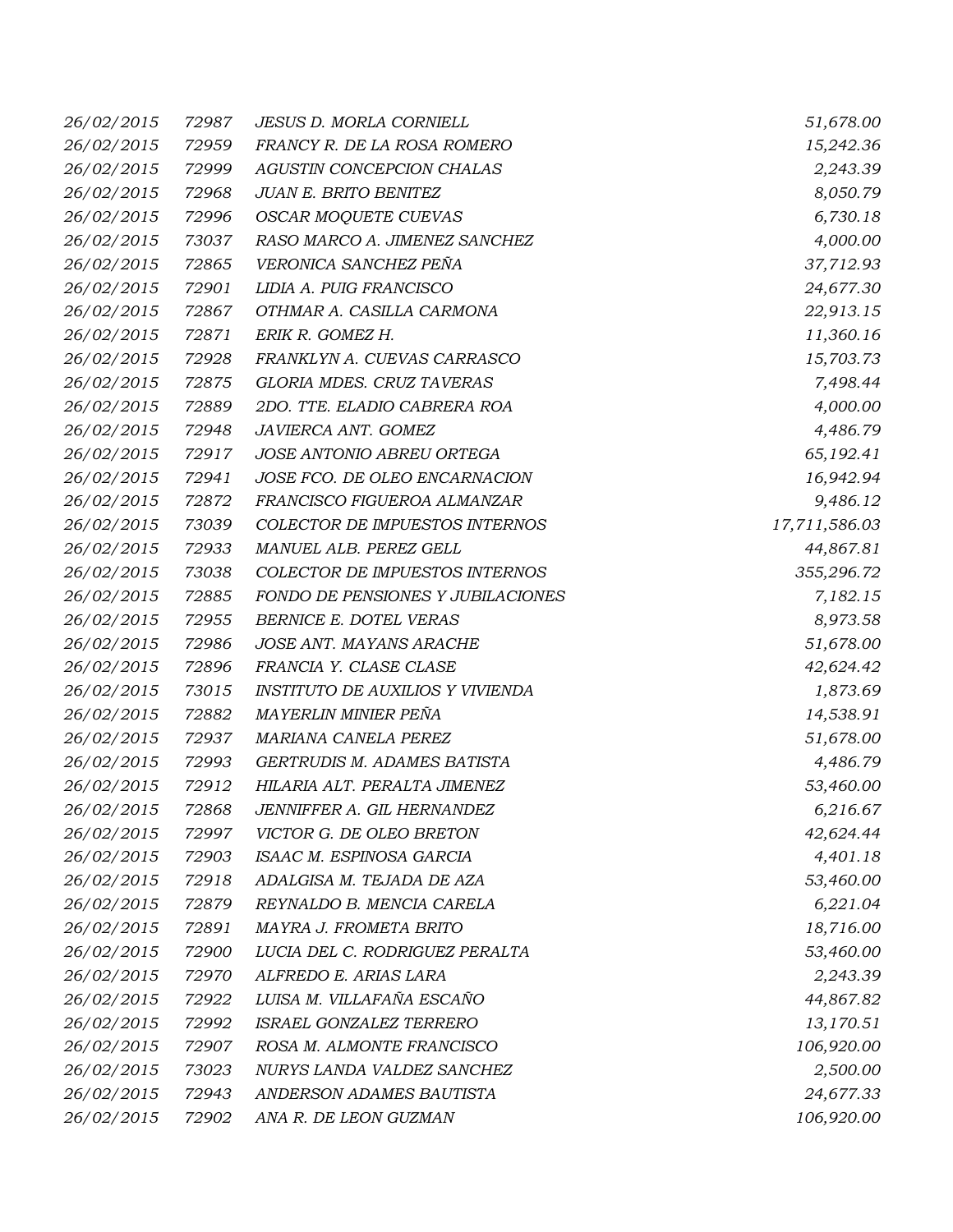| 26/02/2015 | 72987 | <b>JESUS D. MORLA CORNIELL</b>    | 51,678.00     |
|------------|-------|-----------------------------------|---------------|
| 26/02/2015 | 72959 | FRANCY R. DE LA ROSA ROMERO       | 15,242.36     |
| 26/02/2015 | 72999 | AGUSTIN CONCEPCION CHALAS         | 2,243.39      |
| 26/02/2015 | 72968 | JUAN E. BRITO BENITEZ             | 8,050.79      |
| 26/02/2015 | 72996 | OSCAR MOQUETE CUEVAS              | 6,730.18      |
| 26/02/2015 | 73037 | RASO MARCO A. JIMENEZ SANCHEZ     | 4,000.00      |
| 26/02/2015 | 72865 | VERONICA SANCHEZ PEÑA             | 37,712.93     |
| 26/02/2015 | 72901 | LIDIA A. PUIG FRANCISCO           | 24,677.30     |
| 26/02/2015 | 72867 | OTHMAR A. CASILLA CARMONA         | 22,913.15     |
| 26/02/2015 | 72871 | ERIK R. GOMEZ H.                  | 11,360.16     |
| 26/02/2015 | 72928 | FRANKLYN A. CUEVAS CARRASCO       | 15,703.73     |
| 26/02/2015 | 72875 | GLORIA MDES. CRUZ TAVERAS         | 7,498.44      |
| 26/02/2015 | 72889 | 2DO. TTE. ELADIO CABRERA ROA      | 4,000.00      |
| 26/02/2015 | 72948 | JAVIERCA ANT. GOMEZ               | 4,486.79      |
| 26/02/2015 | 72917 | JOSE ANTONIO ABREU ORTEGA         | 65,192.41     |
| 26/02/2015 | 72941 | JOSE FCO. DE OLEO ENCARNACION     | 16,942.94     |
| 26/02/2015 | 72872 | FRANCISCO FIGUEROA ALMANZAR       | 9,486.12      |
| 26/02/2015 | 73039 | COLECTOR DE IMPUESTOS INTERNOS    | 17,711,586.03 |
| 26/02/2015 | 72933 | MANUEL ALB. PEREZ GELL            | 44,867.81     |
| 26/02/2015 | 73038 | COLECTOR DE IMPUESTOS INTERNOS    | 355,296.72    |
| 26/02/2015 | 72885 | FONDO DE PENSIONES Y JUBILACIONES | 7,182.15      |
| 26/02/2015 | 72955 | BERNICE E. DOTEL VERAS            | 8,973.58      |
| 26/02/2015 | 72986 | JOSE ANT. MAYANS ARACHE           | 51,678.00     |
| 26/02/2015 | 72896 | FRANCIA Y. CLASE CLASE            | 42,624.42     |
| 26/02/2015 | 73015 | INSTITUTO DE AUXILIOS Y VIVIENDA  | 1,873.69      |
| 26/02/2015 | 72882 | MAYERLIN MINIER PEÑA              | 14,538.91     |
| 26/02/2015 | 72937 | MARIANA CANELA PEREZ              | 51,678.00     |
| 26/02/2015 | 72993 | GERTRUDIS M. ADAMES BATISTA       | 4,486.79      |
| 26/02/2015 | 72912 | HILARIA ALT. PERALTA JIMENEZ      | 53,460.00     |
| 26/02/2015 | 72868 | JENNIFFER A. GIL HERNANDEZ        | 6,216.67      |
| 26/02/2015 | 72997 | VICTOR G. DE OLEO BRETON          | 42,624.44     |
| 26/02/2015 | 72903 | ISAAC M. ESPINOSA GARCIA          | 4,401.18      |
| 26/02/2015 | 72918 | ADALGISA M. TEJADA DE AZA         | 53,460.00     |
| 26/02/2015 | 72879 | REYNALDO B. MENCIA CARELA         | 6,221.04      |
| 26/02/2015 | 72891 | MAYRA J. FROMETA BRITO            | 18,716.00     |
| 26/02/2015 | 72900 | LUCIA DEL C. RODRIGUEZ PERALTA    | 53,460.00     |
| 26/02/2015 | 72970 | ALFREDO E. ARIAS LARA             | 2,243.39      |
| 26/02/2015 | 72922 | LUISA M. VILLAFAÑA ESCAÑO         | 44,867.82     |
| 26/02/2015 | 72992 | ISRAEL GONZALEZ TERRERO           | 13,170.51     |
| 26/02/2015 | 72907 | ROSA M. ALMONTE FRANCISCO         | 106,920.00    |
| 26/02/2015 | 73023 | NURYS LANDA VALDEZ SANCHEZ        | 2,500.00      |
| 26/02/2015 | 72943 | ANDERSON ADAMES BAUTISTA          | 24,677.33     |
| 26/02/2015 | 72902 | ANA R. DE LEON GUZMAN             | 106,920.00    |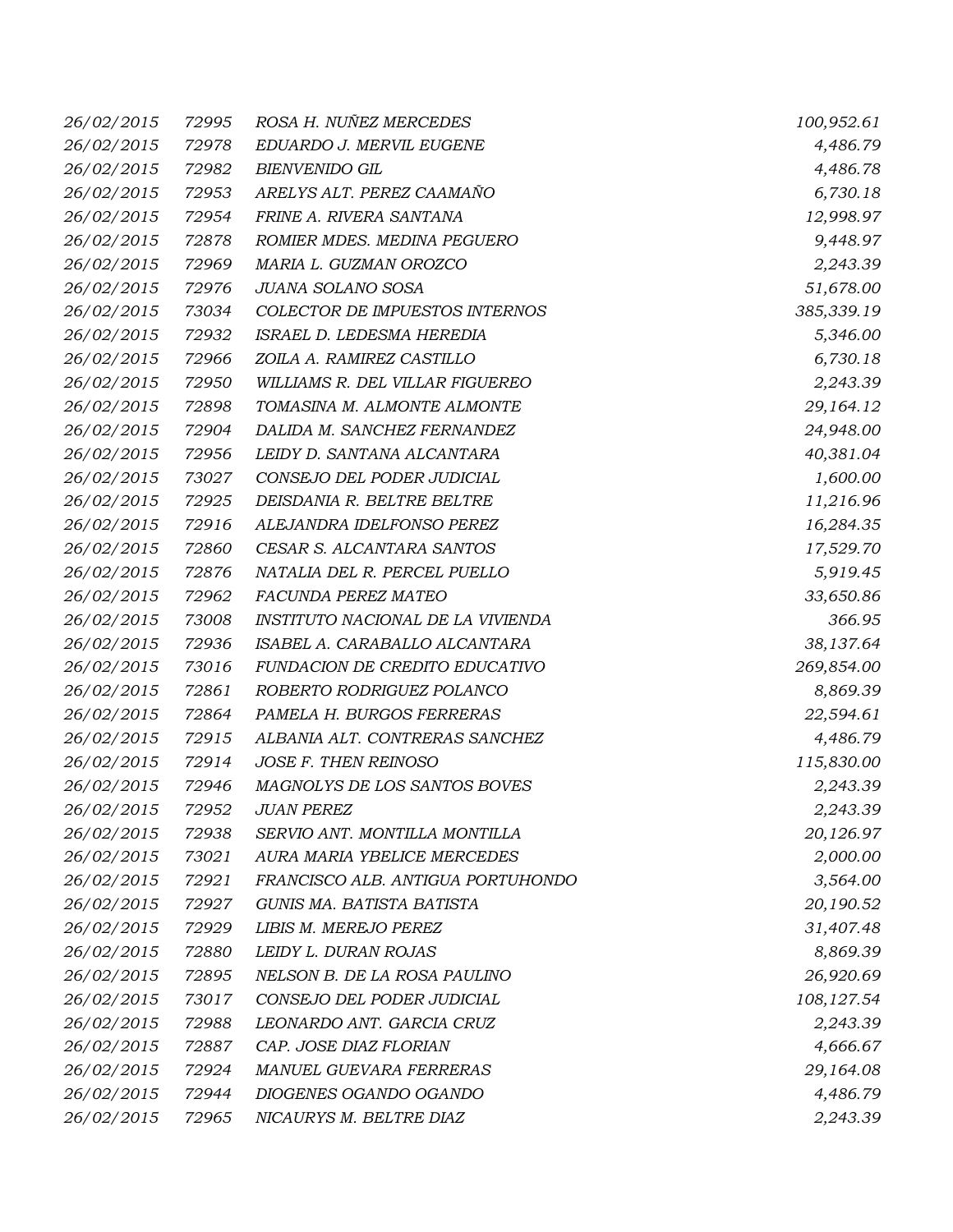| 26/02/2015        | 72995 | ROSA H. NUÑEZ MERCEDES            | 100,952.61  |
|-------------------|-------|-----------------------------------|-------------|
| 26/02/2015        | 72978 | EDUARDO J. MERVIL EUGENE          | 4,486.79    |
| 26/02/2015        | 72982 | <b>BIENVENIDO GIL</b>             | 4,486.78    |
| 26/02/2015        | 72953 | ARELYS ALT. PEREZ CAAMAÑO         | 6,730.18    |
| 26/02/2015        | 72954 | FRINE A. RIVERA SANTANA           | 12,998.97   |
| 26/02/2015        | 72878 | ROMIER MDES. MEDINA PEGUERO       | 9,448.97    |
| 26/02/2015        | 72969 | MARIA L. GUZMAN OROZCO            | 2,243.39    |
| 26/02/2015        | 72976 | JUANA SOLANO SOSA                 | 51,678.00   |
| 26/02/2015        | 73034 | COLECTOR DE IMPUESTOS INTERNOS    | 385,339.19  |
| 26/02/2015        | 72932 | ISRAEL D. LEDESMA HEREDIA         | 5,346.00    |
| 26/02/2015        | 72966 | ZOILA A. RAMIREZ CASTILLO         | 6,730.18    |
| 26/02/2015        | 72950 | WILLIAMS R. DEL VILLAR FIGUEREO   | 2,243.39    |
| 26/02/2015        | 72898 | TOMASINA M. ALMONTE ALMONTE       | 29,164.12   |
| 26/02/2015        | 72904 | DALIDA M. SANCHEZ FERNANDEZ       | 24,948.00   |
| 26/02/2015        | 72956 | LEIDY D. SANTANA ALCANTARA        | 40,381.04   |
| 26/02/2015        | 73027 | CONSEJO DEL PODER JUDICIAL        | 1,600.00    |
| 26/02/2015        | 72925 | DEISDANIA R. BELTRE BELTRE        | 11,216.96   |
| 26/02/2015        | 72916 | ALEJANDRA IDELFONSO PEREZ         | 16,284.35   |
| 26/02/2015        | 72860 | CESAR S. ALCANTARA SANTOS         | 17,529.70   |
| 26/02/2015        | 72876 | NATALIA DEL R. PERCEL PUELLO      | 5,919.45    |
| 26/02/2015        | 72962 | FACUNDA PEREZ MATEO               | 33,650.86   |
| 26/02/2015        | 73008 | INSTITUTO NACIONAL DE LA VIVIENDA | 366.95      |
| 26/02/2015        | 72936 | ISABEL A. CARABALLO ALCANTARA     | 38,137.64   |
| 26/02/2015        | 73016 | FUNDACION DE CREDITO EDUCATIVO    | 269,854.00  |
| 26/02/2015        | 72861 | ROBERTO RODRIGUEZ POLANCO         | 8,869.39    |
| 26/02/2015        | 72864 | PAMELA H. BURGOS FERRERAS         | 22,594.61   |
| 26/02/2015        | 72915 | ALBANIA ALT. CONTRERAS SANCHEZ    | 4,486.79    |
| 26/02/2015        | 72914 | JOSE F. THEN REINOSO              | 115,830.00  |
| 26/02/2015        | 72946 | MAGNOLYS DE LOS SANTOS BOVES      | 2,243.39    |
| <i>26/02/2015</i> | 72952 | <b>JUAN PEREZ</b>                 | 2,243.39    |
| 26/02/2015        | 72938 | SERVIO ANT. MONTILLA MONTILLA     | 20,126.97   |
| 26/02/2015        | 73021 | AURA MARIA YBELICE MERCEDES       | 2,000.00    |
| 26/02/2015        | 72921 | FRANCISCO ALB. ANTIGUA PORTUHONDO | 3,564.00    |
| 26/02/2015        | 72927 | GUNIS MA. BATISTA BATISTA         | 20,190.52   |
| 26/02/2015        | 72929 | LIBIS M. MEREJO PEREZ             | 31,407.48   |
| 26/02/2015        | 72880 | LEIDY L. DURAN ROJAS              | 8,869.39    |
| 26/02/2015        | 72895 | NELSON B. DE LA ROSA PAULINO      | 26,920.69   |
| 26/02/2015        | 73017 | CONSEJO DEL PODER JUDICIAL        | 108, 127.54 |
| 26/02/2015        | 72988 | LEONARDO ANT. GARCIA CRUZ         | 2,243.39    |
| 26/02/2015        | 72887 | CAP. JOSE DIAZ FLORIAN            | 4,666.67    |
| 26/02/2015        | 72924 | MANUEL GUEVARA FERRERAS           | 29,164.08   |
| 26/02/2015        | 72944 | DIOGENES OGANDO OGANDO            | 4,486.79    |
| 26/02/2015        | 72965 | NICAURYS M. BELTRE DIAZ           | 2,243.39    |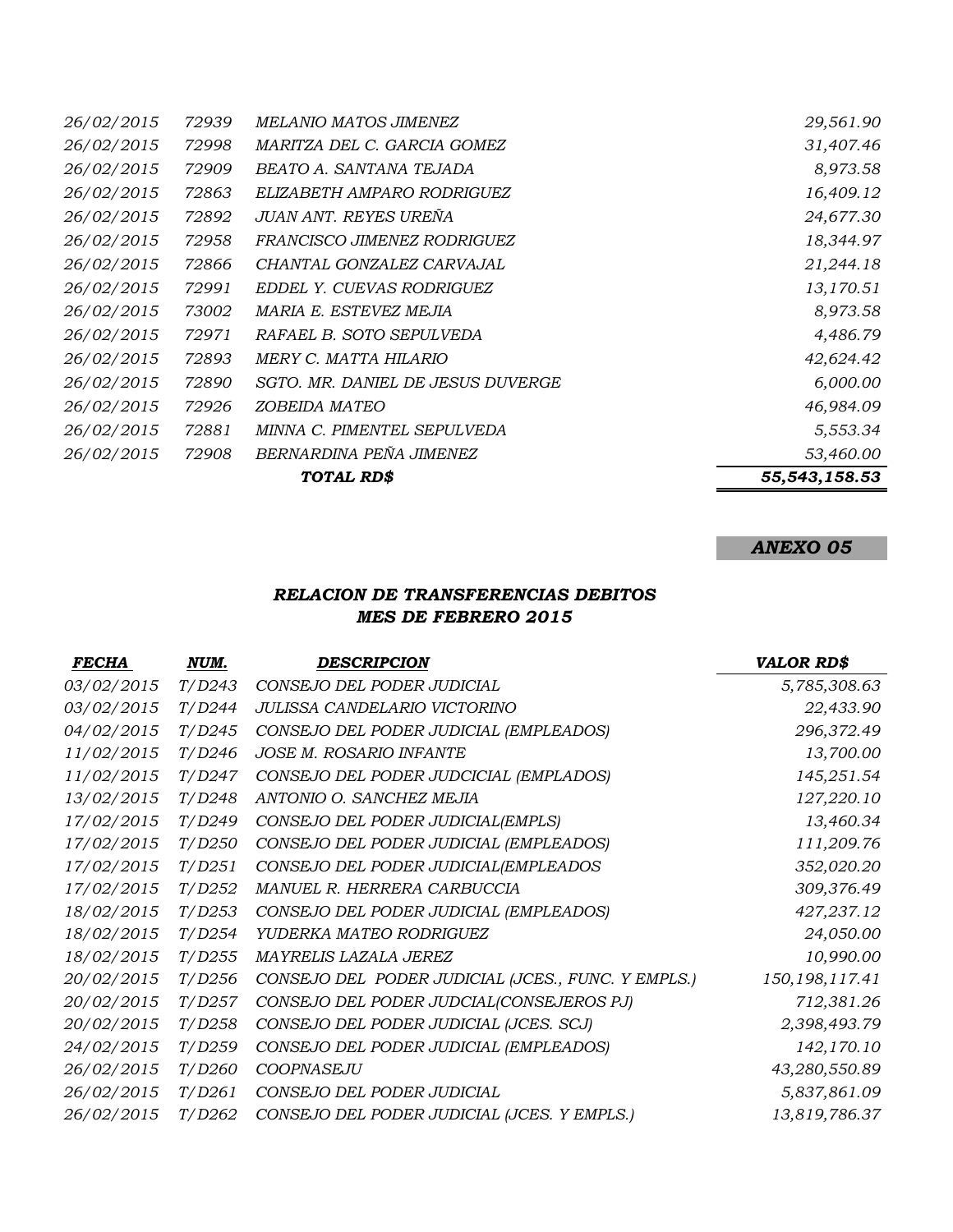|                   |       | TOTAL RD\$                        | 55,543,158.53 |
|-------------------|-------|-----------------------------------|---------------|
| 26/02/2015        | 72908 | BERNARDINA PEÑA JIMENEZ           | 53,460.00     |
| 26/02/2015        | 72881 | MINNA C. PIMENTEL SEPULVEDA       | 5,553.34      |
| 26/02/2015        | 72926 | ZOBEIDA MATEO                     | 46,984.09     |
| 26/02/2015        | 72890 | SGTO. MR. DANIEL DE JESUS DUVERGE | 6,000.00      |
| 26/02/2015        | 72893 | MERY C. MATTA HILARIO             | 42,624.42     |
| 26/02/2015        | 72971 | RAFAEL B. SOTO SEPULVEDA          | 4,486.79      |
| 26/02/2015        | 73002 | MARIA E. ESTEVEZ MEJIA            | 8,973.58      |
| 26/02/2015        | 72991 | EDDEL Y. CUEVAS RODRIGUEZ         | 13,170.51     |
| 26/02/2015        | 72866 | CHANTAL GONZALEZ CARVAJAL         | 21,244.18     |
| 26/02/2015        | 72958 | FRANCISCO JIMENEZ RODRIGUEZ       | 18,344.97     |
| <i>26/02/2015</i> | 72892 | JUAN ANT. REYES UREÑA             | 24,677.30     |
| 26/02/2015        | 72863 | ELIZABETH AMPARO RODRIGUEZ        | 16,409.12     |
| 26/02/2015        | 72909 | BEATO A. SANTANA TEJADA           | 8,973.58      |
| 26/02/2015        | 72998 | MARITZA DEL C. GARCIA GOMEZ       | 31,407.46     |
| 26/02/2015        | 72939 | MELANIO MATOS JIMENEZ             | 29,561.90     |

## *ANEXO 05*

## *RELACION DE TRANSFERENCIAS DEBITOS MES DE FEBRERO 2015*

| <b>FECHA</b> | NUM.   | <b>DESCRIPCION</b>                                 | <b>VALOR RD\$</b> |
|--------------|--------|----------------------------------------------------|-------------------|
| 03/02/2015   | T/D243 | CONSEJO DEL PODER JUDICIAL                         | 5,785,308.63      |
| 03/02/2015   | T/D244 | JULISSA CANDELARIO VICTORINO                       | 22,433.90         |
| 04/02/2015   | T/D245 | CONSEJO DEL PODER JUDICIAL (EMPLEADOS)             | 296,372.49        |
| 11/02/2015   | T/D246 | <b>JOSE M. ROSARIO INFANTE</b>                     | 13,700.00         |
| 11/02/2015   | T/D247 | CONSEJO DEL PODER JUDCICIAL (EMPLADOS)             | 145,251.54        |
| 13/02/2015   | T/D248 | ANTONIO O. SANCHEZ MEJIA                           | 127,220.10        |
| 17/02/2015   | T/D249 | CONSEJO DEL PODER JUDICIAL(EMPLS)                  | 13,460.34         |
| 17/02/2015   | T/D250 | CONSEJO DEL PODER JUDICIAL (EMPLEADOS)             | 111,209.76        |
| 17/02/2015   | T/D251 | CONSEJO DEL PODER JUDICIAL(EMPLEADOS               | 352,020.20        |
| 17/02/2015   | T/D252 | MANUEL R. HERRERA CARBUCCIA                        | 309,376.49        |
| 18/02/2015   | T/D253 | CONSEJO DEL PODER JUDICIAL (EMPLEADOS)             | 427,237.12        |
| 18/02/2015   | T/D254 | YUDERKA MATEO RODRIGUEZ                            | 24,050.00         |
| 18/02/2015   | T/D255 | MAYRELIS LAZALA JEREZ                              | 10,990.00         |
| 20/02/2015   | T/D256 | CONSEJO DEL PODER JUDICIAL (JCES., FUNC. Y EMPLS.) | 150, 198, 117.41  |
| 20/02/2015   | T/D257 | CONSEJO DEL PODER JUDCIAL(CONSEJEROS PJ)           | 712,381.26        |
| 20/02/2015   | T/D258 | CONSEJO DEL PODER JUDICIAL (JCES. SCJ)             | 2,398,493.79      |
| 24/02/2015   | T/D259 | CONSEJO DEL PODER JUDICIAL (EMPLEADOS)             | 142,170.10        |
| 26/02/2015   | T/D260 | <b>COOPNASEJU</b>                                  | 43,280,550.89     |
| 26/02/2015   | T/D261 | CONSEJO DEL PODER JUDICIAL                         | 5,837,861.09      |
| 26/02/2015   | T/D262 | CONSEJO DEL PODER JUDICIAL (JCES. Y EMPLS.)        | 13,819,786.37     |